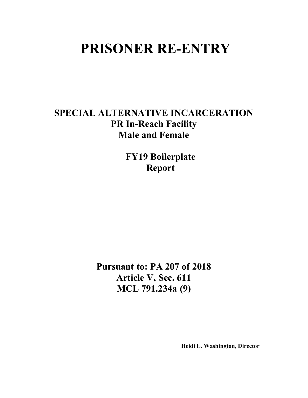# **PRISONER RE-ENTRY**

## **SPECIAL ALTERNATIVE INCARCERATION PR In-Reach Facility Male and Female**

**FY19 Boilerplate Report**

**Pursuant to: PA 207 of 2018 Article V, Sec. 611 MCL 791.234a (9)**

**Heidi E. Washington, Director**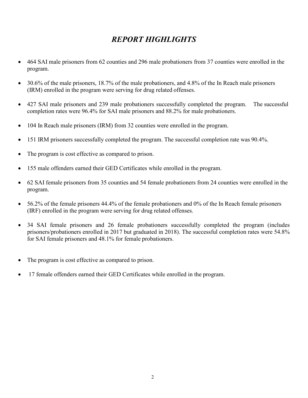## *REPORT HIGHLIGHTS*

- 464 SAI male prisoners from 62 counties and 296 male probationers from 37 counties were enrolled in the program.
- 30.6% of the male prisoners, 18.7% of the male probationers, and 4.8% of the In Reach male prisoners (IRM) enrolled in the program were serving for drug related offenses.
- 427 SAI male prisoners and 239 male probationers successfully completed the program. The successful completion rates were 96.4% for SAI male prisoners and 88.2% for male probationers.
- 104 In Reach male prisoners (IRM) from 32 counties were enrolled in the program.
- 151 IRM prisoners successfully completed the program. The successful completion rate was 90.4%.
- The program is cost effective as compared to prison.
- 155 male offenders earned their GED Certificates while enrolled in the program.
- 62 SAI female prisoners from 35 counties and 54 female probationers from 24 counties were enrolled in the program.
- 56.2% of the female prisoners 44.4% of the female probationers and 0% of the In Reach female prisoners (IRF) enrolled in the program were serving for drug related offenses.
- 34 SAI female prisoners and 26 female probationers successfully completed the program (includes prisoners/probationers enrolled in 2017 but graduated in 2018). The successful completion rates were 54.8% for SAI female prisoners and 48.1% for female probationers.
- The program is cost effective as compared to prison.
- 17 female offenders earned their GED Certificates while enrolled in the program.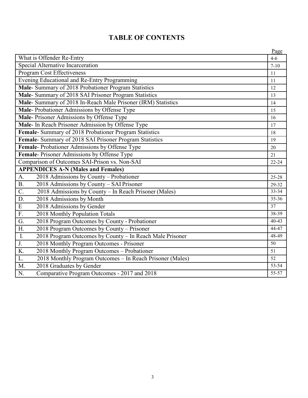|                                                                              | Page            |
|------------------------------------------------------------------------------|-----------------|
| What is Offender Re-Entry                                                    | $4 - 6$         |
| Special Alternative Incarceration                                            | $7 - 10$        |
| <b>Program Cost Effectiveness</b>                                            | 11              |
| Evening Educational and Re-Entry Programming                                 | 11              |
| Male- Summary of 2018 Probationer Program Statistics                         | 12              |
| Male- Summary of 2018 SAI Prisoner Program Statistics                        | 13              |
| Male- Summary of 2018 In-Reach Male Prisoner (IRM) Statistics                | 14              |
| Male-Probationer Admissions by Offense Type                                  | 15              |
| Male-Prisoner Admissions by Offense Type                                     | 16              |
| Male- In Reach Prisoner Admission by Offense Type                            | 17              |
| Female- Summary of 2018 Probationer Program Statistics                       | 18              |
| Female- Summary of 2018 SAI Prisoner Program Statistics                      | 19              |
| Female-Probationer Admissions by Offense Type                                | 20              |
| Female-Prisoner Admissions by Offense Type                                   | 21              |
| Comparison of Outcomes SAI-Prison vs. Non-SAI                                | $22 - 24$       |
| <b>APPENDICES A-N (Males and Females)</b>                                    |                 |
| 2018 Admissions by County - Probationer<br>A.                                | $25 - 28$       |
| 2018 Admissions by County - SAI Prisoner<br><b>B.</b>                        | 29-32           |
| 2018 Admissions by County - In Reach Prisoner (Males)<br>$\overline{C}$ .    | $33 - 34$       |
| D.<br>2018 Admissions by Month                                               | $35 - 36$       |
| $\, {\bf E}$<br>2018 Admissions by Gender                                    | $\overline{37}$ |
| $\overline{F}$ .<br>2018 Monthly Population Totals                           | 38-39           |
| $\overline{G}$ .<br>2018 Program Outcomes by County - Probationer            | $40-43$         |
| H.<br>2018 Program Outcomes by County - Prisoner                             | 44-47           |
| $\overline{I}$ .<br>2018 Program Outcomes by County - In Reach Male Prisoner | 48-49           |
| J.<br>2018 Monthly Program Outcomes - Prisoner                               | 50              |
| K.<br>2018 Monthly Program Outcomes - Probationer                            | 51              |
| L.<br>2018 Monthly Program Outcomes - In Reach Prisoner (Males)              | 52              |
| M.<br>2018 Graduates by Gender                                               | $53 - 54$       |
| $\overline{N}$ .<br>Comparative Program Outcomes - 2017 and 2018             | 55-57           |

### **TABLE OF CONTENTS**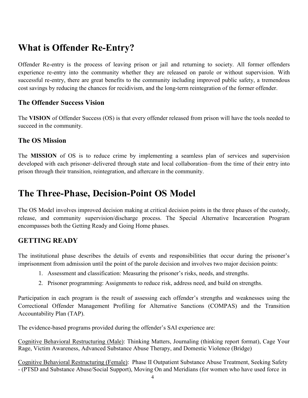## **What is Offender Re-Entry?**

Offender Re-entry is the process of leaving prison or jail and returning to society. All former offenders experience re-entry into the community whether they are released on parole or without supervision. With successful re-entry, there are great benefits to the community including improved public safety, a tremendous cost savings by reducing the chances for recidivism, and the long-term reintegration of the former offender.

#### **The Offender Success Vision**

The **VISION** of Offender Success (OS) is that every offender released from prison will have the tools needed to succeed in the community.

#### **The OS Mission**

The **MISSION** of OS is to reduce crime by implementing a seamless plan of services and supervision developed with each prisoner–delivered through state and local collaboration–from the time of their entry into prison through their transition, reintegration, and aftercare in the community.

## **The Three-Phase, Decision-Point OS Model**

The OS Model involves improved decision making at critical decision points in the three phases of the custody, release, and community supervision/discharge process. The Special Alternative Incarceration Program encompasses both the Getting Ready and Going Home phases.

#### **GETTING READY**

The institutional phase describes the details of events and responsibilities that occur during the prisoner's imprisonment from admission until the point of the parole decision and involves two major decision points:

- 1. Assessment and classification: Measuring the prisoner's risks, needs, and strengths.
- 2. Prisoner programming: Assignments to reduce risk, address need, and build on strengths.

Participation in each program is the result of assessing each offender's strengths and weaknesses using the Correctional Offender Management Profiling for Alternative Sanctions (COMPAS) and the Transition Accountability Plan (TAP).

The evidence-based programs provided during the offender's SAI experience are:

Cognitive Behavioral Restructuring (Male): Thinking Matters, Journaling (thinking report format), Cage Your Rage, Victim Awareness, Advanced Substance Abuse Therapy, and Domestic Violence (Bridge)

Cognitive Behavioral Restructuring (Female): Phase II Outpatient Substance Abuse Treatment, Seeking Safety - (PTSD and Substance Abuse/Social Support), Moving On and Meridians (for women who have used force in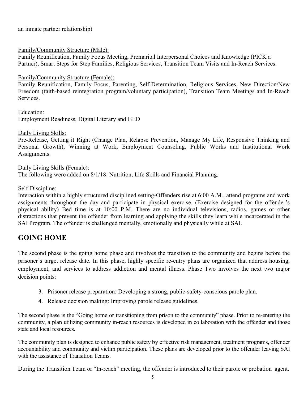an inmate partner relationship)

#### Family/Community Structure (Male):

Family Reunification, Family Focus Meeting, Premarital Interpersonal Choices and Knowledge (PICK a Partner), Smart Steps for Step Families, Religious Services, Transition Team Visits and In-Reach Services.

#### Family/Community Structure (Female):

Family Reunification, Family Focus, Parenting, Self-Determination, Religious Services, New Direction/New Freedom (faith-based reintegration program/voluntary participation), Transition Team Meetings and In-Reach Services.

Education: Employment Readiness, Digital Literary and GED

Daily Living Skills:

Pre-Release, Getting it Right (Change Plan, Relapse Prevention, Manage My Life, Responsive Thinking and Personal Growth), Winning at Work, Employment Counseling, Public Works and Institutional Work Assignments.

Daily Living Skills (Female): The following were added on 8/1/18: Nutrition, Life Skills and Financial Planning.

#### Self-Discipline:

Interaction within a highly structured disciplined setting-Offenders rise at 6:00 A.M., attend programs and work assignments throughout the day and participate in physical exercise. (Exercise designed for the offender's physical ability) Bed time is at 10:00 P.M. There are no individual televisions, radios, games or other distractions that prevent the offender from learning and applying the skills they learn while incarcerated in the SAI Program. The offender is challenged mentally, emotionally and physically while at SAI.

#### **GOING HOME**

The second phase is the going home phase and involves the transition to the community and begins before the prisoner's target release date. In this phase, highly specific re-entry plans are organized that address housing, employment, and services to address addiction and mental illness. Phase Two involves the next two major decision points:

- 3. Prisoner release preparation: Developing a strong, public-safety-conscious parole plan.
- 4. Release decision making: Improving parole release guidelines.

The second phase is the "Going home or transitioning from prison to the community" phase. Prior to re-entering the community, a plan utilizing community in-reach resources is developed in collaboration with the offender and those state and local resources.

The community plan is designed to enhance public safety by effective risk management, treatment programs, offender accountability and community and victim participation. These plans are developed prior to the offender leaving SAI with the assistance of Transition Teams.

During the Transition Team or "In-reach" meeting, the offender is introduced to their parole or probation agent.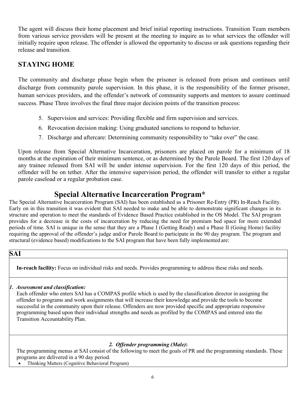The agent will discuss their home placement and brief initial reporting instructions. Transition Team members from various service providers will be present at the meeting to inquire as to what services the offender will initially require upon release. The offender is allowed the opportunity to discuss or ask questions regarding their release and transition.

### **STAYING HOME**

The community and discharge phase begin when the prisoner is released from prison and continues until discharge from community parole supervision. In this phase, it is the responsibility of the former prisoner, human services providers, and the offender's network of community supports and mentors to assure continued success. Phase Three involves the final three major decision points of the transition process:

- 5. Supervision and services: Providing flexible and firm supervision and services.
- 6. Revocation decision making: Using graduated sanctions to respond to behavior.
- 7. Discharge and aftercare: Determining community responsibility to "take over" the case.

Upon release from Special Alternative Incarceration, prisoners are placed on parole for a minimum of 18 months at the expiration of their minimum sentence, or as determined by the Parole Board. The first 120 days of any trainee released from SAI will be under intense supervision. For the first 120 days of this period, the offender will be on tether. After the intensive supervision period, the offender will transfer to either a regular parole caseload or a regular probation case.

### **Special Alternative Incarceration Program\***

The Special Alternative Incarceration Program (SAI) has been established as a Prisoner Re-Entry (PR) In-Reach Facility. Early on in this transition it was evident that SAI needed to make and be able to demonstrate significant changes in its structure and operation to meet the standards of Evidence Based Practice established in the OS Model. The SAI program provides for a decrease in the costs of incarceration by reducing the need for premium bed space for more extended periods of time. SAI is unique in the sense that they are a Phase I (Getting Ready) and a Phase II (Going Home) facility requiring the approval of the offender's judge and/or Parole Board to participate in the 90 day program. The program and structural (evidence based) modifications to the SAI program that have been fully implemented are:

#### **SAI**

**In-reach facility:** Focus on individual risks and needs. Provides programming to address these risks and needs.

#### *1. Assessment and classification:*

Each offender who enters SAI has a COMPAS profile which is used by the classification director in assigning the offender to programs and work assignments that will increase their knowledge and provide the tools to become successful in the community upon their release. Offenders are now provided specific and appropriate responsive programming based upon their individual strengths and needs as profiled by the COMPAS and entered into the Transition Accountability Plan.

#### *2. Offender programming (Male)***:**

The programming menus at SAI consist of the following to meet the goals of PR and the programming standards. These programs are delivered in a 90 day period.

• Thinking Matters (Cognitive Behavioral Program)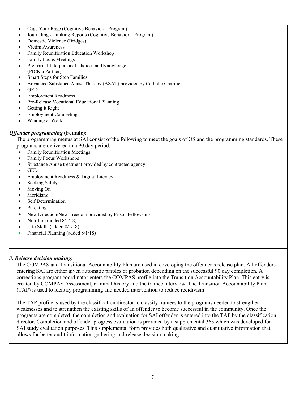- Cage Your Rage (Cognitive Behavioral Program)
- Journaling -Thinking Reports (Cognitive Behavioral Program)
- Domestic Violence (Bridges)
- Victim Awareness
- Family Reunification Education Workshop
- Family Focus Meetings
- Premarital Interpersonal Choices and Knowledge (PICK a Partner)
- Smart Steps for Step Families
- Advanced Substance Abuse Therapy (ASAT) provided by Catholic Charities
- GED
- Employment Readiness
- Pre-Release Vocational Educational Planning
- Getting it Right
- Employment Counseling
- Winning at Work

#### *Offender programming* **(Female):**

The programming menus at SAI consist of the following to meet the goals of OS and the programming standards. These programs are delivered in a 90 day period:

- Family Reunification Meetings
- Family Focus Workshops
- Substance Abuse treatment provided by contracted agency
- GED
- Employment Readiness & Digital Literacy
- Seeking Safety
- Moving On
- **Meridians**
- Self Determination
- Parenting
- New Direction/New Freedom provided by Prison Fellowship
- Nutrition (added 8/1/18)
- Life Skills (added 8/1/18)
- Financial Planning (added 8/1/18)

#### *3. Release decision making***:**

The COMPAS and Transitional Accountability Plan are used in developing the offender's release plan. All offenders entering SAI are either given automatic paroles or probation depending on the successful 90 day completion. A corrections program coordinator enters the COMPAS profile into the Transition Accountability Plan. This entry is created by COMPAS Assessment, criminal history and the trainee interview. The Transition Accountability Plan (TAP) is used to identify programming and needed intervention to reduce recidivism

The TAP profile is used by the classification director to classify trainees to the programs needed to strengthen weaknesses and to strengthen the existing skills of an offender to become successful in the community. Once the programs are completed, the completion and evaluation for SAI offender is entered into the TAP by the classification director. Completion and offender progress evaluation is provided by a supplemental 363 which was developed for SAI study evaluation purposes. This supplemental form provides both qualitative and quantitative information that allows for better audit information gathering and release decision making.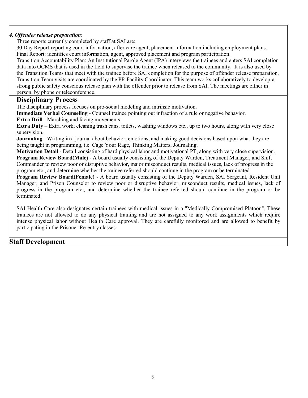#### *4. Offender release preparation*:

Three reports currently completed by staff at SAI are:

30 Day Report-reporting court information, after care agent, placement information including employment plans. Final Report: identifies court information, agent, approved placement and program participation.

Transition Accountability Plan: An Institutional Parole Agent (IPA) interviews the trainees and enters SAI completion data into OCMS that is used in the field to supervise the trainee when released to the community. It is also used by the Transition Teams that meet with the trainee before SAI completion for the purpose of offender release preparation. Transition Team visits are coordinated by the PR Facility Coordinator. This team works collaboratively to develop a strong public safety conscious release plan with the offender prior to release from SAI. The meetings are either in person, by phone or teleconference.

#### **Disciplinary Process**

The disciplinary process focuses on pro-social modeling and intrinsic motivation.

**Immediate Verbal Counseling** - Counsel trainee pointing out infraction of a rule or negative behavior.

**Extra Drill** - Marching and facing movements.

**Extra Duty** – Extra work; cleaning trash cans, toilets, washing windows etc., up to two hours, along with very close supervision.

**Journaling** - Writing in a journal about behavior, emotions, and making good decisions based upon what they are being taught in programming, i.e. Cage Your Rage, Thinking Matters, Journaling.

**Motivation Detail** - Detail consisting of hard physical labor and motivational PT, along with very close supervision. **Program Review Board(Male)** - A board usually consisting of the Deputy Warden, Treatment Manager, and Shift Commander to review poor or disruptive behavior, major misconduct results, medical issues, lack of progress in the program etc., and determine whether the trainee referred should continue in the program or be terminated.

**Program Review Board(Female)** - A board usually consisting of the Deputy Warden, SAI Sergeant, Resident Unit Manager, and Prison Counselor to review poor or disruptive behavior, misconduct results, medical issues, lack of progress in the program etc., and determine whether the trainee referred should continue in the program or be terminated.

SAI Health Care also designates certain trainees with medical issues in a "Medically Compromised Platoon". These trainees are not allowed to do any physical training and are not assigned to any work assignments which require intense physical labor without Health Care approval. They are carefully monitored and are allowed to benefit by participating in the Prisoner Re-entry classes.

#### **Staff Development**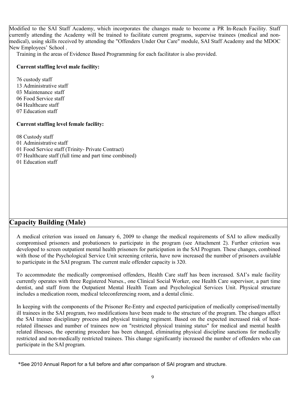Modified to the SAI Staff Academy, which incorporates the changes made to become a PR In-Reach Facility. Staff currently attending the Academy will be trained to facilitate current programs, supervise trainees (medical and nonmedical), using skills received by attending the "Offenders Under Our Care" module, SAI Staff Academy and the MDOC New Employees' School .

Training in the areas of Evidence Based Programming for each facilitator is also provided.

#### **Current staffing level male facility:**

76 custody staff 13 Administrative staff 03 Maintenance staff 06 Food Service staff 04 Healthcare staff 07 Education staff

#### **Current staffing level female facility:**

08 Custody staff

01 Administrative staff

01 Food Service staff (Trinity- Private Contract)

07 Healthcare staff (full time and part time combined)

01 Education staff

#### **Capacity Building (Male)**

A medical criterion was issued on January 6, 2009 to change the medical requirements of SAI to allow medically compromised prisoners and probationers to participate in the program (see Attachment 2). Further criterion was developed to screen outpatient mental health prisoners for participation in the SAI Program. These changes, combined with those of the Psychological Service Unit screening criteria, have now increased the number of prisoners available to participate in the SAI program. The current male offender capacity is 320.

To accommodate the medically compromised offenders, Health Care staff has been increased. SAI's male facility currently operates with three Registered Nurses., one Clinical Social Worker, one Health Care supervisor, a part time dentist, and staff from the Outpatient Mental Health Team and Psychological Services Unit. Physical structure includes a medication room, medical teleconferencing room, and a dental clinic.

In keeping with the components of the Prisoner Re-Entry and expected participation of medically comprised/mentally ill trainees in the SAI program, two modifications have been made to the structure of the program. The changes affect the SAI trainee disciplinary process and physical training regiment. Based on the expected increased risk of heatrelated illnesses and number of trainees now on "restricted physical training status" for medical and mental health related illnesses, the operating procedure has been changed, eliminating physical discipline sanctions for medically restricted and non-medically restricted trainees. This change significantly increased the number of offenders who can participate in the SAI program.

<sup>\*</sup>See 2010 Annual Report for a full before and after comparison of SAI program and structure.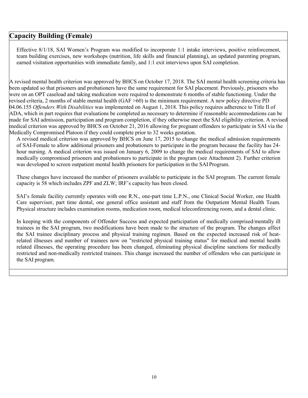#### **Capacity Building (Female)**

Effective 8/1/18, SAI Women's Program was modified to incorporate 1:1 intake interviews, positive reinforcement, team building exercises, new workshops (nutrition, life skills and financial planning), an updated parenting program, earned visitation opportunities with immediate family, and 1:1 exit interviews upon SAI completion.

A revised mental health criterion was approved by BHCS on October 17, 2018. The SAI mental health screening criteria has been updated so that prisoners and probationers have the same requirement for SAI placement. Previously, prisoners who were on an OPT caseload and taking medication were required to demonstrate 6 months of stable functioning. Under the revised criteria, 2 months of stable mental health (GAF >60) is the minimum requirement. A new policy directive PD 04.06.155 *Offenders With Disabilities* was implemented on August 1, 2018. This policy requires adherence to Title II of ADA, which in part requires that evaluations be completed as necessary to determine if reasonable accommodations can be made for SAI admission, participation and program completion, if they otherwise meet the SAI eligibility criterion. A revised medical criterion was approved by BHCS on October 21, 2016 allowing for pregnant offenders to participate in SAI via the Medically Compromised Platoon if they could complete prior to 32 weeks gestation.

A revised medical criterion was approved by BHCS on June 17, 2015 to change the medical admission requirements of SAI-Female to allow additional prisoners and probationers to participate in the program because the facility has 24 hour nursing. A medical criterion was issued on January 6, 2009 to change the medical requirements of SAI to allow medically compromised prisoners and probationers to participate in the program (see Attachment 2). Further criterion was developed to screen outpatient mental health prisoners for participation in the SAI Program.

These changes have increased the number of prisoners available to participate in the SAI program. The current female capacity is 58 which includes ZPF and ZLW; IRF's capacity has been closed.

SAI's female facility currently operates with one R.N., one-part time L.P.N., one Clinical Social Worker, one Health Care supervisor, part time dental, one general office assistant and staff from the Outpatient Mental Health Team. Physical structure includes examination rooms, medication room, medical teleconferencing room, and a dental clinic.

In keeping with the components of Offender Success and expected participation of medically comprised/mentally ill trainees in the SAI program, two modifications have been made to the structure of the program. The changes affect the SAI trainee disciplinary process and physical training regimen. Based on the expected increased risk of heatrelated illnesses and number of trainees now on "restricted physical training status" for medical and mental health related illnesses, the operating procedure has been changed, eliminating physical discipline sanctions for medically restricted and non-medically restricted trainees. This change increased the number of offenders who can participate in the SAI program.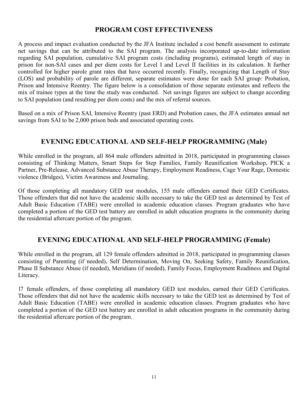#### **PROGRAM COST EFFECTIVENESS**

A process and impact evaluation conducted by the JFA Institute included a cost benefit assessment to estimate net savings that can be attributed to the SAI program. The analysis incorporated up-to-date information regarding SAI population, cumulative SAI program costs (including programs), estimated length of stay in prison for non-SAI cases and per diem costs for Level I and Level II facilities in its calculation. It further controlled for higher parole grant rates that have occurred recently. Finally, recognizing that Length of Stay (LOS) and probability of parole are different, separate estimates were done for each SAI group: Probation, Prison and Intensive Reentry. The figure below is a consolidation of those separate estimates and reflects the mix of trainee types at the time the study was conducted. Net savings figures are subject to change according to SAI population (and resulting per diem costs) and the mix of referral sources.

Based on a mix of Prison SAI, Intensive Reentry (past ERD) and Probation cases, the JFA estimates annual net savings from SAI to be 2,000 prison beds and associated operating costs.

#### **EVENING EDUCATIONAL AND SELF-HELP PROGRAMMING (Male)**

While enrolled in the program, all 864 male offenders admitted in 2018, participated in programming classes consisting of Thinking Matters, Smart Steps for Step Families, Family Reunification Workshop, PICK a Partner, Pre-Release, Advanced Substance Abuse Therapy, Employment Readiness, Cage Your Rage, Domestic violence (Bridges), Victim Awareness and Journaling.

Of those completing all mandatory GED test modules, 155 male offenders earned their GED Certificates. Those offenders that did not have the academic skills necessary to take the GED test as determined by Test of Adult Basic Education (TABE) were enrolled in academic education classes. Program graduates who have completed a portion of the GED test battery are enrolled in adult education programs in the community during the residential aftercare portion of the program.

#### **EVENING EDUCATIONAL AND SELF-HELP PROGRAMMING (Female)**

While enrolled in the program, all 129 female offenders admitted in 2018, participated in programming classes consisting of Parenting (if needed), Self Determination, Moving On, Seeking Safety, Family Reunification, Phase II Substance Abuse (if needed), Meridians (if needed), Family Focus, Employment Readiness and Digital Literacy.

17 female offenders, of those completing all mandatory GED test modules, earned their GED Certificates. Those offenders that did not have the academic skills necessary to take the GED test as determined by Test of Adult Basic Education (TABE) were enrolled in academic education classes. Program graduates who have completed a portion of the GED test battery are enrolled in adult education programs in the community during the residential aftercare portion of the program.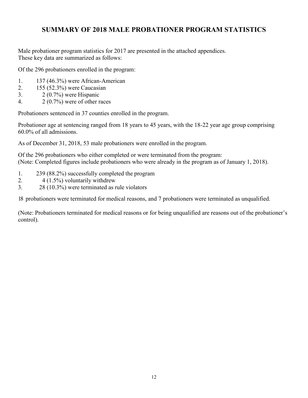### **SUMMARY OF 2018 MALE PROBATIONER PROGRAM STATISTICS**

Male probationer program statistics for 2017 are presented in the attached appendices. These key data are summarized as follows:

Of the 296 probationers enrolled in the program:

- 1. 137 (46.3%) were African-American
- 2. 155 (52.3%) were Caucasian
- 3. 2 (0.7%) were Hispanic
- 4.  $2(0.7\%)$  were of other races

Probationers sentenced in 37 counties enrolled in the program.

Probationer age at sentencing ranged from 18 years to 45 years, with the 18-22 year age group comprising 60.0% of all admissions.

As of December 31, 2018, 53 male probationers were enrolled in the program.

Of the 296 probationers who either completed or were terminated from the program: (Note: Completed figures include probationers who were already in the program as of January 1, 2018).

- 1. 239 (88.2%) successfully completed the program
- 2.  $4(1.5\%)$  voluntarily withdrew
- 3. 28 (10.3%) were terminated as rule violators

18 probationers were terminated for medical reasons, and 7 probationers were terminated as unqualified.

(Note: Probationers terminated for medical reasons or for being unqualified are reasons out of the probationer's control).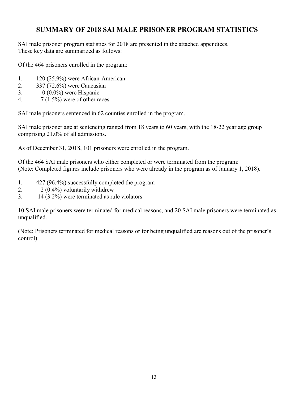### **SUMMARY OF 2018 SAI MALE PRISONER PROGRAM STATISTICS**

SAI male prisoner program statistics for 2018 are presented in the attached appendices. These key data are summarized as follows:

Of the 464 prisoners enrolled in the program:

- 1. 120 (25.9%) were African-American
- 2. 337 (72.6%) were Caucasian
- 3. 0 (0.0%) were Hispanic
- 4.  $7(1.5\%)$  were of other races

SAI male prisoners sentenced in 62 counties enrolled in the program.

SAI male prisoner age at sentencing ranged from 18 years to 60 years, with the 18-22 year age group comprising 21.0% of all admissions.

As of December 31, 2018, 101 prisoners were enrolled in the program.

Of the 464 SAI male prisoners who either completed or were terminated from the program: (Note: Completed figures include prisoners who were already in the program as of January 1, 2018).

- 1. 427 (96.4%) successfully completed the program
- 2. 2 (0.4%) voluntarily withdrew
- 3. 14 (3.2%) were terminated as rule violators

10 SAI male prisoners were terminated for medical reasons, and 20 SAI male prisoners were terminated as unqualified.

(Note: Prisoners terminated for medical reasons or for being unqualified are reasons out of the prisoner's control).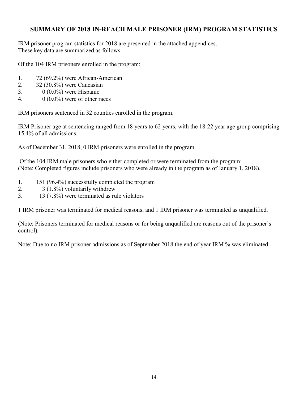#### **SUMMARY OF 2018 IN-REACH MALE PRISONER (IRM) PROGRAM STATISTICS**

IRM prisoner program statistics for 2018 are presented in the attached appendices. These key data are summarized as follows:

Of the 104 IRM prisoners enrolled in the program:

- 1. 72 (69.2%) were African-American
- 2. 32 (30.8%) were Caucasian
- 3. 0 (0.0%) were Hispanic
- 4.  $0 \ (0.0\%)$  were of other races

IRM prisoners sentenced in 32 counties enrolled in the program.

IRM Prisoner age at sentencing ranged from 18 years to 62 years, with the 18-22 year age group comprising 15.4% of all admissions.

As of December 31, 2018, 0 IRM prisoners were enrolled in the program.

Of the 104 IRM male prisoners who either completed or were terminated from the program: (Note: Completed figures include prisoners who were already in the program as of January 1, 2018).

- 1. 151 (96.4%) successfully completed the program
- 2. 3 (1.8%) voluntarily withdrew
- 3. 13 (7.8%) were terminated as rule violators

1 IRM prisoner was terminated for medical reasons, and 1 IRM prisoner was terminated as unqualified.

(Note: Prisoners terminated for medical reasons or for being unqualified are reasons out of the prisoner's control).

Note: Due to no IRM prisoner admissions as of September 2018 the end of year IRM % was eliminated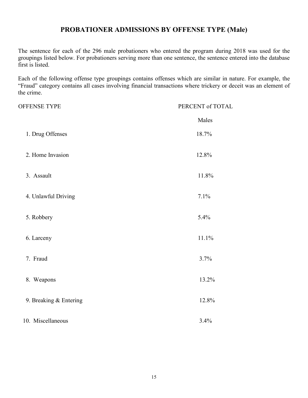#### **PROBATIONER ADMISSIONS BY OFFENSE TYPE (Male)**

The sentence for each of the 296 male probationers who entered the program during 2018 was used for the groupings listed below. For probationers serving more than one sentence, the sentence entered into the database first is listed.

| <b>OFFENSE TYPE</b>    | PERCENT of TOTAL |
|------------------------|------------------|
|                        | Males            |
| 1. Drug Offenses       | 18.7%            |
| 2. Home Invasion       | 12.8%            |
| 3. Assault             | 11.8%            |
| 4. Unlawful Driving    | 7.1%             |
| 5. Robbery             | 5.4%             |
| 6. Larceny             | 11.1%            |
| 7. Fraud               | 3.7%             |
| 8. Weapons             | 13.2%            |
| 9. Breaking & Entering | 12.8%            |
| 10. Miscellaneous      | 3.4%             |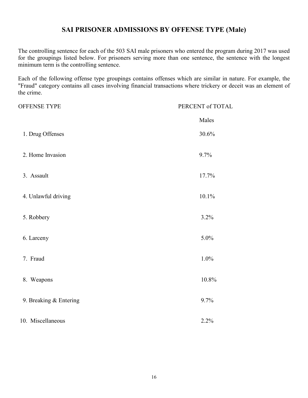#### **SAI PRISONER ADMISSIONS BY OFFENSE TYPE (Male)**

The controlling sentence for each of the 503 SAI male prisoners who entered the program during 2017 was used for the groupings listed below. For prisoners serving more than one sentence, the sentence with the longest minimum term is the controlling sentence.

| <b>OFFENSE TYPE</b>    | PERCENT of TOTAL |
|------------------------|------------------|
|                        | Males            |
| 1. Drug Offenses       | 30.6%            |
| 2. Home Invasion       | 9.7%             |
| 3. Assault             | 17.7%            |
| 4. Unlawful driving    | 10.1%            |
| 5. Robbery             | 3.2%             |
| 6. Larceny             | 5.0%             |
| 7. Fraud               | 1.0%             |
| 8. Weapons             | 10.8%            |
| 9. Breaking & Entering | 9.7%             |
| 10. Miscellaneous      | 2.2%             |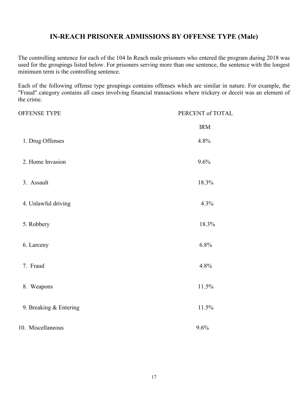#### **IN-REACH PRISONER ADMISSIONS BY OFFENSE TYPE (Male)**

The controlling sentence for each of the 104 In Reach male prisoners who entered the program during 2018 was used for the groupings listed below. For prisoners serving more than one sentence, the sentence with the longest minimum term is the controlling sentence.

| OFFENSE TYPE           | PERCENT of TOTAL |
|------------------------|------------------|
|                        | <b>IRM</b>       |
| 1. Drug Offenses       | 4.8%             |
| 2. Home Invasion       | 9.6%             |
| 3. Assault             | 18.3%            |
| 4. Unlawful driving    | 4.3%             |
| 5. Robbery             | 18.3%            |
| 6. Larceny             | 6.8%             |
| 7. Fraud               | 4.8%             |
| 8. Weapons             | 11.5%            |
| 9. Breaking & Entering | 11.5%            |
| 10. Miscellaneous      | 9.6%             |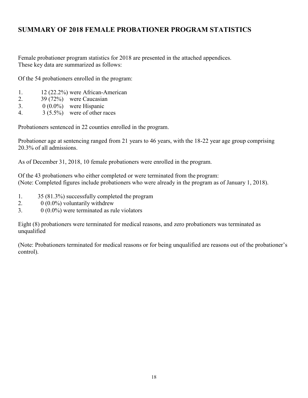### **SUMMARY OF 2018 FEMALE PROBATIONER PROGRAM STATISTICS**

Female probationer program statistics for 2018 are presented in the attached appendices. These key data are summarized as follows:

Of the 54 probationers enrolled in the program:

- 1. 12 (22.2%) were African-American
- 2. 39 (72%) were Caucasian
- 3.  $0(0.0\%)$  were Hispanic
- 4. 3 (5.5%) were of other races

Probationers sentenced in 22 counties enrolled in the program.

Probationer age at sentencing ranged from 21 years to 46 years, with the 18-22 year age group comprising 20.3% of all admissions.

As of December 31, 2018, 10 female probationers were enrolled in the program.

Of the 43 probationers who either completed or were terminated from the program: (Note: Completed figures include probationers who were already in the program as of January 1, 2018).

- 1. 35 (81.3%) successfully completed the program
- 2.  $0(0.0\%)$  voluntarily withdrew
- 3.  $0 \ (0.0\%)$  were terminated as rule violators

Eight (8) probationers were terminated for medical reasons, and zero probationers was terminated as unqualified

(Note: Probationers terminated for medical reasons or for being unqualified are reasons out of the probationer's control).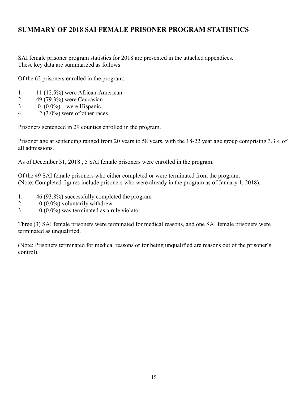### **SUMMARY OF 2018 SAI FEMALE PRISONER PROGRAM STATISTICS**

SAI female prisoner program statistics for 2018 are presented in the attached appendices. These key data are summarized as follows:

Of the 62 prisoners enrolled in the program:

- 1. 11 (12.5%) were African-American
- 2. 49 (79.3%) were Caucasian
- 3. 0 (0.0%) were Hispanic
- 4.  $2(3.0\%)$  were of other races

Prisoners sentenced in 29 counties enrolled in the program.

Prisoner age at sentencing ranged from 20 years to 58 years, with the 18-22 year age group comprising 3.3% of all admissions.

As of December 31, 2018 , 5 SAI female prisoners were enrolled in the program.

Of the 49 SAI female prisoners who either completed or were terminated from the program: (Note: Completed figures include prisoners who were already in the program as of January 1, 2018).

- 1. 46 (93.8%) successfully completed the program
- 2.  $0 \ (0.0\%)$  voluntarily withdrew
- 3.  $0 \ (0.0\%)$  was terminated as a rule violator

Three (3) SAI female prisoners were terminated for medical reasons, and one SAI female prisoners were terminated as unqualified.

(Note: Prisoners terminated for medical reasons or for being unqualified are reasons out of the prisoner's control).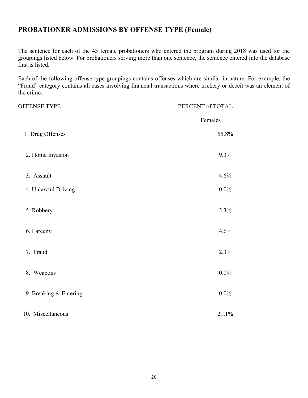#### **PROBATIONER ADMISSIONS BY OFFENSE TYPE (Female)**

The sentence for each of the 43 female probationers who entered the program during 2018 was used for the groupings listed below. For probationers serving more than one sentence, the sentence entered into the database first is listed.

| <b>OFFENSE TYPE</b>    | PERCENT of TOTAL |
|------------------------|------------------|
|                        | Females          |
| 1. Drug Offenses       | 55.8%            |
| 2. Home Invasion       | 9.3%             |
| 3. Assault             | 4.6%             |
| 4. Unlawful Driving    | $0.0\%$          |
| 5. Robbery             | 2.3%             |
| 6. Larceny             | 4.6%             |
| 7. Fraud               | 2.3%             |
| 8. Weapons             | $0.0\%$          |
| 9. Breaking & Entering | $0.0\%$          |
| 10. Miscellaneous      | 21.1%            |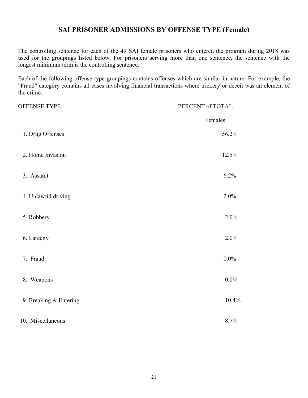#### **SAI PRISONER ADMISSIONS BY OFFENSE TYPE (Female)**

The controlling sentence for each of the 49 SAI female prisoners who entered the program during 2018 was used for the groupings listed below. For prisoners serving more than one sentence, the sentence with the longest minimum term is the controlling sentence.

| OFFENSE TYPE           | PERCENT of TOTAL |
|------------------------|------------------|
|                        | Females          |
| 1. Drug Offenses       | 56.2%            |
| 2. Home Invasion       | 12.5%            |
| 3. Assault             | 6.2%             |
| 4. Unlawful driving    | 2.0%             |
| 5. Robbery             | 2.0%             |
| 6. Larceny             | 2.0%             |
| 7. Fraud               | $0.0\%$          |
| 8. Weapons             | $0.0\%$          |
| 9. Breaking & Entering | 10.4%            |
| 10. Miscellaneous      | 8.7%             |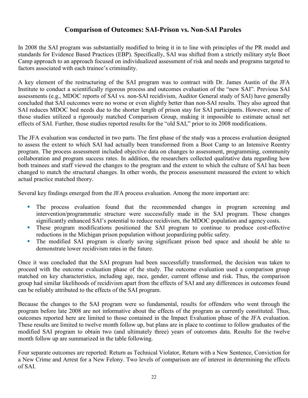#### **Comparison of Outcomes: SAI-Prison vs. Non-SAI Paroles**

In 2008 the SAI program was substantially modified to bring it in to line with principles of the PR model and standards for Evidence Based Practices (EBP). Specifically, SAI was shifted from a strictly military style Boot Camp approach to an approach focused on individualized assessment of risk and needs and programs targeted to factors associated with each trainee's criminality.

A key element of the restructuring of the SAI program was to contract with Dr. James Austin of the JFA Institute to conduct a scientifically rigorous process and outcomes evaluation of the "new SAI". Previous SAI assessments (e.g., MDOC reports of SAI vs. non-SAI recidivism, Auditor General study of SAI) have generally concluded that SAI outcomes were no worse or even slightly better than non-SAI results. They also agreed that SAI reduces MDOC bed needs due to the shorter length of prison stay for SAI participants. However, none of those studies utilized a rigorously matched Comparison Group, making it impossible to estimate actual net effects of SAI. Further, those studies reported results for the "old SAI," prior to its 2008 modifications.

The JFA evaluation was conducted in two parts. The first phase of the study was a process evaluation designed to assess the extent to which SAI had actually been transformed from a Boot Camp to an Intensive Reentry program. The process assessment included objective data on changes to assessment, programming, community collaboration and program success rates. In addition, the researchers collected qualitative data regarding how both trainees and staff viewed the changes to the program and the extent to which the culture of SAI has been changed to match the structural changes. In other words, the process assessment measured the extent to which actual practice matched theory.

Several key findings emerged from the JFA process evaluation. Among the more important are:

- The process evaluation found that the recommended changes in program screening and intervention/programmatic structure were successfully made in the SAI program. These changes significantly enhanced SAI's potential to reduce recidivism, the MDOC population and agency costs.
- These program modifications positioned the SAI program to continue to produce cost-effective reductions in the Michigan prison population without jeopardizing public safety.
- The modified SAI program is clearly saving significant prison bed space and should be able to demonstrate lower recidivism rates in the future.

Once it was concluded that the SAI program had been successfully transformed, the decision was taken to proceed with the outcome evaluation phase of the study. The outcome evaluation used a comparison group matched on key characteristics, including age, race, gender, current offense and risk. Thus, the comparison group had similar likelihoods of recidivism apart from the effects of SAI and any differences in outcomes found can be reliably attributed to the effects of the SAI program.

Because the changes to the SAI program were so fundamental, results for offenders who went through the program before late 2008 are not informative about the effects of the program as currently constituted. Thus, outcomes reported here are limited to those contained in the Impact Evaluation phase of the JFA evaluation. These results are limited to twelve month follow up, but plans are in place to continue to follow graduates of the modified SAI program to obtain two (and ultimately three) years of outcomes data. Results for the twelve month follow up are summarized in the table following.

Four separate outcomes are reported: Return as Technical Violator, Return with a New Sentence, Conviction for a New Crime and Arrest for a New Felony. Two levels of comparison are of interest in determining the effects of SAI.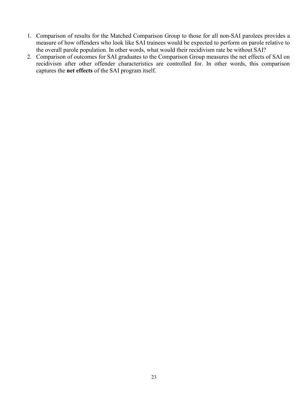- 1. Comparison of results for the Matched Comparison Group to those for all non-SAI parolees provides a measure of how offenders who look like SAI trainees would be expected to perform on parole relative to the overall parole population. In other words, what would their recidivism rate be without SAI?
- 2. Comparison of outcomes for SAI graduates to the Comparison Group measures the net effects of SAI on recidivism after other offender characteristics are controlled for. In other words, this comparison captures the **net effects** of the SAI program itself.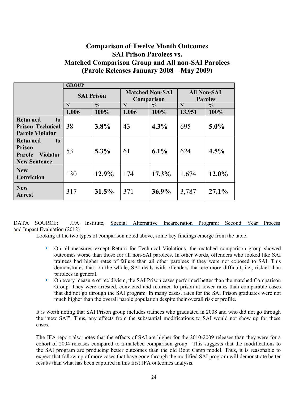#### **Comparison of Twelve Month Outcomes SAI Prison Parolees vs. Matched Comparison Group and All non-SAI Parolees (Parole Releases January 2008 – May 2009)**

|                                                                                                   | <b>GROUP</b>      |               |                                      |               |                                      |               |
|---------------------------------------------------------------------------------------------------|-------------------|---------------|--------------------------------------|---------------|--------------------------------------|---------------|
|                                                                                                   | <b>SAI Prison</b> |               | <b>Matched Non-SAI</b><br>Comparison |               | <b>All Non-SAI</b><br><b>Paroles</b> |               |
|                                                                                                   | N                 | $\frac{0}{0}$ | N                                    | $\frac{0}{0}$ | N                                    | $\frac{0}{0}$ |
|                                                                                                   | 1,006             | 100%          | 1,006                                | 100%          | 13,951                               | 100%          |
| <b>Returned</b><br>to                                                                             |                   |               |                                      |               |                                      |               |
| <b>Prison Technical</b>                                                                           | 38                | 3.8%          | 43                                   | $4.3\%$       | 695                                  | $5.0\%$       |
| <b>Parole Violator</b>                                                                            |                   |               |                                      |               |                                      |               |
| <b>Returned</b><br>to<br><b>Prison</b><br><b>Violator</b><br><b>Parole</b><br><b>New Sentence</b> | 53                | $5.3\%$       | 61                                   | $6.1\%$       | 624                                  | $4.5\%$       |
| <b>New</b><br>Conviction                                                                          | 130               | 12.9%         | 174                                  | 17.3%         | 1,674                                | $12.0\%$      |
| <b>New</b><br><b>Arrest</b>                                                                       | 317               | 31.5%         | 371                                  | 36.9%         | 3,787                                | 27.1%         |

DATA SOURCE: JFA Institute, Special Alternative Incarceration Program: Second Year Process and Impact Evaluation (2012)

Looking at the two types of comparison noted above, some key findings emerge from the table.

- On all measures except Return for Technical Violations, the matched comparison group showed outcomes worse than those for all non-SAI parolees. In other words, offenders who looked like SAI trainees had higher rates of failure than all other parolees if they were not exposed to SAI. This demonstrates that, on the whole, SAI deals with offenders that are more difficult, i.e., riskier than parolees in general.
- On every measure of recidivism, the SAI Prison cases performed better than the matched Comparison Group. They were arrested, convicted and returned to prison at lower rates than comparable cases that did not go through the SAI program. In many cases, rates for the SAI Prison graduates were not much higher than the overall parole population despite their overall riskier profile.

It is worth noting that SAI Prison group includes trainees who graduated in 2008 and who did not go through the "new SAI". Thus, any effects from the substantial modifications to SAI would not show up for these cases.

The JFA report also notes that the effects of SAI are higher for the 2010-2009 releases than they were for a cohort of 2004 releases compared to a matched comparison group. This suggests that the modifications to the SAI program are producing better outcomes than the old Boot Camp model. Thus, it is reasonable to expect that follow up of more cases that have gone through the modified SAI program will demonstrate better results than what has been captured in this first JFA outcomes analysis.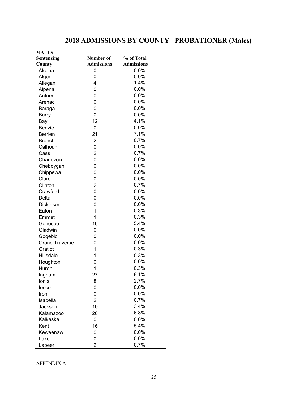## **2018 ADMISSIONS BY COUNTY –PROBATIONER (Males)**

| <b>MALES</b>          |                   |                   |
|-----------------------|-------------------|-------------------|
| Sentencing            | Number of         | % of Total        |
| County                | <b>Admissions</b> | <b>Admissions</b> |
| Alcona                | 0                 | 0.0%              |
| Alger                 | 0                 | 0.0%              |
| Allegan               | 4                 | 1.4%              |
| Alpena                | 0                 | 0.0%              |
| Antrim                | 0                 | 0.0%              |
| Arenac                | 0                 | 0.0%              |
| Baraga                | 0                 | 0.0%              |
| Barry                 | 0                 | 0.0%              |
| Bay                   | 12                | 4.1%              |
| Benzie                | 0                 | 0.0%              |
| <b>Berrien</b>        | 21                | 7.1%              |
| <b>Branch</b>         | $\overline{2}$    | 0.7%              |
| Calhoun               | 0                 | 0.0%              |
| Cass                  | $\overline{2}$    | 0.7%              |
| Charlevoix            | 0                 | 0.0%              |
| Cheboygan             | 0                 | 0.0%              |
| Chippewa              | 0                 | 0.0%              |
| Clare                 | 0                 | 0.0%              |
| Clinton               | 2                 | 0.7%              |
| Crawford              | 0                 | 0.0%              |
| Delta                 | 0                 | 0.0%              |
| Dickinson             | 0                 | 0.0%              |
| Eaton                 | 1                 | 0.3%              |
| Emmet                 | 1                 | 0.3%              |
| Genesee               | 16                | 5.4%              |
| Gladwin               | 0                 | 0.0%              |
| Gogebic               | 0                 | 0.0%              |
| <b>Grand Traverse</b> | 0                 | 0.0%              |
| Gratiot               | 1                 | 0.3%              |
| <b>Hillsdale</b>      | 1                 | 0.3%              |
| Houghton              | 0                 | 0.0%              |
| Huron                 | 1                 | 0.3%              |
| Ingham                | 27                | 9.1%              |
| Ionia                 | 8                 | 2.7%              |
| losco                 | 0                 | 0.0%              |
| Iron                  | 0                 | 0.0%              |
| Isabella              | $\overline{c}$    | 0.7%              |
| Jackson               | 10                | 3.4%              |
| Kalamazoo             | 20                | 6.8%              |
| Kalkaska              | 0                 | 0.0%              |
| Kent                  | 16                | 5.4%              |
| Keweenaw              | 0                 | 0.0%              |
| Lake                  | 0                 | 0.0%              |
| Lapeer                | $\overline{c}$    | 0.7%              |

APPENDIX A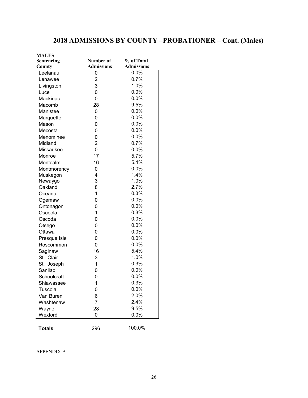## **2018 ADMISSIONS BY COUNTY –PROBATIONER – Cont. (Males)**

| <b>MALES</b>  |                   |                   |
|---------------|-------------------|-------------------|
| Sentencing    | Number of         | % of Total        |
| County        | <b>Admissions</b> | <b>Admissions</b> |
| Leelanau      | 0                 | 0.0%              |
| Lenawee       | $\overline{2}$    | 0.7%              |
| Livingston    | 3                 | 1.0%              |
| Luce          | 0                 | 0.0%              |
| Mackinac      | 0                 | 0.0%              |
| Macomb        | 28                | 9.5%              |
| Manistee      | 0                 | 0.0%              |
| Marquette     | 0                 | 0.0%              |
| Mason         | 0                 | 0.0%              |
| Mecosta       | 0                 | 0.0%              |
| Menominee     | 0                 | 0.0%              |
| Midland       | $\overline{2}$    | 0.7%              |
| Missaukee     | 0                 | 0.0%              |
| Monroe        | 17                | 5.7%              |
| Montcalm      | 16                | 5.4%              |
| Montmorency   | 0                 | 0.0%              |
| Muskegon      | 4                 | 1.4%              |
| Newaygo       | 3                 | 1.0%              |
| Oakland       | 8                 | 2.7%              |
| Oceana        | 1                 | 0.3%              |
| Ogemaw        | 0                 | 0.0%              |
| Ontonagon     | 0                 | 0.0%              |
| Osceola       | 1                 | 0.3%              |
| Oscoda        | 0                 | 0.0%              |
| Otsego        | 0                 | 0.0%              |
| Ottawa        | 0                 | 0.0%              |
| Presque Isle  | 0                 | 0.0%              |
| Roscommon     | 0                 | $0.0\%$           |
| Saginaw       | 16                | 5.4%              |
| St. Clair     | 3                 | 1.0%              |
| St. Joseph    | 1                 | 0.3%              |
| Sanilac       | 0                 | 0.0%              |
| Schoolcraft   | 0                 | 0.0%              |
| Shiawassee    | 1                 | 0.3%              |
| Tuscola       | 0                 | 0.0%              |
| Van Buren     | 6                 | 2.0%              |
| Washtenaw     | $\overline{7}$    | 2.4%              |
| Wayne         | 28                | 9.5%              |
| Wexford       | 0                 | 0.0%              |
|               |                   |                   |
| <b>Totals</b> | 296               | 100.0%            |

APPENDIX A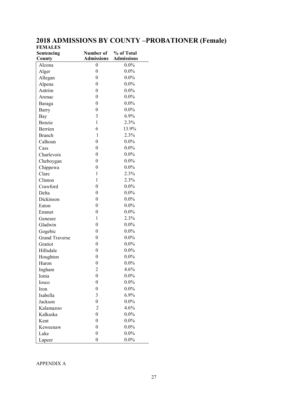#### **2018 ADMISSIONS BY COUNTY –PROBATIONER (Female) FEMALES**

| Sentencing            | Number of        | % of Total        |
|-----------------------|------------------|-------------------|
| County                | Admissions       | <b>Admissions</b> |
| Alcona                | 0                | $0.0\%$           |
| Alger                 | $\boldsymbol{0}$ | $0.0\%$           |
| Allegan               | $\boldsymbol{0}$ | $0.0\%$           |
| Alpena                | $\boldsymbol{0}$ | $0.0\%$           |
| Antrim                | $\boldsymbol{0}$ | $0.0\%$           |
| Arenac                | $\boldsymbol{0}$ | $0.0\%$           |
| Baraga                | $\boldsymbol{0}$ | $0.0\%$           |
| Barry                 | $\boldsymbol{0}$ | $0.0\%$           |
| Bay                   | 3                | 6.9%              |
| Benzie                | $\mathbf{1}$     | 2.3%              |
| Berrien               | 6                | 13.9%             |
| <b>Branch</b>         | $\mathbf{1}$     | 2.3%              |
| Calhoun               | $\boldsymbol{0}$ | $0.0\%$           |
| Cass                  | $\boldsymbol{0}$ | $0.0\%$           |
| Charlevoix            | $\boldsymbol{0}$ | $0.0\%$           |
| Cheboygan             | $\boldsymbol{0}$ | $0.0\%$           |
| Chippewa              | $\mathbf{0}$     | $0.0\%$           |
| Clare                 | $\mathbf{1}$     | 2.3%              |
| Clinton               | $\mathbf{1}$     | 2.3%              |
| Crawford              | $\boldsymbol{0}$ | $0.0\%$           |
| Delta                 | $\boldsymbol{0}$ | $0.0\%$           |
| Dickinson             | $\boldsymbol{0}$ | $0.0\%$           |
| Eaton                 | $\boldsymbol{0}$ | $0.0\%$           |
| Emmet                 | $\boldsymbol{0}$ | $0.0\%$           |
| Genesee               | $\mathbf{1}$     | 2.3%              |
| Gladwin               | $\boldsymbol{0}$ | $0.0\%$           |
| Gogebic               | $\boldsymbol{0}$ | $0.0\%$           |
| <b>Grand Traverse</b> | $\boldsymbol{0}$ | $0.0\%$           |
| Gratiot               | $\boldsymbol{0}$ | $0.0\%$           |
| Hillsdale             | $\boldsymbol{0}$ | $0.0\%$           |
| Houghton              | $\boldsymbol{0}$ | $0.0\%$           |
| Huron                 | $\boldsymbol{0}$ | $0.0\%$           |
| Ingham                | $\overline{2}$   | 4.6%              |
| Ionia                 | $\boldsymbol{0}$ | $0.0\%$           |
| Iosco                 | $\boldsymbol{0}$ | $0.0\%$           |
| Iron                  | $\boldsymbol{0}$ | $0.0\%$           |
| Isabella              | 3                | 6.9%              |
| Jackson               | $\boldsymbol{0}$ | $0.0\%$           |
| Kalamazoo             | $\overline{c}$   | 4.6%              |
| Kalkaska              | $\overline{0}$   | $0.0\%$           |
| Kent                  | $\boldsymbol{0}$ | $0.0\%$           |
| Keweenaw              | $\boldsymbol{0}$ | $0.0\%$           |
| Lake                  | $\boldsymbol{0}$ | $0.0\%$           |
|                       | $\boldsymbol{0}$ | $0.0\%$           |
| Lapeer                |                  |                   |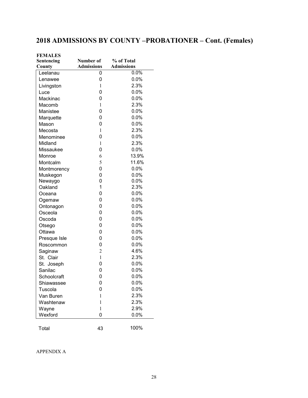## **2018 ADMISSIONS BY COUNTY –PROBATIONER – Cont. (Females)**

| <b>FEMALES</b> |                   |                   |
|----------------|-------------------|-------------------|
| Sentencing     | Number of         | % of Total        |
| County         | <b>Admissions</b> | <b>Admissions</b> |
| Leelanau       | 0                 | 0.0%              |
| Lenawee        | 0                 | 0.0%              |
| Livingston     | 1                 | 2.3%              |
| Luce           | 0                 | 0.0%              |
| Mackinac       | 0                 | 0.0%              |
| Macomb         | 1                 | 2.3%              |
| Manistee       | 0                 | 0.0%              |
| Marquette      | 0                 | $0.0\%$           |
| Mason          | 0                 | $0.0\%$           |
| Mecosta        | $\mathbf{1}$      | 2.3%              |
| Menominee      | 0                 | $0.0\%$           |
| Midland        | 1                 | 2.3%              |
| Missaukee      | 0                 | 0.0%              |
| Monroe         | 6                 | 13.9%             |
| Montcalm       | 5                 | 11.6%             |
| Montmorency    | 0                 | 0.0%              |
| Muskegon       | 0                 | $0.0\%$           |
| Newaygo        | 0                 | 0.0%              |
| Oakland        | 1                 | 2.3%              |
| Oceana         | 0                 | 0.0%              |
| Ogemaw         | 0                 | 0.0%              |
| Ontonagon      | 0                 | $0.0\%$           |
| Osceola        | 0                 | 0.0%              |
| Oscoda         | 0                 | $0.0\%$           |
| Otsego         | 0                 | $0.0\%$           |
| Ottawa         | 0                 | $0.0\%$           |
| Presque Isle   | 0                 | $0.0\%$           |
| Roscommon      | 0                 | $0.0\%$           |
| Saginaw        | $\overline{c}$    | 4.6%              |
| St. Clair      | $\mathbf{1}$      | 2.3%              |
| St. Joseph     | 0                 | 0.0%              |
| Sanilac        | 0                 | 0.0%              |
| Schoolcraft    | 0                 | 0.0%              |
| Shiawassee     | 0                 | 0.0%              |
| Tuscola        | 0                 | 0.0%              |
| Van Buren      | 1                 | 2.3%              |
| Washtenaw      | 1                 | 2.3%              |
| Wayne          | $\mathbf{1}$      | 2.9%              |
| Wexford        | 0                 | 0.0%              |
| Total          | 43                | 100%              |

APPENDIX A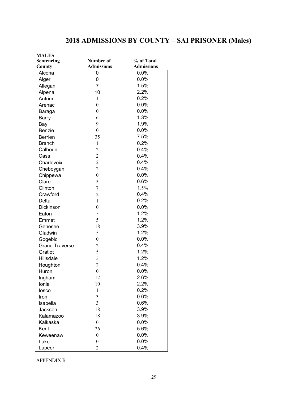## **2018 ADMISSIONS BY COUNTY – SAI PRISONER (Males)**

| % of Total<br>Number of<br>Sentencing<br><b>Admissions</b><br><b>Admissions</b><br>County<br>0.0%<br>Alcona<br>0<br>0.0%<br>0<br>Alger<br>1.5%<br>$\overline{7}$<br>Allegan<br>2.2%<br>Alpena<br>10<br>0.2%<br>Antrim<br>$\mathbf{1}$<br>0.0%<br>$\boldsymbol{0}$<br>Arenac<br>0.0%<br>$\boldsymbol{0}$<br>Baraga<br>1.3%<br>6<br>Barry<br>9<br>1.9%<br>Bay<br>0.0%<br>$\boldsymbol{0}$<br><b>Benzie</b><br>7.5%<br>35<br><b>Berrien</b><br>0.2%<br>$\mathbf{1}$<br><b>Branch</b><br>$\overline{2}$<br>0.4%<br>Calhoun<br>$\overline{2}$<br>0.4%<br>Cass<br>$\overline{2}$<br>0.4%<br>Charlevoix<br>$\overline{2}$<br>0.4%<br>Cheboygan<br>0.0%<br>$\boldsymbol{0}$<br>Chippewa<br>$\overline{3}$<br>0.6%<br>Clare<br>$\overline{7}$<br>1.5%<br>Clinton<br>0.4%<br>$\overline{2}$<br>Crawford<br>0.2%<br>$\mathbf{1}$<br>Delta<br>$\boldsymbol{0}$<br>0.0%<br>Dickinson<br>5<br>1.2%<br>Eaton<br>5<br>1.2%<br>Emmet<br>3.9%<br>18<br>Genesee<br>1.2%<br>5<br>Gladwin<br>$\boldsymbol{0}$<br>0.0%<br>Gogebic<br>0.4%<br><b>Grand Traverse</b><br>$\overline{c}$<br>5<br>1.2%<br>Gratiot<br>5<br>1.2%<br>Hillsdale<br>$\overline{c}$<br>0.4%<br>Houghton<br>$\mathbf{0}$<br>0.0%<br>Huron<br>12<br>2.6%<br>Ingham<br>2.2%<br>10<br>Ionia<br>0.2%<br>$\mathbf{1}$<br>losco<br>0.6%<br>$\mathfrak{Z}$<br>Iron<br>$\overline{3}$<br>0.6%<br>Isabella<br>3.9%<br>Jackson<br>18<br>18<br>3.9%<br>Kalamazoo<br>0.0%<br>$\boldsymbol{0}$<br>Kalkaska<br>5.6%<br>26<br>Kent<br>$\boldsymbol{0}$<br>0.0%<br>Keweenaw<br>0.0%<br>$\boldsymbol{0}$<br>Lake | <b>MALES</b> |                |      |
|-----------------------------------------------------------------------------------------------------------------------------------------------------------------------------------------------------------------------------------------------------------------------------------------------------------------------------------------------------------------------------------------------------------------------------------------------------------------------------------------------------------------------------------------------------------------------------------------------------------------------------------------------------------------------------------------------------------------------------------------------------------------------------------------------------------------------------------------------------------------------------------------------------------------------------------------------------------------------------------------------------------------------------------------------------------------------------------------------------------------------------------------------------------------------------------------------------------------------------------------------------------------------------------------------------------------------------------------------------------------------------------------------------------------------------------------------------------------------------------------------------------------------------------------------|--------------|----------------|------|
|                                                                                                                                                                                                                                                                                                                                                                                                                                                                                                                                                                                                                                                                                                                                                                                                                                                                                                                                                                                                                                                                                                                                                                                                                                                                                                                                                                                                                                                                                                                                               |              |                |      |
|                                                                                                                                                                                                                                                                                                                                                                                                                                                                                                                                                                                                                                                                                                                                                                                                                                                                                                                                                                                                                                                                                                                                                                                                                                                                                                                                                                                                                                                                                                                                               |              |                |      |
|                                                                                                                                                                                                                                                                                                                                                                                                                                                                                                                                                                                                                                                                                                                                                                                                                                                                                                                                                                                                                                                                                                                                                                                                                                                                                                                                                                                                                                                                                                                                               |              |                |      |
|                                                                                                                                                                                                                                                                                                                                                                                                                                                                                                                                                                                                                                                                                                                                                                                                                                                                                                                                                                                                                                                                                                                                                                                                                                                                                                                                                                                                                                                                                                                                               |              |                |      |
|                                                                                                                                                                                                                                                                                                                                                                                                                                                                                                                                                                                                                                                                                                                                                                                                                                                                                                                                                                                                                                                                                                                                                                                                                                                                                                                                                                                                                                                                                                                                               |              |                |      |
|                                                                                                                                                                                                                                                                                                                                                                                                                                                                                                                                                                                                                                                                                                                                                                                                                                                                                                                                                                                                                                                                                                                                                                                                                                                                                                                                                                                                                                                                                                                                               |              |                |      |
|                                                                                                                                                                                                                                                                                                                                                                                                                                                                                                                                                                                                                                                                                                                                                                                                                                                                                                                                                                                                                                                                                                                                                                                                                                                                                                                                                                                                                                                                                                                                               |              |                |      |
|                                                                                                                                                                                                                                                                                                                                                                                                                                                                                                                                                                                                                                                                                                                                                                                                                                                                                                                                                                                                                                                                                                                                                                                                                                                                                                                                                                                                                                                                                                                                               |              |                |      |
|                                                                                                                                                                                                                                                                                                                                                                                                                                                                                                                                                                                                                                                                                                                                                                                                                                                                                                                                                                                                                                                                                                                                                                                                                                                                                                                                                                                                                                                                                                                                               |              |                |      |
|                                                                                                                                                                                                                                                                                                                                                                                                                                                                                                                                                                                                                                                                                                                                                                                                                                                                                                                                                                                                                                                                                                                                                                                                                                                                                                                                                                                                                                                                                                                                               |              |                |      |
|                                                                                                                                                                                                                                                                                                                                                                                                                                                                                                                                                                                                                                                                                                                                                                                                                                                                                                                                                                                                                                                                                                                                                                                                                                                                                                                                                                                                                                                                                                                                               |              |                |      |
|                                                                                                                                                                                                                                                                                                                                                                                                                                                                                                                                                                                                                                                                                                                                                                                                                                                                                                                                                                                                                                                                                                                                                                                                                                                                                                                                                                                                                                                                                                                                               |              |                |      |
|                                                                                                                                                                                                                                                                                                                                                                                                                                                                                                                                                                                                                                                                                                                                                                                                                                                                                                                                                                                                                                                                                                                                                                                                                                                                                                                                                                                                                                                                                                                                               |              |                |      |
|                                                                                                                                                                                                                                                                                                                                                                                                                                                                                                                                                                                                                                                                                                                                                                                                                                                                                                                                                                                                                                                                                                                                                                                                                                                                                                                                                                                                                                                                                                                                               |              |                |      |
|                                                                                                                                                                                                                                                                                                                                                                                                                                                                                                                                                                                                                                                                                                                                                                                                                                                                                                                                                                                                                                                                                                                                                                                                                                                                                                                                                                                                                                                                                                                                               |              |                |      |
|                                                                                                                                                                                                                                                                                                                                                                                                                                                                                                                                                                                                                                                                                                                                                                                                                                                                                                                                                                                                                                                                                                                                                                                                                                                                                                                                                                                                                                                                                                                                               |              |                |      |
|                                                                                                                                                                                                                                                                                                                                                                                                                                                                                                                                                                                                                                                                                                                                                                                                                                                                                                                                                                                                                                                                                                                                                                                                                                                                                                                                                                                                                                                                                                                                               |              |                |      |
|                                                                                                                                                                                                                                                                                                                                                                                                                                                                                                                                                                                                                                                                                                                                                                                                                                                                                                                                                                                                                                                                                                                                                                                                                                                                                                                                                                                                                                                                                                                                               |              |                |      |
|                                                                                                                                                                                                                                                                                                                                                                                                                                                                                                                                                                                                                                                                                                                                                                                                                                                                                                                                                                                                                                                                                                                                                                                                                                                                                                                                                                                                                                                                                                                                               |              |                |      |
|                                                                                                                                                                                                                                                                                                                                                                                                                                                                                                                                                                                                                                                                                                                                                                                                                                                                                                                                                                                                                                                                                                                                                                                                                                                                                                                                                                                                                                                                                                                                               |              |                |      |
|                                                                                                                                                                                                                                                                                                                                                                                                                                                                                                                                                                                                                                                                                                                                                                                                                                                                                                                                                                                                                                                                                                                                                                                                                                                                                                                                                                                                                                                                                                                                               |              |                |      |
|                                                                                                                                                                                                                                                                                                                                                                                                                                                                                                                                                                                                                                                                                                                                                                                                                                                                                                                                                                                                                                                                                                                                                                                                                                                                                                                                                                                                                                                                                                                                               |              |                |      |
|                                                                                                                                                                                                                                                                                                                                                                                                                                                                                                                                                                                                                                                                                                                                                                                                                                                                                                                                                                                                                                                                                                                                                                                                                                                                                                                                                                                                                                                                                                                                               |              |                |      |
|                                                                                                                                                                                                                                                                                                                                                                                                                                                                                                                                                                                                                                                                                                                                                                                                                                                                                                                                                                                                                                                                                                                                                                                                                                                                                                                                                                                                                                                                                                                                               |              |                |      |
|                                                                                                                                                                                                                                                                                                                                                                                                                                                                                                                                                                                                                                                                                                                                                                                                                                                                                                                                                                                                                                                                                                                                                                                                                                                                                                                                                                                                                                                                                                                                               |              |                |      |
|                                                                                                                                                                                                                                                                                                                                                                                                                                                                                                                                                                                                                                                                                                                                                                                                                                                                                                                                                                                                                                                                                                                                                                                                                                                                                                                                                                                                                                                                                                                                               |              |                |      |
|                                                                                                                                                                                                                                                                                                                                                                                                                                                                                                                                                                                                                                                                                                                                                                                                                                                                                                                                                                                                                                                                                                                                                                                                                                                                                                                                                                                                                                                                                                                                               |              |                |      |
|                                                                                                                                                                                                                                                                                                                                                                                                                                                                                                                                                                                                                                                                                                                                                                                                                                                                                                                                                                                                                                                                                                                                                                                                                                                                                                                                                                                                                                                                                                                                               |              |                |      |
|                                                                                                                                                                                                                                                                                                                                                                                                                                                                                                                                                                                                                                                                                                                                                                                                                                                                                                                                                                                                                                                                                                                                                                                                                                                                                                                                                                                                                                                                                                                                               |              |                |      |
|                                                                                                                                                                                                                                                                                                                                                                                                                                                                                                                                                                                                                                                                                                                                                                                                                                                                                                                                                                                                                                                                                                                                                                                                                                                                                                                                                                                                                                                                                                                                               |              |                |      |
|                                                                                                                                                                                                                                                                                                                                                                                                                                                                                                                                                                                                                                                                                                                                                                                                                                                                                                                                                                                                                                                                                                                                                                                                                                                                                                                                                                                                                                                                                                                                               |              |                |      |
|                                                                                                                                                                                                                                                                                                                                                                                                                                                                                                                                                                                                                                                                                                                                                                                                                                                                                                                                                                                                                                                                                                                                                                                                                                                                                                                                                                                                                                                                                                                                               |              |                |      |
|                                                                                                                                                                                                                                                                                                                                                                                                                                                                                                                                                                                                                                                                                                                                                                                                                                                                                                                                                                                                                                                                                                                                                                                                                                                                                                                                                                                                                                                                                                                                               |              |                |      |
|                                                                                                                                                                                                                                                                                                                                                                                                                                                                                                                                                                                                                                                                                                                                                                                                                                                                                                                                                                                                                                                                                                                                                                                                                                                                                                                                                                                                                                                                                                                                               |              |                |      |
|                                                                                                                                                                                                                                                                                                                                                                                                                                                                                                                                                                                                                                                                                                                                                                                                                                                                                                                                                                                                                                                                                                                                                                                                                                                                                                                                                                                                                                                                                                                                               |              |                |      |
|                                                                                                                                                                                                                                                                                                                                                                                                                                                                                                                                                                                                                                                                                                                                                                                                                                                                                                                                                                                                                                                                                                                                                                                                                                                                                                                                                                                                                                                                                                                                               |              |                |      |
|                                                                                                                                                                                                                                                                                                                                                                                                                                                                                                                                                                                                                                                                                                                                                                                                                                                                                                                                                                                                                                                                                                                                                                                                                                                                                                                                                                                                                                                                                                                                               |              |                |      |
|                                                                                                                                                                                                                                                                                                                                                                                                                                                                                                                                                                                                                                                                                                                                                                                                                                                                                                                                                                                                                                                                                                                                                                                                                                                                                                                                                                                                                                                                                                                                               |              |                |      |
|                                                                                                                                                                                                                                                                                                                                                                                                                                                                                                                                                                                                                                                                                                                                                                                                                                                                                                                                                                                                                                                                                                                                                                                                                                                                                                                                                                                                                                                                                                                                               |              |                |      |
|                                                                                                                                                                                                                                                                                                                                                                                                                                                                                                                                                                                                                                                                                                                                                                                                                                                                                                                                                                                                                                                                                                                                                                                                                                                                                                                                                                                                                                                                                                                                               |              |                |      |
|                                                                                                                                                                                                                                                                                                                                                                                                                                                                                                                                                                                                                                                                                                                                                                                                                                                                                                                                                                                                                                                                                                                                                                                                                                                                                                                                                                                                                                                                                                                                               |              |                |      |
|                                                                                                                                                                                                                                                                                                                                                                                                                                                                                                                                                                                                                                                                                                                                                                                                                                                                                                                                                                                                                                                                                                                                                                                                                                                                                                                                                                                                                                                                                                                                               |              |                |      |
|                                                                                                                                                                                                                                                                                                                                                                                                                                                                                                                                                                                                                                                                                                                                                                                                                                                                                                                                                                                                                                                                                                                                                                                                                                                                                                                                                                                                                                                                                                                                               |              |                |      |
|                                                                                                                                                                                                                                                                                                                                                                                                                                                                                                                                                                                                                                                                                                                                                                                                                                                                                                                                                                                                                                                                                                                                                                                                                                                                                                                                                                                                                                                                                                                                               |              |                |      |
|                                                                                                                                                                                                                                                                                                                                                                                                                                                                                                                                                                                                                                                                                                                                                                                                                                                                                                                                                                                                                                                                                                                                                                                                                                                                                                                                                                                                                                                                                                                                               |              |                |      |
|                                                                                                                                                                                                                                                                                                                                                                                                                                                                                                                                                                                                                                                                                                                                                                                                                                                                                                                                                                                                                                                                                                                                                                                                                                                                                                                                                                                                                                                                                                                                               | Lapeer       | $\overline{2}$ | 0.4% |

APPENDIX B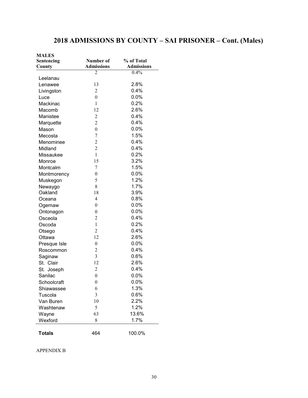## **2018 ADMISSIONS BY COUNTY – SAI PRISONER – Cont. (Males)**

| <b>MALES</b>  |                   |                   |
|---------------|-------------------|-------------------|
| Sentencing    | Number of         | % of Total        |
| County        | <b>Admissions</b> | <b>Admissions</b> |
|               | 2                 | 0.4%              |
| Leelanau      |                   |                   |
| Lenawee       | 13                | 2.8%              |
| Livingston    | $\overline{2}$    | 0.4%              |
| Luce          | $\boldsymbol{0}$  | 0.0%              |
| Mackinac      | $\mathbf{1}$      | 0.2%              |
| Macomb        | 12                | 2.6%              |
| Manistee      | $\overline{c}$    | 0.4%              |
| Marquette     | $\overline{c}$    | 0.4%              |
| Mason         | $\boldsymbol{0}$  | $0.0\%$           |
| Mecosta       | $\boldsymbol{7}$  | 1.5%              |
| Menominee     | $\overline{c}$    | 0.4%              |
| Midland       | $\overline{c}$    | 0.4%              |
| Missaukee     | $\mathbf{1}$      | 0.2%              |
| Monroe        | 15                | 3.2%              |
| Montcalm      | 7                 | 1.5%              |
| Montmorency   | $\mathbf{0}$      | 0.0%              |
| Muskegon      | 5                 | 1.2%              |
| Newaygo       | 8                 | 1.7%              |
| Oakland       | 18                | 3.9%              |
| Oceana        | 4                 | 0.8%              |
| Ogemaw        | $\mathbf{0}$      | 0.0%              |
| Ontonagon     | $\boldsymbol{0}$  | 0.0%              |
| Osceola       | $\overline{c}$    | 0.4%              |
| Oscoda        | $\mathbf{1}$      | 0.2%              |
| Otsego        | $\overline{c}$    | 0.4%              |
| Ottawa        | 12                | 2.6%              |
| Presque Isle  | $\boldsymbol{0}$  | $0.0\%$           |
| Roscommon     | 2                 | 0.4%              |
| Saginaw       | 3                 | 0.6%              |
| St. Clair     | 12                | 2.6%              |
| St. Joseph    | 2                 | 0.4%              |
| Sanilac       | $\boldsymbol{0}$  | 0.0%              |
| Schoolcraft   | 0                 | $0.0\%$           |
| Shiawassee    | 6                 | 1.3%              |
| Tuscola       | 3                 | 0.6%              |
| Van Buren     | 10                | 2.2%              |
| Washtenaw     | 5                 | 1.2%              |
| Wayne         | 63                | 13.6%             |
| Wexford       | 8                 | 1.7%              |
|               |                   |                   |
| <b>Totals</b> | 464               | 100.0%            |

APPENDIX B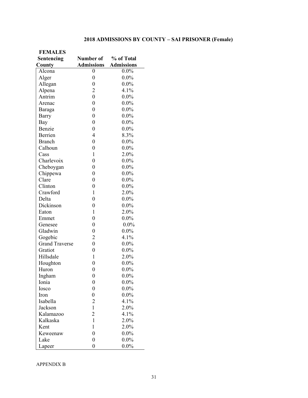#### **2018 ADMISSIONS BY COUNTY – SAI PRISONER (Female)**

| <b>FEMALES</b>        |                   |                   |
|-----------------------|-------------------|-------------------|
| Sentencing            | Number of         | % of Total        |
| County                | <b>Admissions</b> | <b>Admissions</b> |
| Alcona                | 0                 | $0.0\%$           |
| Alger                 | $\overline{0}$    | $0.0\%$           |
| Allegan               | $\overline{0}$    | $0.0\%$           |
| Alpena                | $\overline{2}$    | 4.1%              |
| Antrim                | $\overline{0}$    | $0.0\%$           |
| Arenac                | $\overline{0}$    | $0.0\%$           |
| Baraga                | $\overline{0}$    | $0.0\%$           |
| Barry                 | $\boldsymbol{0}$  | $0.0\%$           |
| Bay                   | $\boldsymbol{0}$  | $0.0\%$           |
| Benzie                | $\boldsymbol{0}$  | $0.0\%$           |
| Berrien               | $\overline{4}$    | 8.3%              |
| <b>Branch</b>         | $\overline{0}$    | $0.0\%$           |
| Calhoun               | $\boldsymbol{0}$  | $0.0\%$           |
| Cass                  | $\mathbf{1}$      | 2.0%              |
| Charlevoix            | $\overline{0}$    | $0.0\%$           |
| Cheboygan             | $\overline{0}$    | $0.0\%$           |
| Chippewa              | $\boldsymbol{0}$  | $0.0\%$           |
| Clare                 | $\boldsymbol{0}$  | $0.0\%$           |
| Clinton               | $\overline{0}$    | $0.0\%$           |
| Crawford              | 1                 | 2.0%              |
| Delta                 | $\overline{0}$    | $0.0\%$           |
| Dickinson             | $\overline{0}$    | $0.0\%$           |
| Eaton                 | $\mathbf{1}$      | 2.0%              |
| Emmet                 | $\overline{0}$    | $0.0\%$           |
| Genesee               | $\boldsymbol{0}$  | $0.0\%$           |
| Gladwin               | $\boldsymbol{0}$  | $0.0\%$           |
| Gogebic               | $\overline{c}$    | 4.1%              |
| <b>Grand Traverse</b> | $\overline{0}$    | $0.0\%$           |
| Gratiot               | $\boldsymbol{0}$  | $0.0\%$           |
| Hillsdale             | $\mathbf{1}$      | 2.0%              |
| Houghton              | $\overline{0}$    | $0.0\%$           |
| Huron                 | $\overline{0}$    | $0.0\%$           |
| Ingham                | $\boldsymbol{0}$  | $0.0\%$           |
| Ionia                 | $\boldsymbol{0}$  | $0.0\%$           |
| Iosco                 | $\boldsymbol{0}$  | $0.0\%$           |
| Iron                  | $\boldsymbol{0}$  | $0.0\%$           |
| Isabella              | $\overline{2}$    | 4.1%              |
| Jackson               | $\mathbf{1}$      | 2.0%              |
| Kalamazoo             | $\overline{2}$    | 4.1%              |
| Kalkaska              | $\mathbf{1}$      | 2.0%              |
| Kent                  | 1                 | 2.0%              |
| Keweenaw              | $\boldsymbol{0}$  | $0.0\%$           |
| Lake                  | $\boldsymbol{0}$  | $0.0\%$           |
| Lapeer                | $\boldsymbol{0}$  | $0.0\%$           |

APPENDIX B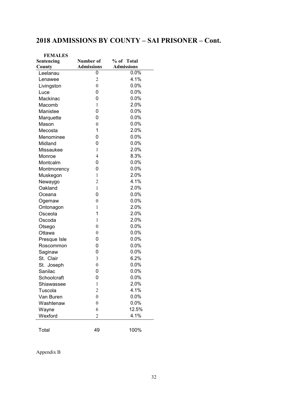## **2018 ADMISSIONS BY COUNTY – SAI PRISONER – Cont.**

| <b>FEMALES</b> |                   |                   |
|----------------|-------------------|-------------------|
| Sentencing     | Number of         | % of Total        |
| County         | <b>Admissions</b> | <b>Admissions</b> |
| Leelanau       | 0                 | 0.0%              |
| Lenawee        | $\overline{c}$    | 4.1%              |
| Livingston     | $\boldsymbol{0}$  | 0.0%              |
| Luce           | 0                 | 0.0%              |
| Mackinac       | 0                 | 0.0%              |
| Macomb         | 1                 | 2.0%              |
| Manistee       | 0                 | 0.0%              |
| Marquette      | 0                 | 0.0%              |
| Mason          | $\boldsymbol{0}$  | $0.0\%$           |
| Mecosta        | 1                 | 2.0%              |
| Menominee      | 0                 | 0.0%              |
| Midland        | 0                 | 0.0%              |
| Missaukee      | 1                 | 2.0%              |
| Monroe         | 4                 | 8.3%              |
| Montcalm       | 0                 | 0.0%              |
| Montmorency    | 0                 | 0.0%              |
| Muskegon       | 1                 | 2.0%              |
| Newaygo        | $\overline{2}$    | 4.1%              |
| Oakland        | 1                 | 2.0%              |
| Oceana         | 0                 | 0.0%              |
| Ogemaw         | $\overline{0}$    | 0.0%              |
| Ontonagon      | 1                 | 2.0%              |
| Osceola        | 1                 | 2.0%              |
| Oscoda         | 1                 | 2.0%              |
| Otsego         | $\overline{0}$    | 0.0%              |
| Ottawa         | $\boldsymbol{0}$  | 0.0%              |
| Presque Isle   | 0                 | 0.0%              |
| Roscommon      | 0                 | 0.0%              |
| Saginaw        | 0                 | 0.0%              |
| St. Clair      | 3                 | 6.2%              |
| St. Joseph     | $\boldsymbol{0}$  | 0.0%              |
| Sanilac        | 0                 | 0.0%              |
| Schoolcraft    | 0                 | 0.0%              |
| Shiawassee     | $\mathbf{1}$      | 2.0%              |
| Tuscola        | $\overline{c}$    | 4.1%              |
| Van Buren      | $\boldsymbol{0}$  | 0.0%              |
| Washtenaw      | $\boldsymbol{0}$  | 0.0%              |
| Wayne          | 6                 | 12.5%             |
| Wexford        | $\overline{2}$    | 4.1%              |
|                |                   |                   |
| Total          | 49                | 100%              |

Appendix B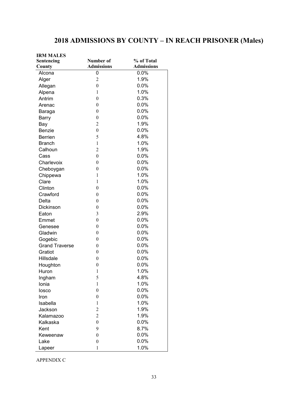## **2018 ADMISSIONS BY COUNTY – IN REACH PRISONER (Males)**

| <b>IRM MALES</b>      |                   |                   |
|-----------------------|-------------------|-------------------|
| Sentencing            | Number of         | % of Total        |
| County                | <b>Admissions</b> | <b>Admissions</b> |
| Alcona                | 0                 | 0.0%              |
| Alger                 | $\overline{c}$    | 1.9%              |
| Allegan               | $\boldsymbol{0}$  | 0.0%              |
| Alpena                | $\mathbf{1}$      | 1.0%              |
| Antrim                | $\boldsymbol{0}$  | 0.3%              |
| Arenac                | $\boldsymbol{0}$  | 0.0%              |
| Baraga                | $\boldsymbol{0}$  | 0.0%              |
| Barry                 | $\boldsymbol{0}$  | 0.0%              |
| Bay                   | $\overline{2}$    | 1.9%              |
| <b>Benzie</b>         | $\boldsymbol{0}$  | 0.0%              |
| <b>Berrien</b>        | 5                 | 4.8%              |
| <b>Branch</b>         | $\mathbf{1}$      | 1.0%              |
| Calhoun               | $\overline{2}$    | 1.9%              |
| Cass                  | $\boldsymbol{0}$  | 0.0%              |
| Charlevoix            | $\boldsymbol{0}$  | 0.0%              |
| Cheboygan             | $\boldsymbol{0}$  | 0.0%              |
| Chippewa              | $\mathbf{1}$      | 1.0%              |
| Clare                 | $\mathbf{1}$      | 1.0%              |
| Clinton               | $\boldsymbol{0}$  | 0.0%              |
| Crawford              | $\boldsymbol{0}$  | 0.0%              |
| Delta                 | $\boldsymbol{0}$  | 0.0%              |
| Dickinson             | $\boldsymbol{0}$  | 0.0%              |
| Eaton                 | 3                 | 2.9%              |
| Emmet                 | $\boldsymbol{0}$  | 0.0%              |
| Genesee               | $\boldsymbol{0}$  | 0.0%              |
| Gladwin               | $\boldsymbol{0}$  | 0.0%              |
| Gogebic               | $\boldsymbol{0}$  | 0.0%              |
| <b>Grand Traverse</b> | $\boldsymbol{0}$  | 0.0%              |
| Gratiot               | $\boldsymbol{0}$  | 0.0%              |
| <b>Hillsdale</b>      | $\boldsymbol{0}$  | 0.0%              |
| Houghton              | $\boldsymbol{0}$  | 0.0%              |
| Huron                 | $\mathbf{1}$      | 1.0%              |
| Ingham                | 5                 | 4.8%              |
| Ionia                 | 1                 | 1.0%              |
| losco                 | $\boldsymbol{0}$  | 0.0%              |
| Iron                  | $\boldsymbol{0}$  | 0.0%              |
| Isabella              | 1                 | 1.0%              |
| Jackson               | $\overline{c}$    | 1.9%              |
| Kalamazoo             | $\overline{c}$    | 1.9%              |
| Kalkaska              | $\boldsymbol{0}$  | 0.0%              |
| Kent                  | 9                 | 8.7%              |
| Keweenaw              | $\boldsymbol{0}$  | 0.0%              |
| Lake                  | $\boldsymbol{0}$  | 0.0%              |
| Lapeer                | $\mathbf{1}$      | 1.0%              |

APPENDIX C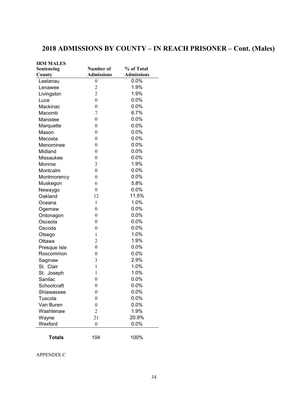## **2018 ADMISSIONS BY COUNTY – IN REACH PRISONER – Cont. (Males)**

| <b>IRM MALES</b> |                   |                   |
|------------------|-------------------|-------------------|
| Sentencing       | Number of         | % of Total        |
| County           | <b>Admissions</b> | <b>Admissions</b> |
| Leelanau         | 0                 | $0.0\%$           |
| Lenawee          | $\overline{c}$    | 1.9%              |
| Livingston       | $\overline{2}$    | 1.9%              |
| Luce             | $\boldsymbol{0}$  | 0.0%              |
| Mackinac         | $\boldsymbol{0}$  | 0.0%              |
| Macomb           | 7                 | 6.7%              |
| Manistee         | $\boldsymbol{0}$  | 0.0%              |
| Marquette        | $\boldsymbol{0}$  | 0.0%              |
| Mason            | $\boldsymbol{0}$  | $0.0\%$           |
| Mecosta          | $\boldsymbol{0}$  | $0.0\%$           |
| Menominee        | $\boldsymbol{0}$  | $0.0\%$           |
| Midland          | $\boldsymbol{0}$  | 0.0%              |
| Missaukee        | $\boldsymbol{0}$  | 0.0%              |
| Monroe           | 2                 | 1.9%              |
| Montcalm         | $\boldsymbol{0}$  | 0.0%              |
| Montmorency      | $\boldsymbol{0}$  | 0.0%              |
| Muskegon         | 6                 | 5.8%              |
| Newaygo          | $\boldsymbol{0}$  | 0.0%              |
| Oakland          | 12                | 11.5%             |
| Oceana           | $\mathbf{1}$      | 1.0%              |
| Ogemaw           | $\boldsymbol{0}$  | 0.0%              |
| Ontonagon        | $\boldsymbol{0}$  | 0.0%              |
| Osceola          | $\boldsymbol{0}$  | 0.0%              |
| Oscoda           | $\boldsymbol{0}$  | 0.0%              |
| Otsego           | 1                 | 1.0%              |
| Ottawa           | 2                 | 1.9%              |
| Presque Isle     | $\boldsymbol{0}$  | 0.0%              |
| Roscommon        | $\boldsymbol{0}$  | 0.0%              |
| Saginaw          | 3                 | 2.9%              |
| St. Clair        | $\mathbf{1}$      | 1.0%              |
| St. Joseph       | 1                 | 1.0%              |
| Sanilac          | $\boldsymbol{0}$  | 0.0%              |
| Schoolcraft      | $\boldsymbol{0}$  | 0.0%              |
| Shiawassee       | 0                 | 0.0%              |
| Tuscola          | $\boldsymbol{0}$  | 0.0%              |
| Van Buren        | $\boldsymbol{0}$  | 0.0%              |
| Washtenaw        | $\overline{2}$    | 1.9%              |
| Wayne            | 21                | 20.9%             |
| Wexford          | $\boldsymbol{0}$  | 0.0%              |
| <b>Totals</b>    | 104               | 100%              |

APPENDIX C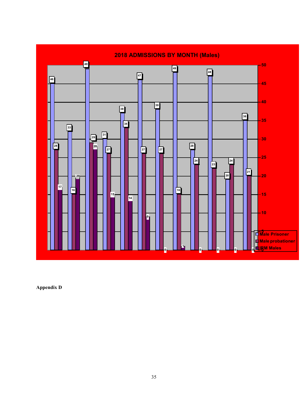

**Appendix D**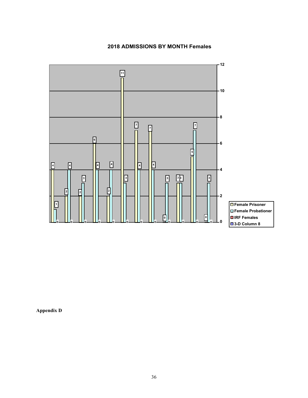#### **2018 ADMISSIONS BY MONTH Females**



**Appendix D**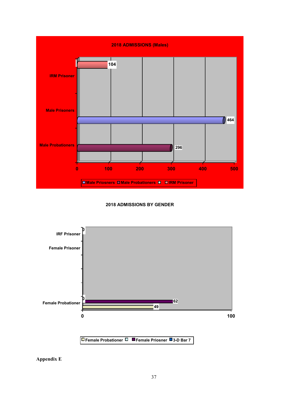

#### **2018 ADMISSIONS BY GENDER**



**Appendix E**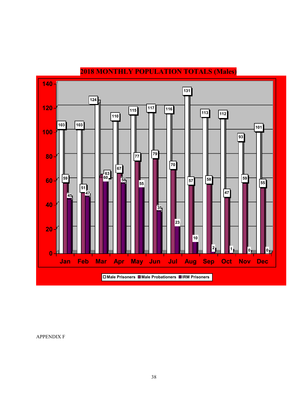

### **2018 MONTHLY POPULATION TOTALS (Males)**

APPENDIX F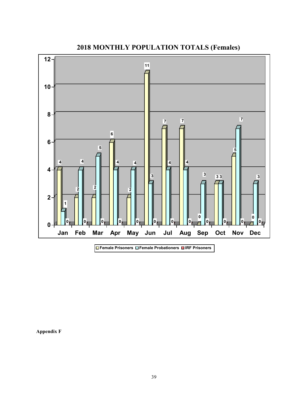

**2018 MONTHLY POPULATION TOTALS (Females)**

**Appendix F**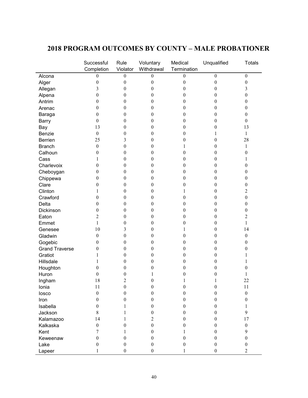|                                  | Successful<br>Completion | Rule<br>Violator | Voluntary<br>Withdrawal | Medical<br>Termination | Unqualified      | <b>Totals</b>    |
|----------------------------------|--------------------------|------------------|-------------------------|------------------------|------------------|------------------|
| Alcona                           | $\boldsymbol{0}$         | $\boldsymbol{0}$ | $\boldsymbol{0}$        | $\boldsymbol{0}$       | $\boldsymbol{0}$ | $\boldsymbol{0}$ |
| Alger                            | $\boldsymbol{0}$         | $\boldsymbol{0}$ | $\boldsymbol{0}$        | $\boldsymbol{0}$       | $\boldsymbol{0}$ | $\boldsymbol{0}$ |
| Allegan                          | 3                        | $\theta$         | 0                       | 0                      | 0                | 3                |
| Alpena                           | $\boldsymbol{0}$         | $\boldsymbol{0}$ | 0                       | 0                      | 0                | $\boldsymbol{0}$ |
| Antrim                           | 0                        | $\mathbf{0}$     | 0                       | 0                      | $\theta$         | $\boldsymbol{0}$ |
| Arenac                           | 0                        | $\mathbf{0}$     | 0                       | $\theta$               | 0                | $\theta$         |
| Baraga                           | $\boldsymbol{0}$         | $\mathbf{0}$     | 0                       | 0                      | 0                | $\theta$         |
| <b>Barry</b>                     | $\boldsymbol{0}$         | $\mathbf{0}$     | 0                       | 0                      | 0                | $\theta$         |
| Bay                              | 13                       | $\mathbf{0}$     | 0                       | 0                      | 0                | 13               |
| Benzie                           | $\boldsymbol{0}$         | $\theta$         | $\boldsymbol{0}$        | 0                      | 1                | $\mathbf{1}$     |
| Berrien                          | 25                       | 3                | $\boldsymbol{0}$        | 0                      | 0                | 28               |
| <b>Branch</b>                    | $\boldsymbol{0}$         | $\boldsymbol{0}$ | 0                       |                        | 0                | 1                |
| Calhoun                          | $\boldsymbol{0}$         | $\boldsymbol{0}$ | 0                       | $_{0}$                 | 0                | 0                |
| Cass                             | 1                        | $\mathbf{0}$     | 0                       | 0                      | 0                | 1                |
| Charlevoix                       | $\boldsymbol{0}$         | $\mathbf{0}$     | 0                       | $^{(1)}$               | 0                | 0                |
| Cheboygan                        | $\boldsymbol{0}$         | $\mathbf{0}$     | 0                       | $_{0}$                 | $\boldsymbol{0}$ | 0                |
| Chippewa                         | $\boldsymbol{0}$         | $\mathbf{0}$     | 0                       | 0                      | $\boldsymbol{0}$ | 0                |
| Clare                            | $\boldsymbol{0}$         | $\theta$         | 0                       | 0                      | $\boldsymbol{0}$ | 0                |
| Clinton                          | 1                        | $\theta$         | $\boldsymbol{0}$        |                        | 0                | $\overline{c}$   |
| Crawford                         | $\boldsymbol{0}$         | $\boldsymbol{0}$ | 0                       | 0                      | 0                | $\boldsymbol{0}$ |
| Delta                            | $\boldsymbol{0}$         | $\boldsymbol{0}$ | 0                       | 0                      | 0                | $\boldsymbol{0}$ |
| Dickinson                        | $\boldsymbol{0}$         | $\mathbf{0}$     | 0                       | $\theta$               | 0                | 0                |
| Eaton                            | $\overline{2}$           | $\mathbf{0}$     | $\boldsymbol{0}$        | 0                      | $\theta$         | 2                |
| Emmet                            | 1                        | $\mathbf{0}$     | 0                       | 0                      | 0                | 1                |
| Genesee                          | 10                       | 3                | 0                       |                        | $\boldsymbol{0}$ | 14               |
| Gladwin                          | $\boldsymbol{0}$         | $\theta$         | 0                       | 0                      | 0                | $\boldsymbol{0}$ |
|                                  | $\boldsymbol{0}$         | $\boldsymbol{0}$ | $\boldsymbol{0}$        | 0                      | 0                | 0                |
| Gogebic<br><b>Grand Traverse</b> | $\boldsymbol{0}$         | $\boldsymbol{0}$ | 0                       |                        | 0                | 0                |
| Gratiot                          | 1                        | $\mathbf{0}$     |                         | 0                      |                  |                  |
| Hillsdale                        |                          |                  | 0                       | 0                      | 0                |                  |
|                                  | 1                        | $\mathbf{0}$     | 0                       | 0                      | 0                | I                |
| Houghton                         | $\boldsymbol{0}$         | $\mathbf{0}$     | 0                       | $^{(1)}$               | 0                | 0                |
| Huron                            | $\boldsymbol{0}$         | $\boldsymbol{0}$ | 1                       | 0                      | 0                | 1                |
| Ingham                           | 18                       | $\overline{2}$   | $\boldsymbol{0}$        |                        |                  | 22               |
| Ionia                            | 11                       | $\boldsymbol{0}$ | $\boldsymbol{0}$        | $\boldsymbol{0}$       | $\boldsymbol{0}$ | 11               |
| losco                            | $\mathbf{0}$             | $\boldsymbol{0}$ | $\boldsymbol{0}$        | $\boldsymbol{0}$       | $\boldsymbol{0}$ | $\boldsymbol{0}$ |
| Iron                             | $\boldsymbol{0}$         | $\boldsymbol{0}$ | $\boldsymbol{0}$        | 0                      | $\boldsymbol{0}$ | $\boldsymbol{0}$ |
| Isabella                         | $\boldsymbol{0}$         | 1                | $\boldsymbol{0}$        | 0                      | $\boldsymbol{0}$ | 1                |
| Jackson                          | $8\,$                    | 1                | $\boldsymbol{0}$        | $\theta$               | $\mathbf{0}$     | 9                |
| Kalamazoo                        | 14                       | 1                | 2                       | 0                      | $\theta$         | 17               |
| Kalkaska                         | $\boldsymbol{0}$         | $\mathbf{0}$     | $\boldsymbol{0}$        | 0                      | $\theta$         | $\boldsymbol{0}$ |
| Kent                             | 7                        | 1                | $\boldsymbol{0}$        |                        | $\theta$         | 9                |
| Keweenaw                         | $\boldsymbol{0}$         | $\mathbf{0}$     | $\boldsymbol{0}$        | $\theta$               | $\theta$         | $\boldsymbol{0}$ |
| Lake                             | $\boldsymbol{0}$         | $\boldsymbol{0}$ | $\boldsymbol{0}$        | 0                      | $\mathbf{0}$     | $\boldsymbol{0}$ |
| Lapeer                           | 1                        | $\boldsymbol{0}$ | $\boldsymbol{0}$        | 1                      | $\boldsymbol{0}$ | $\overline{2}$   |

### **2018 PROGRAM OUTCOMES BY COUNTY – MALE PROBATIONER**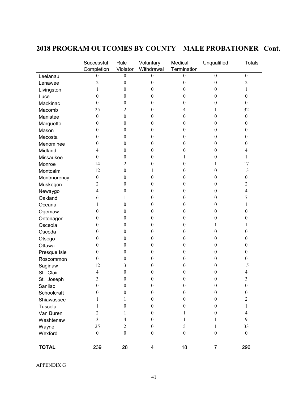|              | Successful<br>Completion | Rule<br>Violator | Voluntary<br>Withdrawal | Medical<br>Termination | Unqualified      | <b>Totals</b>           |
|--------------|--------------------------|------------------|-------------------------|------------------------|------------------|-------------------------|
| Leelanau     | 0                        | $\boldsymbol{0}$ | 0                       | 0                      | $\theta$         | $\boldsymbol{0}$        |
| Lenawee      | $\overline{c}$           | $\boldsymbol{0}$ | $\boldsymbol{0}$        | $\boldsymbol{0}$       | $\boldsymbol{0}$ | $\overline{2}$          |
| Livingston   | 1                        | $\boldsymbol{0}$ | $\boldsymbol{0}$        | $\boldsymbol{0}$       | $\theta$         | 1                       |
| Luce         | $\theta$                 | $\boldsymbol{0}$ | $\mathbf{0}$            | 0                      | $\theta$         | $\boldsymbol{0}$        |
| Mackinac     | $\boldsymbol{0}$         | $\boldsymbol{0}$ | $\boldsymbol{0}$        | $\boldsymbol{0}$       | $\theta$         | $\boldsymbol{0}$        |
| Macomb       | 25                       | $\overline{2}$   | $\boldsymbol{0}$        | 4                      | 1                | 32                      |
| Manistee     | $\boldsymbol{0}$         | $\boldsymbol{0}$ | $\boldsymbol{0}$        | $\boldsymbol{0}$       | $\theta$         | $\boldsymbol{0}$        |
| Marquette    | $\theta$                 | $\boldsymbol{0}$ | $\boldsymbol{0}$        | $\boldsymbol{0}$       | $\theta$         | 0                       |
| Mason        | $\boldsymbol{0}$         | $\boldsymbol{0}$ | $\boldsymbol{0}$        | $\boldsymbol{0}$       | $\theta$         | 0                       |
| Mecosta      | $\theta$                 | $\boldsymbol{0}$ | $\boldsymbol{0}$        | $\boldsymbol{0}$       | $\boldsymbol{0}$ | 0                       |
| Menominee    | $\boldsymbol{0}$         | $\boldsymbol{0}$ | $\boldsymbol{0}$        | $\boldsymbol{0}$       | $\theta$         | 0                       |
| Midland      | 4                        | $\boldsymbol{0}$ | $\boldsymbol{0}$        | $\boldsymbol{0}$       | $\theta$         | 4                       |
| Missaukee    | $\boldsymbol{0}$         | $\boldsymbol{0}$ | $\boldsymbol{0}$        | 1                      | $\theta$         | 1                       |
| Monroe       | 14                       | $\overline{2}$   | $\boldsymbol{0}$        | $\boldsymbol{0}$       | 1                | 17                      |
| Montcalm     | 12                       | $\boldsymbol{0}$ | 1                       | $\boldsymbol{0}$       | $\theta$         | 13                      |
| Montmorency  | $\boldsymbol{0}$         | $\boldsymbol{0}$ | $\boldsymbol{0}$        | 0                      | $\theta$         | $\boldsymbol{0}$        |
| Muskegon     | $\overline{c}$           | $\boldsymbol{0}$ | $\boldsymbol{0}$        | 0                      | $\theta$         | $\overline{c}$          |
| Newaygo      | 4                        | $\boldsymbol{0}$ | $\boldsymbol{0}$        | $\boldsymbol{0}$       | $\boldsymbol{0}$ | 4                       |
| Oakland      | 6                        | 1                | $\boldsymbol{0}$        | 0                      | 0                | 7                       |
| Oceana       | 1                        | $\boldsymbol{0}$ | $\boldsymbol{0}$        | 0                      | $\theta$         | 1                       |
| Ogemaw       | $\theta$                 | $\boldsymbol{0}$ | $\boldsymbol{0}$        | $\boldsymbol{0}$       | $\theta$         | $\boldsymbol{0}$        |
| Ontonagon    | $\theta$                 | $\boldsymbol{0}$ | $\boldsymbol{0}$        | $\boldsymbol{0}$       | $\boldsymbol{0}$ | 0                       |
| Osceola      | 0                        | $\boldsymbol{0}$ | $\boldsymbol{0}$        | $\boldsymbol{0}$       | 1                |                         |
| Oscoda       | 0                        | $\boldsymbol{0}$ | $\boldsymbol{0}$        | $\theta$               | $\theta$         | 0                       |
| Otsego       | $\boldsymbol{0}$         | $\boldsymbol{0}$ | $\boldsymbol{0}$        | $\boldsymbol{0}$       | $\theta$         | 0                       |
| Ottawa       | $\theta$                 | $\boldsymbol{0}$ | $\boldsymbol{0}$        | $\boldsymbol{0}$       | $\boldsymbol{0}$ | 0                       |
| Presque Isle | $\boldsymbol{0}$         | $\boldsymbol{0}$ | $\boldsymbol{0}$        | $\boldsymbol{0}$       | 0                | $\boldsymbol{0}$        |
| Roscommon    | $\boldsymbol{0}$         | $\boldsymbol{0}$ | $\mathbf{0}$            | 0                      | $\theta$         | 0                       |
| Saginaw      | 12                       | 3                | $\mathbf{0}$            | 0                      | $\theta$         | 15                      |
| St. Clair    | 4                        | $\boldsymbol{0}$ | 0                       | 0                      | 0                | 4                       |
| St. Joseph   | 3                        | $\boldsymbol{0}$ | $\boldsymbol{0}$        | $\boldsymbol{0}$       | $\boldsymbol{0}$ | 3                       |
| Sanilac      | $\theta$                 | 0                | $\bf{0}$                | $\bf{0}$               | $\theta$         | $\theta$                |
| Schoolcraft  | $\boldsymbol{0}$         | $\boldsymbol{0}$ | $\boldsymbol{0}$        | $\boldsymbol{0}$       | $\boldsymbol{0}$ | $\boldsymbol{0}$        |
| Shiawassee   | 1                        | 1                | $\boldsymbol{0}$        | $\boldsymbol{0}$       | $\boldsymbol{0}$ | $\overline{c}$          |
| Tuscola      | 1                        | $\boldsymbol{0}$ | $\boldsymbol{0}$        | $\boldsymbol{0}$       | $\boldsymbol{0}$ | $\mathbf{1}$            |
| Van Buren    | $\overline{c}$           | 1                | $\boldsymbol{0}$        | 1                      | $\boldsymbol{0}$ | $\overline{\mathbf{4}}$ |
| Washtenaw    | $\overline{3}$           | 4                | $\boldsymbol{0}$        | 1                      | 1                | 9                       |
| Wayne        | 25                       | $\overline{2}$   | $\boldsymbol{0}$        | 5                      | 1                | 33                      |
| Wexford      | $\boldsymbol{0}$         | $\boldsymbol{0}$ | $\boldsymbol{0}$        | $\boldsymbol{0}$       | $\boldsymbol{0}$ | $\boldsymbol{0}$        |
| <b>TOTAL</b> | 239                      | 28               | 4                       | 18                     | $\overline{7}$   | 296                     |

## **2018 PROGRAM OUTCOMES BY COUNTY – MALE PROBATIONER –Cont.**

APPENDIX G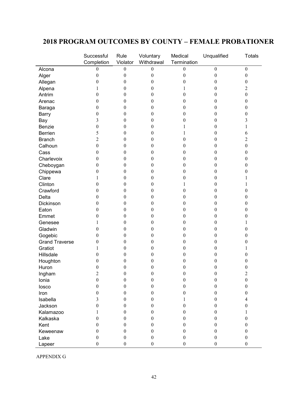#### **2018 PROGRAM OUTCOMES BY COUNTY – FEMALE PROBATIONER**

|                        | Successful<br>Completion             | Rule<br>Violator | Voluntary<br>Withdrawal | Medical<br>Termination | Unqualified      | <b>Totals</b>           |
|------------------------|--------------------------------------|------------------|-------------------------|------------------------|------------------|-------------------------|
| Alcona                 | $\boldsymbol{0}$                     | $\boldsymbol{0}$ | 0                       | $\boldsymbol{0}$       | $\boldsymbol{0}$ | $\boldsymbol{0}$        |
|                        | $\boldsymbol{0}$                     | $\boldsymbol{0}$ | $\boldsymbol{0}$        | $\boldsymbol{0}$       | $\boldsymbol{0}$ | $\boldsymbol{0}$        |
| Alger                  | $\boldsymbol{0}$                     | $\boldsymbol{0}$ | $\boldsymbol{0}$        | 0                      | 0                | 0                       |
| Allegan                | 1                                    | 0                | $\boldsymbol{0}$        | 1                      | $\boldsymbol{0}$ | $\overline{\mathbf{c}}$ |
| Alpena<br>Antrim       | $\boldsymbol{0}$                     | 0                | $\boldsymbol{0}$        | 0                      | 0                | $\boldsymbol{0}$        |
| Arenac                 | $\theta$                             | 0                | 0                       | 0                      | 0                | 0                       |
|                        | $\theta$                             | 0                | 0                       | 0                      | 0                | 0                       |
| Baraga<br><b>Barry</b> | $\boldsymbol{0}$                     | 0                | 0                       | 0                      | 0                | 0                       |
|                        | 3                                    | 0                | 0                       | 0                      | 0                | 3                       |
| Bay<br>Benzie          | $\boldsymbol{0}$                     | 0                | 0                       |                        | 0                |                         |
| <b>Berrien</b>         | 5                                    | 0                | $\boldsymbol{0}$        |                        | 0                |                         |
| <b>Branch</b>          | $\overline{c}$                       | 0                | $\boldsymbol{0}$        | 0                      | 0                | 6<br>$\overline{c}$     |
| Calhoun                | $\boldsymbol{0}$                     |                  |                         |                        |                  |                         |
|                        | $\mathbf{0}$                         | 0                | 0                       | 0                      | 0                | $\boldsymbol{0}$        |
| Cass<br>Charlevoix     |                                      | 0                | 0                       | 0                      | 0                | 0                       |
|                        | $\boldsymbol{0}$<br>$\boldsymbol{0}$ | 0<br>0           | 0                       | 0                      | 0                | 0<br>0                  |
| Cheboygan              |                                      |                  | 0                       | 0                      | 0<br>0           |                         |
| Chippewa               | $\boldsymbol{0}$                     | 0                | 0                       | 0                      |                  | 0                       |
| Clare                  | 1                                    | $\boldsymbol{0}$ | $\boldsymbol{0}$        | 0                      | 0                |                         |
| Clinton                | $\boldsymbol{0}$                     | 0                | $\boldsymbol{0}$        | 1                      | 0                |                         |
| Crawford               | $\boldsymbol{0}$                     | 0                | $\boldsymbol{0}$        | 0                      | 0                | 0                       |
| Delta                  | $\boldsymbol{0}$                     | 0                | $\boldsymbol{0}$        | 0                      | 0                | 0                       |
| Dickinson              | $\theta$                             | 0                | $\boldsymbol{0}$        | 0                      | 0                | 0                       |
| Eaton                  | $\theta$                             | 0                | 0                       | 0                      | 0                | 0                       |
| Emmet                  | $\theta$                             | 0                | 0                       | 0                      | 0                | 0                       |
| Genesee                |                                      | 0                | 0                       | 0                      | 0                |                         |
| Gladwin                | 0                                    | 0                | 0                       | 0                      | 0                | 0                       |
| Gogebic                | $\boldsymbol{0}$                     | 0                | 0                       | 0                      | 0                | 0                       |
| <b>Grand Traverse</b>  | $\boldsymbol{0}$                     | 0                | $\boldsymbol{0}$        | 0                      | 0                | 0                       |
| Gratiot                | 1                                    | 0                | $\boldsymbol{0}$        | 0                      | 0                |                         |
| Hillsdale              | $\boldsymbol{0}$                     | 0                | 0                       | 0                      | 0                | 0                       |
| Houghton               | $\theta$                             | 0                | 0                       | 0                      | 0                | 0                       |
| Huron                  | $\boldsymbol{0}$                     | 0                | 0                       | 0                      | 0                | 0                       |
| Ingham                 | $\overline{2}$                       | $\boldsymbol{0}$ | 0                       | $\boldsymbol{0}$       | $\boldsymbol{0}$ | $\overline{2}$          |
| Ionia                  | $\boldsymbol{0}$                     | $\boldsymbol{0}$ | $\boldsymbol{0}$        | $\boldsymbol{0}$       | $\theta$         | $\boldsymbol{0}$        |
| losco                  | $\boldsymbol{0}$                     | $\boldsymbol{0}$ | $\boldsymbol{0}$        | $\boldsymbol{0}$       | $\boldsymbol{0}$ | $\boldsymbol{0}$        |
| Iron                   | $\boldsymbol{0}$                     | $\boldsymbol{0}$ | 0                       | $\boldsymbol{0}$       | $\boldsymbol{0}$ | $\boldsymbol{0}$        |
| Isabella               | 3                                    | $\boldsymbol{0}$ | $\boldsymbol{0}$        | 1                      | $\boldsymbol{0}$ | $\overline{\mathbf{4}}$ |
| Jackson                | $\boldsymbol{0}$                     | $\boldsymbol{0}$ | $\boldsymbol{0}$        | $\boldsymbol{0}$       | $\theta$         | $\boldsymbol{0}$        |
| Kalamazoo              | 1                                    | $\theta$         | 0                       | $\theta$               | $\theta$         | 1                       |
| Kalkaska               | $\theta$                             | 0                | 0                       | 0                      | $\theta$         | $\boldsymbol{0}$        |
| Kent                   | $\theta$                             | $\theta$         | 0                       | 0                      | $\theta$         | $\theta$                |
| Keweenaw               | $\mathbf{0}$                         | $\boldsymbol{0}$ | 0                       | 0                      | $\boldsymbol{0}$ | $\boldsymbol{0}$        |
| Lake                   | $\boldsymbol{0}$                     | $\boldsymbol{0}$ | 0                       | $\boldsymbol{0}$       | $\boldsymbol{0}$ | $\boldsymbol{0}$        |
| Lapeer                 | $\boldsymbol{0}$                     | $\boldsymbol{0}$ | $\boldsymbol{0}$        | $\boldsymbol{0}$       | $\boldsymbol{0}$ | $\boldsymbol{0}$        |

APPENDIX G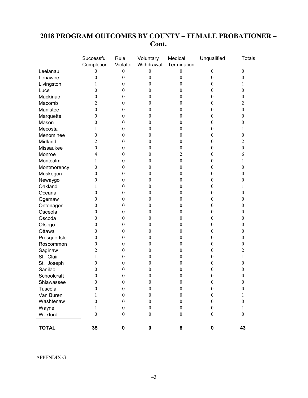### **2018 PROGRAM OUTCOMES BY COUNTY – FEMALE PROBATIONER – Cont.**

|              | Successful<br>Completion | Rule<br>Violator | Voluntary<br>Withdrawal | Medical<br>Termination | Unqualified      | <b>Totals</b>    |
|--------------|--------------------------|------------------|-------------------------|------------------------|------------------|------------------|
| Leelanau     | $\boldsymbol{0}$         | $\boldsymbol{0}$ | $\boldsymbol{0}$        | $\boldsymbol{0}$       | $\boldsymbol{0}$ | $\boldsymbol{0}$ |
| Lenawee      | $\boldsymbol{0}$         | $\boldsymbol{0}$ | $\boldsymbol{0}$        | $\boldsymbol{0}$       | $\boldsymbol{0}$ | $\boldsymbol{0}$ |
| Livingston   | 1                        | $\boldsymbol{0}$ | $\boldsymbol{0}$        | $\boldsymbol{0}$       | $\theta$         | 1                |
| Luce         | 0                        | $\boldsymbol{0}$ | $\boldsymbol{0}$        | $\boldsymbol{0}$       | $\theta$         | $\mathbf{0}$     |
| Mackinac     | $\theta$                 | $\theta$         | 0                       | 0                      | 0                | $\mathbf{0}$     |
| Macomb       | 2                        | $\boldsymbol{0}$ | $\boldsymbol{0}$        | $\boldsymbol{0}$       | 0                | $\overline{2}$   |
| Manistee     | $\boldsymbol{0}$         | $\boldsymbol{0}$ | 0                       | 0                      | 0                | $\boldsymbol{0}$ |
| Marquette    | $\boldsymbol{0}$         | $\boldsymbol{0}$ | $\boldsymbol{0}$        | $\boldsymbol{0}$       | 0                | $\boldsymbol{0}$ |
| Mason        | 0                        | $\boldsymbol{0}$ | $\boldsymbol{0}$        | $\boldsymbol{0}$       | 0                | $\boldsymbol{0}$ |
| Mecosta      | 1                        | $\boldsymbol{0}$ | $\boldsymbol{0}$        | $\boldsymbol{0}$       | $\boldsymbol{0}$ | 1                |
| Menominee    | $\boldsymbol{0}$         | $\theta$         | $\boldsymbol{0}$        | 0                      | 0                | $\boldsymbol{0}$ |
| Midland      | 2                        | $\boldsymbol{0}$ | $\boldsymbol{0}$        | $\boldsymbol{0}$       | $\theta$         | $\overline{2}$   |
| Missaukee    | $\theta$                 | $\theta$         | $\boldsymbol{0}$        | 0                      | 0                | $\boldsymbol{0}$ |
| Monroe       | 4                        | $\boldsymbol{0}$ | $\boldsymbol{0}$        | 2                      | $\overline{0}$   | 6                |
| Montcalm     | 1                        | $\boldsymbol{0}$ | $\boldsymbol{0}$        | $\boldsymbol{0}$       | 0                | 1                |
| Montmorency  | $\boldsymbol{0}$         | $\boldsymbol{0}$ | $\boldsymbol{0}$        | $\boldsymbol{0}$       | 0                | $\boldsymbol{0}$ |
| Muskegon     | $\boldsymbol{0}$         | $\boldsymbol{0}$ | $\boldsymbol{0}$        | $\boldsymbol{0}$       | 0                | $\boldsymbol{0}$ |
| Newaygo      | $\boldsymbol{0}$         | $\boldsymbol{0}$ | $\boldsymbol{0}$        | $\boldsymbol{0}$       | 0                | $\boldsymbol{0}$ |
| Oakland      | 1                        | $\boldsymbol{0}$ | $\boldsymbol{0}$        | $\boldsymbol{0}$       | $\boldsymbol{0}$ | 1                |
| Oceana       | $\theta$                 | $\boldsymbol{0}$ | $\boldsymbol{0}$        | 0                      | $\theta$         | $\boldsymbol{0}$ |
| Ogemaw       | $\theta$                 | $\boldsymbol{0}$ | $\boldsymbol{0}$        | $\boldsymbol{0}$       | $\theta$         | $\boldsymbol{0}$ |
| Ontonagon    | 0                        | $\boldsymbol{0}$ | $\boldsymbol{0}$        | 0                      | 0                | $\boldsymbol{0}$ |
| Osceola      | $\boldsymbol{0}$         | $\boldsymbol{0}$ | $\boldsymbol{0}$        | $\boldsymbol{0}$       | 0                | $\boldsymbol{0}$ |
| Oscoda       | $\boldsymbol{0}$         | $\boldsymbol{0}$ | $\boldsymbol{0}$        | $\boldsymbol{0}$       | 0                | $\boldsymbol{0}$ |
| Otsego       | $\boldsymbol{0}$         | $\boldsymbol{0}$ | $\boldsymbol{0}$        | $\boldsymbol{0}$       | 0                | $\boldsymbol{0}$ |
| Ottawa       | $\boldsymbol{0}$         | $\boldsymbol{0}$ | $\boldsymbol{0}$        | $\boldsymbol{0}$       | 0                | $\boldsymbol{0}$ |
| Presque Isle | $\boldsymbol{0}$         | $\boldsymbol{0}$ | $\boldsymbol{0}$        | $\boldsymbol{0}$       | $\boldsymbol{0}$ | $\boldsymbol{0}$ |
| Roscommon    | $\theta$                 | $\theta$         | $\boldsymbol{0}$        | 0                      | 0                | $\boldsymbol{0}$ |
| Saginaw      | 2                        | $\boldsymbol{0}$ | $\boldsymbol{0}$        | $\boldsymbol{0}$       | 0                | 2                |
| St. Clair    | 1                        | $\theta$         | 0                       | 0                      | 0                | 1                |
| St. Joseph   | $\boldsymbol{0}$         | $\boldsymbol{0}$ | $\boldsymbol{0}$        | $\boldsymbol{0}$       | 0                | $\boldsymbol{0}$ |
| Sanilac      | 0                        | $\boldsymbol{0}$ | 0                       | $\boldsymbol{0}$       | 0                | $\boldsymbol{0}$ |
| Schoolcraft  | $\boldsymbol{0}$         | $\boldsymbol{0}$ | $\boldsymbol{0}$        | $\boldsymbol{0}$       | $\boldsymbol{0}$ | $\boldsymbol{0}$ |
| Shiawassee   | $\boldsymbol{0}$         | $\boldsymbol{0}$ | $\boldsymbol{0}$        | $\boldsymbol{0}$       | $\boldsymbol{0}$ | $\boldsymbol{0}$ |
| Tuscola      | $\boldsymbol{0}$         | $\boldsymbol{0}$ | $\boldsymbol{0}$        | $\boldsymbol{0}$       | $\boldsymbol{0}$ | $\boldsymbol{0}$ |
| Van Buren    | 1                        | $\boldsymbol{0}$ | $\boldsymbol{0}$        | $\boldsymbol{0}$       | $\boldsymbol{0}$ | 1                |
| Washtenaw    | $\boldsymbol{0}$         | $\boldsymbol{0}$ | $\boldsymbol{0}$        | $\boldsymbol{0}$       | $\boldsymbol{0}$ | $\boldsymbol{0}$ |
| Wayne        | 1                        | $\boldsymbol{0}$ | $\boldsymbol{0}$        | $\boldsymbol{0}$       | $\boldsymbol{0}$ | 1                |
| Wexford      | $\boldsymbol{0}$         | $\boldsymbol{0}$ | $\boldsymbol{0}$        | $\boldsymbol{0}$       | $\boldsymbol{0}$ | $\boldsymbol{0}$ |
| <b>TOTAL</b> | 35                       | $\pmb{0}$        | $\pmb{0}$               | 8                      | $\pmb{0}$        | 43               |

APPENDIX G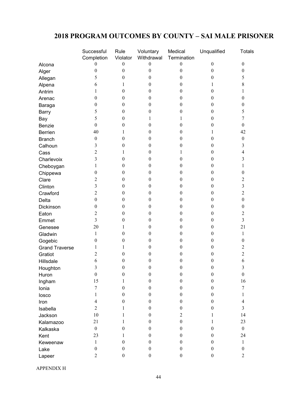### **2018 PROGRAM OUTCOMES BY COUNTY – SAI MALE PRISONER**

|                       | Successful               | Rule             | Voluntary        | Medical          | Unqualified      | <b>Totals</b>    |
|-----------------------|--------------------------|------------------|------------------|------------------|------------------|------------------|
|                       | Completion               | Violator         | Withdrawal       | Termination      |                  |                  |
| Alcona                | 0                        | $\boldsymbol{0}$ | $\boldsymbol{0}$ | $\boldsymbol{0}$ | $\boldsymbol{0}$ | $\boldsymbol{0}$ |
| Alger                 | $\boldsymbol{0}$         | $\boldsymbol{0}$ | $\boldsymbol{0}$ | $\boldsymbol{0}$ | $\boldsymbol{0}$ | $\boldsymbol{0}$ |
| Allegan               | 5                        | $\boldsymbol{0}$ | $\boldsymbol{0}$ | $\boldsymbol{0}$ | $\boldsymbol{0}$ | 5                |
| Alpena                | 6                        | 1                | $\boldsymbol{0}$ | $\boldsymbol{0}$ | 1                | $8\,$            |
| Antrim                | 1                        | $\boldsymbol{0}$ | $\theta$         | $\boldsymbol{0}$ | $\boldsymbol{0}$ | 1                |
| Arenac                | $\boldsymbol{0}$         | $\boldsymbol{0}$ | $\boldsymbol{0}$ | $\boldsymbol{0}$ | $\boldsymbol{0}$ | $\boldsymbol{0}$ |
| Baraga                | $\boldsymbol{0}$         | $\boldsymbol{0}$ | $\boldsymbol{0}$ | $\boldsymbol{0}$ | $\boldsymbol{0}$ | 0                |
| <b>Barry</b>          | 5                        | $\boldsymbol{0}$ | $\boldsymbol{0}$ | $\boldsymbol{0}$ | $\boldsymbol{0}$ | 5                |
| Bay                   | 5                        | $\theta$         | 1                | 1                | $\boldsymbol{0}$ | 7                |
| Benzie                | $\boldsymbol{0}$         | $\boldsymbol{0}$ | $\boldsymbol{0}$ | $\boldsymbol{0}$ | $\boldsymbol{0}$ | $\boldsymbol{0}$ |
| Berrien               | 40                       | 1                | $\boldsymbol{0}$ | $\boldsymbol{0}$ | 1                | 42               |
| <b>Branch</b>         | $\boldsymbol{0}$         | $\boldsymbol{0}$ | $\boldsymbol{0}$ | $\boldsymbol{0}$ | $\boldsymbol{0}$ | $\boldsymbol{0}$ |
| Calhoun               | 3                        | $\theta$         | $\theta$         | $\boldsymbol{0}$ | $\boldsymbol{0}$ | 3                |
| Cass                  | $\overline{\mathbf{c}}$  | 1                | $\boldsymbol{0}$ | 1                | $\boldsymbol{0}$ | 4                |
| Charlevoix            | 3                        | $\boldsymbol{0}$ | $\boldsymbol{0}$ | $\boldsymbol{0}$ | $\boldsymbol{0}$ | 3                |
| Cheboygan             | 1                        | $\boldsymbol{0}$ | $\boldsymbol{0}$ | $\boldsymbol{0}$ | $\boldsymbol{0}$ | 1                |
| Chippewa              | $\boldsymbol{0}$         | $\theta$         | $\theta$         | $\boldsymbol{0}$ | $\boldsymbol{0}$ | $\boldsymbol{0}$ |
| Clare                 | $\overline{\mathbf{c}}$  | $\boldsymbol{0}$ | $\boldsymbol{0}$ | $\boldsymbol{0}$ | $\boldsymbol{0}$ | 2                |
| Clinton               | 3                        | $\boldsymbol{0}$ | $\boldsymbol{0}$ | $\boldsymbol{0}$ | $\boldsymbol{0}$ | 3                |
| Crawford              | $\overline{\mathbf{c}}$  | $\boldsymbol{0}$ | $\boldsymbol{0}$ | $\overline{0}$   | $\boldsymbol{0}$ | 2                |
| Delta                 | $\boldsymbol{0}$         | $\theta$         | $\theta$         | $\boldsymbol{0}$ | $\boldsymbol{0}$ | $\boldsymbol{0}$ |
| Dickinson             | $\boldsymbol{0}$         | $\boldsymbol{0}$ | $\boldsymbol{0}$ | $\boldsymbol{0}$ | $\boldsymbol{0}$ | $\boldsymbol{0}$ |
| Eaton                 | $\overline{c}$           | $\boldsymbol{0}$ | $\theta$         | $\boldsymbol{0}$ | $\boldsymbol{0}$ | $\sqrt{2}$       |
| Emmet                 | $\overline{3}$           | $\boldsymbol{0}$ | $\boldsymbol{0}$ | $\overline{0}$   | $\boldsymbol{0}$ | $\overline{3}$   |
| Genesee               | 20                       | 1                | $\theta$         | $\overline{0}$   | $\boldsymbol{0}$ | 21               |
| Gladwin               | 1                        | $\boldsymbol{0}$ | $\boldsymbol{0}$ | $\boldsymbol{0}$ | $\boldsymbol{0}$ | 1                |
| Gogebic               | $\boldsymbol{0}$         | $\boldsymbol{0}$ | $\boldsymbol{0}$ | $\boldsymbol{0}$ | $\boldsymbol{0}$ | $\boldsymbol{0}$ |
| <b>Grand Traverse</b> | 1                        | 1                | $\boldsymbol{0}$ | $\overline{0}$   | $\boldsymbol{0}$ | 2                |
| Gratiot               | $\overline{2}$           | $\theta$         | $\theta$         | $\boldsymbol{0}$ | $\boldsymbol{0}$ | $\mathbf{2}$     |
| Hillsdale             | 6                        | $\boldsymbol{0}$ | $\theta$         | $\boldsymbol{0}$ | $\boldsymbol{0}$ | 6                |
| Houghton              | $\mathfrak{Z}$           | $\boldsymbol{0}$ | $\boldsymbol{0}$ | $\boldsymbol{0}$ | $\boldsymbol{0}$ | $\mathfrak{Z}$   |
| Huron                 | $\boldsymbol{0}$         | $\boldsymbol{0}$ | $\boldsymbol{0}$ | $\overline{0}$   | $\boldsymbol{0}$ | $\boldsymbol{0}$ |
| Ingham                | 15                       | 1                | $\mathbf{0}$     | $\boldsymbol{0}$ | $\boldsymbol{0}$ | 16               |
| Ionia                 | $\overline{7}$           | $\boldsymbol{0}$ | $\boldsymbol{0}$ | $\boldsymbol{0}$ | $\boldsymbol{0}$ | $\boldsymbol{7}$ |
| losco                 | 1                        | $\boldsymbol{0}$ | $\boldsymbol{0}$ | $\boldsymbol{0}$ | $\boldsymbol{0}$ | 1                |
| Iron                  | $\overline{\mathcal{A}}$ | $\boldsymbol{0}$ | $\boldsymbol{0}$ | $\overline{0}$   | $\boldsymbol{0}$ | 4                |
| Isabella              | $\overline{2}$           | 1                | $\boldsymbol{0}$ | $\overline{0}$   | $\boldsymbol{0}$ | $\mathfrak{Z}$   |
| Jackson               | 10                       | 1                | $\boldsymbol{0}$ | $\overline{2}$   | 1                | 14               |
| Kalamazoo             | 21                       | 1                | $\boldsymbol{0}$ | $\boldsymbol{0}$ | 1                | 23               |
| Kalkaska              | $\boldsymbol{0}$         | $\boldsymbol{0}$ | $\boldsymbol{0}$ | $\boldsymbol{0}$ | $\boldsymbol{0}$ | $\boldsymbol{0}$ |
| Kent                  | 23                       | 1                | $\theta$         | $\overline{0}$   | $\boldsymbol{0}$ | 24               |
| Keweenaw              | 1                        | $\boldsymbol{0}$ | $\mathbf{0}$     | $\boldsymbol{0}$ | $\boldsymbol{0}$ | $\mathbf{1}$     |
| Lake                  | $\boldsymbol{0}$         | $\boldsymbol{0}$ | $\boldsymbol{0}$ | $\boldsymbol{0}$ | $\boldsymbol{0}$ | $\boldsymbol{0}$ |
| Lapeer                | 2                        | $\boldsymbol{0}$ | $\boldsymbol{0}$ | $\boldsymbol{0}$ | $\boldsymbol{0}$ | $\overline{2}$   |

APPENDIX H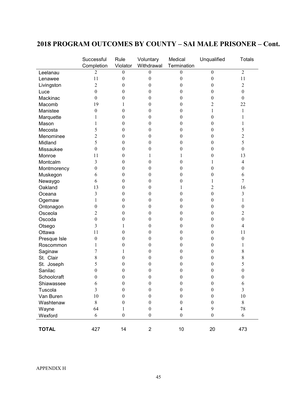### **2018 PROGRAM OUTCOMES BY COUNTY – SAI MALE PRISONER – Cont.**

|              | Successful              | Rule<br>Violator | Voluntary<br>Withdrawal | Medical<br>Termination | Unqualified      | <b>Totals</b>           |
|--------------|-------------------------|------------------|-------------------------|------------------------|------------------|-------------------------|
| Leelanau     | Completion<br>2         | $\boldsymbol{0}$ | 0                       | 0                      | $\boldsymbol{0}$ | $\overline{2}$          |
| Lenawee      | 11                      | $\boldsymbol{0}$ | $\boldsymbol{0}$        | $\boldsymbol{0}$       | $\boldsymbol{0}$ | 11                      |
|              | $\overline{2}$          | $\boldsymbol{0}$ | $\boldsymbol{0}$        | $\boldsymbol{0}$       | $\boldsymbol{0}$ | $\overline{2}$          |
| Livingston   | $\boldsymbol{0}$        | $\boldsymbol{0}$ | $\boldsymbol{0}$        | 0                      | $\boldsymbol{0}$ | $\boldsymbol{0}$        |
| Luce         | $\boldsymbol{0}$        | $\boldsymbol{0}$ | $\boldsymbol{0}$        |                        |                  | $\boldsymbol{0}$        |
| Mackinac     | 19                      |                  |                         | 0                      | $\boldsymbol{0}$ | 22                      |
| Macomb       |                         | 1                | $\boldsymbol{0}$        | 0                      | 2                |                         |
| Manistee     | $\boldsymbol{0}$        | $\boldsymbol{0}$ | $\theta$                | 0                      | 1                | 1                       |
| Marquette    | 1                       | $\boldsymbol{0}$ | $\boldsymbol{0}$        | 0                      | $\mathbf{0}$     | 1                       |
| Mason        | 1                       | $\boldsymbol{0}$ | $\boldsymbol{0}$        | 0                      | $\theta$         | 1                       |
| Mecosta      | 5                       | $\boldsymbol{0}$ | $\boldsymbol{0}$        | 0                      | $\theta$         | 5                       |
| Menominee    | $\overline{c}$          | $\boldsymbol{0}$ | $\boldsymbol{0}$        | 0                      | $\theta$         | $\overline{c}$          |
| Midland      | 5                       | $\boldsymbol{0}$ | $\boldsymbol{0}$        | 0                      | $\boldsymbol{0}$ | 5                       |
| Missaukee    | $\boldsymbol{0}$        | $\boldsymbol{0}$ | $\boldsymbol{0}$        | 0                      | $\boldsymbol{0}$ | $\boldsymbol{0}$        |
| Monroe       | 11                      | $\boldsymbol{0}$ | 1                       | 1                      | $\theta$         | 13                      |
| Montcalm     | 3                       | $\boldsymbol{0}$ | $\mathbf{0}$            | 0                      | 1                | $\overline{\mathbf{4}}$ |
| Montmorency  | $\boldsymbol{0}$        | $\theta$         | $\boldsymbol{0}$        | 0                      | $\theta$         | $\boldsymbol{0}$        |
| Muskegon     | 6                       | $\boldsymbol{0}$ | $\boldsymbol{0}$        | 0                      | $\theta$         | 6                       |
| Newaygo      | 6                       | $\boldsymbol{0}$ | $\boldsymbol{0}$        | 0                      | 1                | $\tau$                  |
| Oakland      | 13                      | $\boldsymbol{0}$ | $\boldsymbol{0}$        | 1                      | $\mathfrak{2}$   | 16                      |
| Oceana       | $\overline{\mathbf{3}}$ | $\boldsymbol{0}$ | $\boldsymbol{0}$        | 0                      | $\boldsymbol{0}$ | 3                       |
| Ogemaw       | 1                       | $\boldsymbol{0}$ | $\boldsymbol{0}$        | $\boldsymbol{0}$       | $\boldsymbol{0}$ | 1                       |
| Ontonagon    | $\boldsymbol{0}$        | $\boldsymbol{0}$ | $\boldsymbol{0}$        | 0                      | $\boldsymbol{0}$ | $\boldsymbol{0}$        |
| Osceola      | 2                       | $\boldsymbol{0}$ | $\theta$                | 0                      | $\theta$         | $\overline{2}$          |
| Oscoda       | $\boldsymbol{0}$        | 0                | $\boldsymbol{0}$        | 0                      | $\theta$         | $\boldsymbol{0}$        |
| Otsego       | 3                       | 1                | $\boldsymbol{0}$        | 0                      | $\theta$         | $\overline{\mathbf{4}}$ |
| Ottawa       | 11                      | $\boldsymbol{0}$ | $\boldsymbol{0}$        | 0                      | $\boldsymbol{0}$ | 11                      |
| Presque Isle | $\boldsymbol{0}$        | $\boldsymbol{0}$ | $\boldsymbol{0}$        | 0                      | $\theta$         | $\boldsymbol{0}$        |
| Roscommon    | 1                       | $\boldsymbol{0}$ | $\boldsymbol{0}$        | 0                      | $\boldsymbol{0}$ | 1                       |
| Saginaw      | 7                       | 1                | $\boldsymbol{0}$        | 0                      | $\boldsymbol{0}$ | $\,$ $\,$               |
| St. Clair    | 8                       | $\boldsymbol{0}$ | $\boldsymbol{0}$        | 0                      | $\boldsymbol{0}$ | $\,$ $\,$               |
| St. Joseph   | 5                       | $\theta$         | $\theta$                | 0                      | $\theta$         | 5                       |
| Sanilac      | $\boldsymbol{0}$        | $\theta$         | $\boldsymbol{0}$        | 0                      | $\theta$         | $\boldsymbol{0}$        |
| Schoolcraft  | $\theta$                | 0                | $\boldsymbol{0}$        | 0                      | $\theta$         | $\boldsymbol{0}$        |
| Shiawassee   | 6                       | $\boldsymbol{0}$ | $\boldsymbol{0}$        | $\boldsymbol{0}$       | $\boldsymbol{0}$ | 6                       |
| Tuscola      | $\mathfrak{Z}$          | $\boldsymbol{0}$ | $\boldsymbol{0}$        | $\boldsymbol{0}$       | $\boldsymbol{0}$ | $\overline{3}$          |
| Van Buren    | 10                      | $\boldsymbol{0}$ | $\boldsymbol{0}$        | $\boldsymbol{0}$       | $\boldsymbol{0}$ | $10\,$                  |
| Washtenaw    | $\,$ 8 $\,$             | $\boldsymbol{0}$ | $\boldsymbol{0}$        | $\boldsymbol{0}$       | $\boldsymbol{0}$ | $8\,$                   |
| Wayne        | 64                      | $\mathbf{1}$     | $\boldsymbol{0}$        | $\overline{4}$         | 9                | 78                      |
| Wexford      | 6                       | $\boldsymbol{0}$ | $\boldsymbol{0}$        | $\boldsymbol{0}$       | $\boldsymbol{0}$ | 6                       |
|              |                         |                  |                         |                        |                  |                         |
| <b>TOTAL</b> | 427                     | 14               | $\overline{2}$          | 10                     | 20               | 473                     |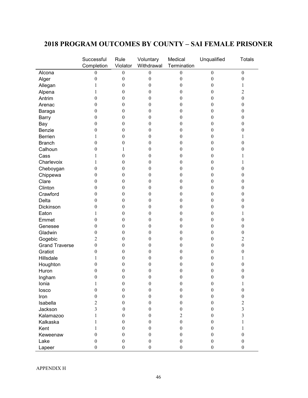### **2018 PROGRAM OUTCOMES BY COUNTY – SAI FEMALE PRISONER**

| $\boldsymbol{0}$<br>$\boldsymbol{0}$<br>$\boldsymbol{0}$<br>$\boldsymbol{0}$<br>$\boldsymbol{0}$<br>$\boldsymbol{0}$<br>Alcona<br>$\boldsymbol{0}$<br>$\boldsymbol{0}$<br>$\boldsymbol{0}$<br>$\boldsymbol{0}$<br>$\boldsymbol{0}$<br>Alger<br>$\boldsymbol{0}$<br>$\boldsymbol{0}$<br>Allegan<br>$\boldsymbol{0}$<br>$\boldsymbol{0}$<br>$\boldsymbol{0}$<br>1<br>1<br>$\overline{c}$<br>$\boldsymbol{0}$<br>$\boldsymbol{0}$<br>$\boldsymbol{0}$<br>$\boldsymbol{0}$<br>Alpena<br>1<br>Antrim<br>$\boldsymbol{0}$<br>$\boldsymbol{0}$<br>$\boldsymbol{0}$<br>$\boldsymbol{0}$<br>$\boldsymbol{0}$<br>$\boldsymbol{0}$<br>$\boldsymbol{0}$<br>$\boldsymbol{0}$<br>$\boldsymbol{0}$<br>$\boldsymbol{0}$<br>Arenac<br>$\theta$<br>$\mathbf{0}$<br>$\boldsymbol{0}$<br>$\boldsymbol{0}$<br>$\boldsymbol{0}$<br>$\boldsymbol{0}$<br>$\boldsymbol{0}$<br>$\mathbf{0}$<br>Baraga<br>$\boldsymbol{0}$<br>$\boldsymbol{0}$<br>$\boldsymbol{0}$<br>$\boldsymbol{0}$<br>$\theta$<br>$\boldsymbol{0}$<br><b>Barry</b><br>$\boldsymbol{0}$<br>$\boldsymbol{0}$<br>$\boldsymbol{0}$<br>$\boldsymbol{0}$<br>$\boldsymbol{0}$<br>$\theta$<br>Bay<br>Benzie<br>$\boldsymbol{0}$<br>$\boldsymbol{0}$<br>$\boldsymbol{0}$<br>$\boldsymbol{0}$<br>0<br>$\boldsymbol{0}$<br>$\boldsymbol{0}$<br>Berrien<br>$\boldsymbol{0}$<br>$\boldsymbol{0}$<br>0<br>1<br>1<br>$\boldsymbol{0}$<br>$\boldsymbol{0}$<br>$\boldsymbol{0}$<br>$\boldsymbol{0}$<br>$\boldsymbol{0}$<br><b>Branch</b><br>0<br>Calhoun<br>$\boldsymbol{0}$<br>$\boldsymbol{0}$<br>$\boldsymbol{0}$<br>$\boldsymbol{0}$<br>$\boldsymbol{0}$<br>1<br>$\boldsymbol{0}$<br>$\boldsymbol{0}$<br>$\boldsymbol{0}$<br>Cass<br>1<br>$\theta$<br>1<br>Charlevoix<br>$\boldsymbol{0}$<br>$\boldsymbol{0}$<br>$\boldsymbol{0}$<br>1<br>$\theta$<br>1<br>Cheboygan<br>$\boldsymbol{0}$<br>$\boldsymbol{0}$<br>$\boldsymbol{0}$<br>$\boldsymbol{0}$<br>$\boldsymbol{0}$<br>$\theta$<br>Chippewa<br>$\boldsymbol{0}$<br>$\boldsymbol{0}$<br>$\boldsymbol{0}$<br>$\boldsymbol{0}$<br>$\boldsymbol{0}$<br>$\boldsymbol{0}$<br>Clare<br>$\boldsymbol{0}$<br>$\boldsymbol{0}$<br>$\boldsymbol{0}$<br>$\boldsymbol{0}$<br>$\boldsymbol{0}$<br>$\boldsymbol{0}$<br>Clinton<br>$\boldsymbol{0}$<br>$\boldsymbol{0}$<br>$\boldsymbol{0}$<br>$\boldsymbol{0}$<br>$\boldsymbol{0}$<br>$\boldsymbol{0}$<br>Crawford<br>$\boldsymbol{0}$<br>$\boldsymbol{0}$<br>$\boldsymbol{0}$<br>$\boldsymbol{0}$<br>$\boldsymbol{0}$<br>$\boldsymbol{0}$<br>$\boldsymbol{0}$<br>$\boldsymbol{0}$<br>$\boldsymbol{0}$<br>$\boldsymbol{0}$<br>$\boldsymbol{0}$<br>Delta<br>$\boldsymbol{0}$<br>Dickinson<br>$\boldsymbol{0}$<br>$\boldsymbol{0}$<br>$\boldsymbol{0}$<br>$\boldsymbol{0}$<br>$\boldsymbol{0}$<br>$\boldsymbol{0}$<br>$\boldsymbol{0}$<br>$\boldsymbol{0}$<br>$\boldsymbol{0}$<br>Eaton<br>1<br>$\theta$<br>1<br>$\boldsymbol{0}$<br>$\boldsymbol{0}$<br>$\boldsymbol{0}$<br>$\boldsymbol{0}$<br>Emmet<br>$\boldsymbol{0}$<br>$\mathbf{0}$<br>$\boldsymbol{0}$<br>$\boldsymbol{0}$<br>$\boldsymbol{0}$<br>$\boldsymbol{0}$<br>$\boldsymbol{0}$<br>$\boldsymbol{0}$<br>Genesee<br>Gladwin<br>$\boldsymbol{0}$<br>$\boldsymbol{0}$<br>$\boldsymbol{0}$<br>$\boldsymbol{0}$<br>$\boldsymbol{0}$<br>$\boldsymbol{0}$<br>$\overline{c}$<br>Gogebic<br>$\boldsymbol{0}$<br>$\boldsymbol{0}$<br>$\boldsymbol{0}$<br>0<br>$\overline{\mathbf{c}}$<br>$\boldsymbol{0}$<br>$\boldsymbol{0}$<br><b>Grand Traverse</b><br>$\boldsymbol{0}$<br>$\boldsymbol{0}$<br>$\boldsymbol{0}$<br>0<br>Gratiot<br>$\boldsymbol{0}$<br>$\boldsymbol{0}$<br>$\boldsymbol{0}$<br>$\boldsymbol{0}$<br>$\boldsymbol{0}$<br>$\boldsymbol{0}$<br>Hillsdale<br>$\boldsymbol{0}$<br>1<br>$\theta$<br>$\boldsymbol{0}$<br>$\boldsymbol{0}$<br>1<br>Houghton<br>$\boldsymbol{0}$<br>$\boldsymbol{0}$<br>$\boldsymbol{0}$<br>$\theta$<br>$\theta$<br>$\mathbf{0}$<br>Huron<br>$\boldsymbol{0}$<br>$\boldsymbol{0}$<br>$\theta$<br>$\boldsymbol{0}$<br>$\boldsymbol{0}$<br>$\boldsymbol{0}$<br>$\boldsymbol{0}$<br>$\boldsymbol{0}$<br>$\boldsymbol{0}$<br>$\boldsymbol{0}$<br>$\boldsymbol{0}$<br>$\boldsymbol{0}$<br>Ingham<br>Ionia<br>$\boldsymbol{0}$<br>$\boldsymbol{0}$<br>$\boldsymbol{0}$<br>$\boldsymbol{0}$<br>1<br>1<br>$\boldsymbol{0}$<br>$\boldsymbol{0}$<br>$\boldsymbol{0}$<br>$\mathbf{0}$<br>$\mathbf{0}$<br>$\boldsymbol{0}$<br>losco<br>$\boldsymbol{0}$<br>$\boldsymbol{0}$<br>$\boldsymbol{0}$<br>$\boldsymbol{0}$<br>$\boldsymbol{0}$<br>$\mathbf{0}$<br>Iron<br>$\overline{c}$<br>$\overline{c}$<br>Isabella<br>$\boldsymbol{0}$<br>$\boldsymbol{0}$<br>$\boldsymbol{0}$<br>$\boldsymbol{0}$<br>$\mathfrak{Z}$<br>Jackson<br>3<br>$\boldsymbol{0}$<br>$\boldsymbol{0}$<br>$\boldsymbol{0}$<br>$\mathbf{0}$<br>$\overline{3}$<br>Kalamazoo<br>$\overline{2}$<br>$\boldsymbol{0}$<br>$\boldsymbol{0}$<br>$\boldsymbol{0}$<br>1<br>$\boldsymbol{0}$<br>Kalkaska<br>$\boldsymbol{0}$<br>$\boldsymbol{0}$<br>$\theta$<br>1<br>1<br>$\boldsymbol{0}$<br>$\boldsymbol{0}$<br>Kent<br>$\theta$<br>$\mathbf{0}$<br>1<br>1 |          | Successful       | Rule             | Voluntary        | Medical          | Unqualified      | <b>Totals</b> |
|----------------------------------------------------------------------------------------------------------------------------------------------------------------------------------------------------------------------------------------------------------------------------------------------------------------------------------------------------------------------------------------------------------------------------------------------------------------------------------------------------------------------------------------------------------------------------------------------------------------------------------------------------------------------------------------------------------------------------------------------------------------------------------------------------------------------------------------------------------------------------------------------------------------------------------------------------------------------------------------------------------------------------------------------------------------------------------------------------------------------------------------------------------------------------------------------------------------------------------------------------------------------------------------------------------------------------------------------------------------------------------------------------------------------------------------------------------------------------------------------------------------------------------------------------------------------------------------------------------------------------------------------------------------------------------------------------------------------------------------------------------------------------------------------------------------------------------------------------------------------------------------------------------------------------------------------------------------------------------------------------------------------------------------------------------------------------------------------------------------------------------------------------------------------------------------------------------------------------------------------------------------------------------------------------------------------------------------------------------------------------------------------------------------------------------------------------------------------------------------------------------------------------------------------------------------------------------------------------------------------------------------------------------------------------------------------------------------------------------------------------------------------------------------------------------------------------------------------------------------------------------------------------------------------------------------------------------------------------------------------------------------------------------------------------------------------------------------------------------------------------------------------------------------------------------------------------------------------------------------------------------------------------------------------------------------------------------------------------------------------------------------------------------------------------------------------------------------------------------------------------------------------------------------------------------------------------------------------------------------------------------------------------------------------------------------------------------------------------------------------------------------------------------------------------------------------------------------------------------------------------------------------------------------------------------------------------------------------------------------------------------------------------------------------------------------------------------------------------------------------------------------------------------------------------------------------------------------------------------------------------------------------------------------------------------------------------------------------------------------------------------------------------------------------------------------------------------------------------------------------------------------------------------------------------------------------------------------------------------------------------------------------------------------------------------------------------------------------------------------------------------------------------------------------------------------------------------------------------------------------------------------------------------------------------------------------------------------------------------------------------------------------|----------|------------------|------------------|------------------|------------------|------------------|---------------|
|                                                                                                                                                                                                                                                                                                                                                                                                                                                                                                                                                                                                                                                                                                                                                                                                                                                                                                                                                                                                                                                                                                                                                                                                                                                                                                                                                                                                                                                                                                                                                                                                                                                                                                                                                                                                                                                                                                                                                                                                                                                                                                                                                                                                                                                                                                                                                                                                                                                                                                                                                                                                                                                                                                                                                                                                                                                                                                                                                                                                                                                                                                                                                                                                                                                                                                                                                                                                                                                                                                                                                                                                                                                                                                                                                                                                                                                                                                                                                                                                                                                                                                                                                                                                                                                                                                                                                                                                                                                                                                                                                                                                                                                                                                                                                                                                                                                                                                                                                                                                                      |          | Completion       | Violator         | Withdrawal       | Termination      |                  |               |
|                                                                                                                                                                                                                                                                                                                                                                                                                                                                                                                                                                                                                                                                                                                                                                                                                                                                                                                                                                                                                                                                                                                                                                                                                                                                                                                                                                                                                                                                                                                                                                                                                                                                                                                                                                                                                                                                                                                                                                                                                                                                                                                                                                                                                                                                                                                                                                                                                                                                                                                                                                                                                                                                                                                                                                                                                                                                                                                                                                                                                                                                                                                                                                                                                                                                                                                                                                                                                                                                                                                                                                                                                                                                                                                                                                                                                                                                                                                                                                                                                                                                                                                                                                                                                                                                                                                                                                                                                                                                                                                                                                                                                                                                                                                                                                                                                                                                                                                                                                                                                      |          |                  |                  |                  |                  |                  |               |
|                                                                                                                                                                                                                                                                                                                                                                                                                                                                                                                                                                                                                                                                                                                                                                                                                                                                                                                                                                                                                                                                                                                                                                                                                                                                                                                                                                                                                                                                                                                                                                                                                                                                                                                                                                                                                                                                                                                                                                                                                                                                                                                                                                                                                                                                                                                                                                                                                                                                                                                                                                                                                                                                                                                                                                                                                                                                                                                                                                                                                                                                                                                                                                                                                                                                                                                                                                                                                                                                                                                                                                                                                                                                                                                                                                                                                                                                                                                                                                                                                                                                                                                                                                                                                                                                                                                                                                                                                                                                                                                                                                                                                                                                                                                                                                                                                                                                                                                                                                                                                      |          |                  |                  |                  |                  |                  |               |
|                                                                                                                                                                                                                                                                                                                                                                                                                                                                                                                                                                                                                                                                                                                                                                                                                                                                                                                                                                                                                                                                                                                                                                                                                                                                                                                                                                                                                                                                                                                                                                                                                                                                                                                                                                                                                                                                                                                                                                                                                                                                                                                                                                                                                                                                                                                                                                                                                                                                                                                                                                                                                                                                                                                                                                                                                                                                                                                                                                                                                                                                                                                                                                                                                                                                                                                                                                                                                                                                                                                                                                                                                                                                                                                                                                                                                                                                                                                                                                                                                                                                                                                                                                                                                                                                                                                                                                                                                                                                                                                                                                                                                                                                                                                                                                                                                                                                                                                                                                                                                      |          |                  |                  |                  |                  |                  |               |
|                                                                                                                                                                                                                                                                                                                                                                                                                                                                                                                                                                                                                                                                                                                                                                                                                                                                                                                                                                                                                                                                                                                                                                                                                                                                                                                                                                                                                                                                                                                                                                                                                                                                                                                                                                                                                                                                                                                                                                                                                                                                                                                                                                                                                                                                                                                                                                                                                                                                                                                                                                                                                                                                                                                                                                                                                                                                                                                                                                                                                                                                                                                                                                                                                                                                                                                                                                                                                                                                                                                                                                                                                                                                                                                                                                                                                                                                                                                                                                                                                                                                                                                                                                                                                                                                                                                                                                                                                                                                                                                                                                                                                                                                                                                                                                                                                                                                                                                                                                                                                      |          |                  |                  |                  |                  |                  |               |
|                                                                                                                                                                                                                                                                                                                                                                                                                                                                                                                                                                                                                                                                                                                                                                                                                                                                                                                                                                                                                                                                                                                                                                                                                                                                                                                                                                                                                                                                                                                                                                                                                                                                                                                                                                                                                                                                                                                                                                                                                                                                                                                                                                                                                                                                                                                                                                                                                                                                                                                                                                                                                                                                                                                                                                                                                                                                                                                                                                                                                                                                                                                                                                                                                                                                                                                                                                                                                                                                                                                                                                                                                                                                                                                                                                                                                                                                                                                                                                                                                                                                                                                                                                                                                                                                                                                                                                                                                                                                                                                                                                                                                                                                                                                                                                                                                                                                                                                                                                                                                      |          |                  |                  |                  |                  |                  |               |
|                                                                                                                                                                                                                                                                                                                                                                                                                                                                                                                                                                                                                                                                                                                                                                                                                                                                                                                                                                                                                                                                                                                                                                                                                                                                                                                                                                                                                                                                                                                                                                                                                                                                                                                                                                                                                                                                                                                                                                                                                                                                                                                                                                                                                                                                                                                                                                                                                                                                                                                                                                                                                                                                                                                                                                                                                                                                                                                                                                                                                                                                                                                                                                                                                                                                                                                                                                                                                                                                                                                                                                                                                                                                                                                                                                                                                                                                                                                                                                                                                                                                                                                                                                                                                                                                                                                                                                                                                                                                                                                                                                                                                                                                                                                                                                                                                                                                                                                                                                                                                      |          |                  |                  |                  |                  |                  |               |
|                                                                                                                                                                                                                                                                                                                                                                                                                                                                                                                                                                                                                                                                                                                                                                                                                                                                                                                                                                                                                                                                                                                                                                                                                                                                                                                                                                                                                                                                                                                                                                                                                                                                                                                                                                                                                                                                                                                                                                                                                                                                                                                                                                                                                                                                                                                                                                                                                                                                                                                                                                                                                                                                                                                                                                                                                                                                                                                                                                                                                                                                                                                                                                                                                                                                                                                                                                                                                                                                                                                                                                                                                                                                                                                                                                                                                                                                                                                                                                                                                                                                                                                                                                                                                                                                                                                                                                                                                                                                                                                                                                                                                                                                                                                                                                                                                                                                                                                                                                                                                      |          |                  |                  |                  |                  |                  |               |
|                                                                                                                                                                                                                                                                                                                                                                                                                                                                                                                                                                                                                                                                                                                                                                                                                                                                                                                                                                                                                                                                                                                                                                                                                                                                                                                                                                                                                                                                                                                                                                                                                                                                                                                                                                                                                                                                                                                                                                                                                                                                                                                                                                                                                                                                                                                                                                                                                                                                                                                                                                                                                                                                                                                                                                                                                                                                                                                                                                                                                                                                                                                                                                                                                                                                                                                                                                                                                                                                                                                                                                                                                                                                                                                                                                                                                                                                                                                                                                                                                                                                                                                                                                                                                                                                                                                                                                                                                                                                                                                                                                                                                                                                                                                                                                                                                                                                                                                                                                                                                      |          |                  |                  |                  |                  |                  |               |
|                                                                                                                                                                                                                                                                                                                                                                                                                                                                                                                                                                                                                                                                                                                                                                                                                                                                                                                                                                                                                                                                                                                                                                                                                                                                                                                                                                                                                                                                                                                                                                                                                                                                                                                                                                                                                                                                                                                                                                                                                                                                                                                                                                                                                                                                                                                                                                                                                                                                                                                                                                                                                                                                                                                                                                                                                                                                                                                                                                                                                                                                                                                                                                                                                                                                                                                                                                                                                                                                                                                                                                                                                                                                                                                                                                                                                                                                                                                                                                                                                                                                                                                                                                                                                                                                                                                                                                                                                                                                                                                                                                                                                                                                                                                                                                                                                                                                                                                                                                                                                      |          |                  |                  |                  |                  |                  |               |
|                                                                                                                                                                                                                                                                                                                                                                                                                                                                                                                                                                                                                                                                                                                                                                                                                                                                                                                                                                                                                                                                                                                                                                                                                                                                                                                                                                                                                                                                                                                                                                                                                                                                                                                                                                                                                                                                                                                                                                                                                                                                                                                                                                                                                                                                                                                                                                                                                                                                                                                                                                                                                                                                                                                                                                                                                                                                                                                                                                                                                                                                                                                                                                                                                                                                                                                                                                                                                                                                                                                                                                                                                                                                                                                                                                                                                                                                                                                                                                                                                                                                                                                                                                                                                                                                                                                                                                                                                                                                                                                                                                                                                                                                                                                                                                                                                                                                                                                                                                                                                      |          |                  |                  |                  |                  |                  |               |
|                                                                                                                                                                                                                                                                                                                                                                                                                                                                                                                                                                                                                                                                                                                                                                                                                                                                                                                                                                                                                                                                                                                                                                                                                                                                                                                                                                                                                                                                                                                                                                                                                                                                                                                                                                                                                                                                                                                                                                                                                                                                                                                                                                                                                                                                                                                                                                                                                                                                                                                                                                                                                                                                                                                                                                                                                                                                                                                                                                                                                                                                                                                                                                                                                                                                                                                                                                                                                                                                                                                                                                                                                                                                                                                                                                                                                                                                                                                                                                                                                                                                                                                                                                                                                                                                                                                                                                                                                                                                                                                                                                                                                                                                                                                                                                                                                                                                                                                                                                                                                      |          |                  |                  |                  |                  |                  |               |
|                                                                                                                                                                                                                                                                                                                                                                                                                                                                                                                                                                                                                                                                                                                                                                                                                                                                                                                                                                                                                                                                                                                                                                                                                                                                                                                                                                                                                                                                                                                                                                                                                                                                                                                                                                                                                                                                                                                                                                                                                                                                                                                                                                                                                                                                                                                                                                                                                                                                                                                                                                                                                                                                                                                                                                                                                                                                                                                                                                                                                                                                                                                                                                                                                                                                                                                                                                                                                                                                                                                                                                                                                                                                                                                                                                                                                                                                                                                                                                                                                                                                                                                                                                                                                                                                                                                                                                                                                                                                                                                                                                                                                                                                                                                                                                                                                                                                                                                                                                                                                      |          |                  |                  |                  |                  |                  |               |
|                                                                                                                                                                                                                                                                                                                                                                                                                                                                                                                                                                                                                                                                                                                                                                                                                                                                                                                                                                                                                                                                                                                                                                                                                                                                                                                                                                                                                                                                                                                                                                                                                                                                                                                                                                                                                                                                                                                                                                                                                                                                                                                                                                                                                                                                                                                                                                                                                                                                                                                                                                                                                                                                                                                                                                                                                                                                                                                                                                                                                                                                                                                                                                                                                                                                                                                                                                                                                                                                                                                                                                                                                                                                                                                                                                                                                                                                                                                                                                                                                                                                                                                                                                                                                                                                                                                                                                                                                                                                                                                                                                                                                                                                                                                                                                                                                                                                                                                                                                                                                      |          |                  |                  |                  |                  |                  |               |
|                                                                                                                                                                                                                                                                                                                                                                                                                                                                                                                                                                                                                                                                                                                                                                                                                                                                                                                                                                                                                                                                                                                                                                                                                                                                                                                                                                                                                                                                                                                                                                                                                                                                                                                                                                                                                                                                                                                                                                                                                                                                                                                                                                                                                                                                                                                                                                                                                                                                                                                                                                                                                                                                                                                                                                                                                                                                                                                                                                                                                                                                                                                                                                                                                                                                                                                                                                                                                                                                                                                                                                                                                                                                                                                                                                                                                                                                                                                                                                                                                                                                                                                                                                                                                                                                                                                                                                                                                                                                                                                                                                                                                                                                                                                                                                                                                                                                                                                                                                                                                      |          |                  |                  |                  |                  |                  |               |
|                                                                                                                                                                                                                                                                                                                                                                                                                                                                                                                                                                                                                                                                                                                                                                                                                                                                                                                                                                                                                                                                                                                                                                                                                                                                                                                                                                                                                                                                                                                                                                                                                                                                                                                                                                                                                                                                                                                                                                                                                                                                                                                                                                                                                                                                                                                                                                                                                                                                                                                                                                                                                                                                                                                                                                                                                                                                                                                                                                                                                                                                                                                                                                                                                                                                                                                                                                                                                                                                                                                                                                                                                                                                                                                                                                                                                                                                                                                                                                                                                                                                                                                                                                                                                                                                                                                                                                                                                                                                                                                                                                                                                                                                                                                                                                                                                                                                                                                                                                                                                      |          |                  |                  |                  |                  |                  |               |
|                                                                                                                                                                                                                                                                                                                                                                                                                                                                                                                                                                                                                                                                                                                                                                                                                                                                                                                                                                                                                                                                                                                                                                                                                                                                                                                                                                                                                                                                                                                                                                                                                                                                                                                                                                                                                                                                                                                                                                                                                                                                                                                                                                                                                                                                                                                                                                                                                                                                                                                                                                                                                                                                                                                                                                                                                                                                                                                                                                                                                                                                                                                                                                                                                                                                                                                                                                                                                                                                                                                                                                                                                                                                                                                                                                                                                                                                                                                                                                                                                                                                                                                                                                                                                                                                                                                                                                                                                                                                                                                                                                                                                                                                                                                                                                                                                                                                                                                                                                                                                      |          |                  |                  |                  |                  |                  |               |
|                                                                                                                                                                                                                                                                                                                                                                                                                                                                                                                                                                                                                                                                                                                                                                                                                                                                                                                                                                                                                                                                                                                                                                                                                                                                                                                                                                                                                                                                                                                                                                                                                                                                                                                                                                                                                                                                                                                                                                                                                                                                                                                                                                                                                                                                                                                                                                                                                                                                                                                                                                                                                                                                                                                                                                                                                                                                                                                                                                                                                                                                                                                                                                                                                                                                                                                                                                                                                                                                                                                                                                                                                                                                                                                                                                                                                                                                                                                                                                                                                                                                                                                                                                                                                                                                                                                                                                                                                                                                                                                                                                                                                                                                                                                                                                                                                                                                                                                                                                                                                      |          |                  |                  |                  |                  |                  |               |
|                                                                                                                                                                                                                                                                                                                                                                                                                                                                                                                                                                                                                                                                                                                                                                                                                                                                                                                                                                                                                                                                                                                                                                                                                                                                                                                                                                                                                                                                                                                                                                                                                                                                                                                                                                                                                                                                                                                                                                                                                                                                                                                                                                                                                                                                                                                                                                                                                                                                                                                                                                                                                                                                                                                                                                                                                                                                                                                                                                                                                                                                                                                                                                                                                                                                                                                                                                                                                                                                                                                                                                                                                                                                                                                                                                                                                                                                                                                                                                                                                                                                                                                                                                                                                                                                                                                                                                                                                                                                                                                                                                                                                                                                                                                                                                                                                                                                                                                                                                                                                      |          |                  |                  |                  |                  |                  |               |
|                                                                                                                                                                                                                                                                                                                                                                                                                                                                                                                                                                                                                                                                                                                                                                                                                                                                                                                                                                                                                                                                                                                                                                                                                                                                                                                                                                                                                                                                                                                                                                                                                                                                                                                                                                                                                                                                                                                                                                                                                                                                                                                                                                                                                                                                                                                                                                                                                                                                                                                                                                                                                                                                                                                                                                                                                                                                                                                                                                                                                                                                                                                                                                                                                                                                                                                                                                                                                                                                                                                                                                                                                                                                                                                                                                                                                                                                                                                                                                                                                                                                                                                                                                                                                                                                                                                                                                                                                                                                                                                                                                                                                                                                                                                                                                                                                                                                                                                                                                                                                      |          |                  |                  |                  |                  |                  |               |
|                                                                                                                                                                                                                                                                                                                                                                                                                                                                                                                                                                                                                                                                                                                                                                                                                                                                                                                                                                                                                                                                                                                                                                                                                                                                                                                                                                                                                                                                                                                                                                                                                                                                                                                                                                                                                                                                                                                                                                                                                                                                                                                                                                                                                                                                                                                                                                                                                                                                                                                                                                                                                                                                                                                                                                                                                                                                                                                                                                                                                                                                                                                                                                                                                                                                                                                                                                                                                                                                                                                                                                                                                                                                                                                                                                                                                                                                                                                                                                                                                                                                                                                                                                                                                                                                                                                                                                                                                                                                                                                                                                                                                                                                                                                                                                                                                                                                                                                                                                                                                      |          |                  |                  |                  |                  |                  |               |
|                                                                                                                                                                                                                                                                                                                                                                                                                                                                                                                                                                                                                                                                                                                                                                                                                                                                                                                                                                                                                                                                                                                                                                                                                                                                                                                                                                                                                                                                                                                                                                                                                                                                                                                                                                                                                                                                                                                                                                                                                                                                                                                                                                                                                                                                                                                                                                                                                                                                                                                                                                                                                                                                                                                                                                                                                                                                                                                                                                                                                                                                                                                                                                                                                                                                                                                                                                                                                                                                                                                                                                                                                                                                                                                                                                                                                                                                                                                                                                                                                                                                                                                                                                                                                                                                                                                                                                                                                                                                                                                                                                                                                                                                                                                                                                                                                                                                                                                                                                                                                      |          |                  |                  |                  |                  |                  |               |
|                                                                                                                                                                                                                                                                                                                                                                                                                                                                                                                                                                                                                                                                                                                                                                                                                                                                                                                                                                                                                                                                                                                                                                                                                                                                                                                                                                                                                                                                                                                                                                                                                                                                                                                                                                                                                                                                                                                                                                                                                                                                                                                                                                                                                                                                                                                                                                                                                                                                                                                                                                                                                                                                                                                                                                                                                                                                                                                                                                                                                                                                                                                                                                                                                                                                                                                                                                                                                                                                                                                                                                                                                                                                                                                                                                                                                                                                                                                                                                                                                                                                                                                                                                                                                                                                                                                                                                                                                                                                                                                                                                                                                                                                                                                                                                                                                                                                                                                                                                                                                      |          |                  |                  |                  |                  |                  |               |
|                                                                                                                                                                                                                                                                                                                                                                                                                                                                                                                                                                                                                                                                                                                                                                                                                                                                                                                                                                                                                                                                                                                                                                                                                                                                                                                                                                                                                                                                                                                                                                                                                                                                                                                                                                                                                                                                                                                                                                                                                                                                                                                                                                                                                                                                                                                                                                                                                                                                                                                                                                                                                                                                                                                                                                                                                                                                                                                                                                                                                                                                                                                                                                                                                                                                                                                                                                                                                                                                                                                                                                                                                                                                                                                                                                                                                                                                                                                                                                                                                                                                                                                                                                                                                                                                                                                                                                                                                                                                                                                                                                                                                                                                                                                                                                                                                                                                                                                                                                                                                      |          |                  |                  |                  |                  |                  |               |
|                                                                                                                                                                                                                                                                                                                                                                                                                                                                                                                                                                                                                                                                                                                                                                                                                                                                                                                                                                                                                                                                                                                                                                                                                                                                                                                                                                                                                                                                                                                                                                                                                                                                                                                                                                                                                                                                                                                                                                                                                                                                                                                                                                                                                                                                                                                                                                                                                                                                                                                                                                                                                                                                                                                                                                                                                                                                                                                                                                                                                                                                                                                                                                                                                                                                                                                                                                                                                                                                                                                                                                                                                                                                                                                                                                                                                                                                                                                                                                                                                                                                                                                                                                                                                                                                                                                                                                                                                                                                                                                                                                                                                                                                                                                                                                                                                                                                                                                                                                                                                      |          |                  |                  |                  |                  |                  |               |
|                                                                                                                                                                                                                                                                                                                                                                                                                                                                                                                                                                                                                                                                                                                                                                                                                                                                                                                                                                                                                                                                                                                                                                                                                                                                                                                                                                                                                                                                                                                                                                                                                                                                                                                                                                                                                                                                                                                                                                                                                                                                                                                                                                                                                                                                                                                                                                                                                                                                                                                                                                                                                                                                                                                                                                                                                                                                                                                                                                                                                                                                                                                                                                                                                                                                                                                                                                                                                                                                                                                                                                                                                                                                                                                                                                                                                                                                                                                                                                                                                                                                                                                                                                                                                                                                                                                                                                                                                                                                                                                                                                                                                                                                                                                                                                                                                                                                                                                                                                                                                      |          |                  |                  |                  |                  |                  |               |
|                                                                                                                                                                                                                                                                                                                                                                                                                                                                                                                                                                                                                                                                                                                                                                                                                                                                                                                                                                                                                                                                                                                                                                                                                                                                                                                                                                                                                                                                                                                                                                                                                                                                                                                                                                                                                                                                                                                                                                                                                                                                                                                                                                                                                                                                                                                                                                                                                                                                                                                                                                                                                                                                                                                                                                                                                                                                                                                                                                                                                                                                                                                                                                                                                                                                                                                                                                                                                                                                                                                                                                                                                                                                                                                                                                                                                                                                                                                                                                                                                                                                                                                                                                                                                                                                                                                                                                                                                                                                                                                                                                                                                                                                                                                                                                                                                                                                                                                                                                                                                      |          |                  |                  |                  |                  |                  |               |
|                                                                                                                                                                                                                                                                                                                                                                                                                                                                                                                                                                                                                                                                                                                                                                                                                                                                                                                                                                                                                                                                                                                                                                                                                                                                                                                                                                                                                                                                                                                                                                                                                                                                                                                                                                                                                                                                                                                                                                                                                                                                                                                                                                                                                                                                                                                                                                                                                                                                                                                                                                                                                                                                                                                                                                                                                                                                                                                                                                                                                                                                                                                                                                                                                                                                                                                                                                                                                                                                                                                                                                                                                                                                                                                                                                                                                                                                                                                                                                                                                                                                                                                                                                                                                                                                                                                                                                                                                                                                                                                                                                                                                                                                                                                                                                                                                                                                                                                                                                                                                      |          |                  |                  |                  |                  |                  |               |
|                                                                                                                                                                                                                                                                                                                                                                                                                                                                                                                                                                                                                                                                                                                                                                                                                                                                                                                                                                                                                                                                                                                                                                                                                                                                                                                                                                                                                                                                                                                                                                                                                                                                                                                                                                                                                                                                                                                                                                                                                                                                                                                                                                                                                                                                                                                                                                                                                                                                                                                                                                                                                                                                                                                                                                                                                                                                                                                                                                                                                                                                                                                                                                                                                                                                                                                                                                                                                                                                                                                                                                                                                                                                                                                                                                                                                                                                                                                                                                                                                                                                                                                                                                                                                                                                                                                                                                                                                                                                                                                                                                                                                                                                                                                                                                                                                                                                                                                                                                                                                      |          |                  |                  |                  |                  |                  |               |
|                                                                                                                                                                                                                                                                                                                                                                                                                                                                                                                                                                                                                                                                                                                                                                                                                                                                                                                                                                                                                                                                                                                                                                                                                                                                                                                                                                                                                                                                                                                                                                                                                                                                                                                                                                                                                                                                                                                                                                                                                                                                                                                                                                                                                                                                                                                                                                                                                                                                                                                                                                                                                                                                                                                                                                                                                                                                                                                                                                                                                                                                                                                                                                                                                                                                                                                                                                                                                                                                                                                                                                                                                                                                                                                                                                                                                                                                                                                                                                                                                                                                                                                                                                                                                                                                                                                                                                                                                                                                                                                                                                                                                                                                                                                                                                                                                                                                                                                                                                                                                      |          |                  |                  |                  |                  |                  |               |
|                                                                                                                                                                                                                                                                                                                                                                                                                                                                                                                                                                                                                                                                                                                                                                                                                                                                                                                                                                                                                                                                                                                                                                                                                                                                                                                                                                                                                                                                                                                                                                                                                                                                                                                                                                                                                                                                                                                                                                                                                                                                                                                                                                                                                                                                                                                                                                                                                                                                                                                                                                                                                                                                                                                                                                                                                                                                                                                                                                                                                                                                                                                                                                                                                                                                                                                                                                                                                                                                                                                                                                                                                                                                                                                                                                                                                                                                                                                                                                                                                                                                                                                                                                                                                                                                                                                                                                                                                                                                                                                                                                                                                                                                                                                                                                                                                                                                                                                                                                                                                      |          |                  |                  |                  |                  |                  |               |
|                                                                                                                                                                                                                                                                                                                                                                                                                                                                                                                                                                                                                                                                                                                                                                                                                                                                                                                                                                                                                                                                                                                                                                                                                                                                                                                                                                                                                                                                                                                                                                                                                                                                                                                                                                                                                                                                                                                                                                                                                                                                                                                                                                                                                                                                                                                                                                                                                                                                                                                                                                                                                                                                                                                                                                                                                                                                                                                                                                                                                                                                                                                                                                                                                                                                                                                                                                                                                                                                                                                                                                                                                                                                                                                                                                                                                                                                                                                                                                                                                                                                                                                                                                                                                                                                                                                                                                                                                                                                                                                                                                                                                                                                                                                                                                                                                                                                                                                                                                                                                      |          |                  |                  |                  |                  |                  |               |
|                                                                                                                                                                                                                                                                                                                                                                                                                                                                                                                                                                                                                                                                                                                                                                                                                                                                                                                                                                                                                                                                                                                                                                                                                                                                                                                                                                                                                                                                                                                                                                                                                                                                                                                                                                                                                                                                                                                                                                                                                                                                                                                                                                                                                                                                                                                                                                                                                                                                                                                                                                                                                                                                                                                                                                                                                                                                                                                                                                                                                                                                                                                                                                                                                                                                                                                                                                                                                                                                                                                                                                                                                                                                                                                                                                                                                                                                                                                                                                                                                                                                                                                                                                                                                                                                                                                                                                                                                                                                                                                                                                                                                                                                                                                                                                                                                                                                                                                                                                                                                      |          |                  |                  |                  |                  |                  |               |
|                                                                                                                                                                                                                                                                                                                                                                                                                                                                                                                                                                                                                                                                                                                                                                                                                                                                                                                                                                                                                                                                                                                                                                                                                                                                                                                                                                                                                                                                                                                                                                                                                                                                                                                                                                                                                                                                                                                                                                                                                                                                                                                                                                                                                                                                                                                                                                                                                                                                                                                                                                                                                                                                                                                                                                                                                                                                                                                                                                                                                                                                                                                                                                                                                                                                                                                                                                                                                                                                                                                                                                                                                                                                                                                                                                                                                                                                                                                                                                                                                                                                                                                                                                                                                                                                                                                                                                                                                                                                                                                                                                                                                                                                                                                                                                                                                                                                                                                                                                                                                      |          |                  |                  |                  |                  |                  |               |
|                                                                                                                                                                                                                                                                                                                                                                                                                                                                                                                                                                                                                                                                                                                                                                                                                                                                                                                                                                                                                                                                                                                                                                                                                                                                                                                                                                                                                                                                                                                                                                                                                                                                                                                                                                                                                                                                                                                                                                                                                                                                                                                                                                                                                                                                                                                                                                                                                                                                                                                                                                                                                                                                                                                                                                                                                                                                                                                                                                                                                                                                                                                                                                                                                                                                                                                                                                                                                                                                                                                                                                                                                                                                                                                                                                                                                                                                                                                                                                                                                                                                                                                                                                                                                                                                                                                                                                                                                                                                                                                                                                                                                                                                                                                                                                                                                                                                                                                                                                                                                      |          |                  |                  |                  |                  |                  |               |
|                                                                                                                                                                                                                                                                                                                                                                                                                                                                                                                                                                                                                                                                                                                                                                                                                                                                                                                                                                                                                                                                                                                                                                                                                                                                                                                                                                                                                                                                                                                                                                                                                                                                                                                                                                                                                                                                                                                                                                                                                                                                                                                                                                                                                                                                                                                                                                                                                                                                                                                                                                                                                                                                                                                                                                                                                                                                                                                                                                                                                                                                                                                                                                                                                                                                                                                                                                                                                                                                                                                                                                                                                                                                                                                                                                                                                                                                                                                                                                                                                                                                                                                                                                                                                                                                                                                                                                                                                                                                                                                                                                                                                                                                                                                                                                                                                                                                                                                                                                                                                      |          |                  |                  |                  |                  |                  |               |
|                                                                                                                                                                                                                                                                                                                                                                                                                                                                                                                                                                                                                                                                                                                                                                                                                                                                                                                                                                                                                                                                                                                                                                                                                                                                                                                                                                                                                                                                                                                                                                                                                                                                                                                                                                                                                                                                                                                                                                                                                                                                                                                                                                                                                                                                                                                                                                                                                                                                                                                                                                                                                                                                                                                                                                                                                                                                                                                                                                                                                                                                                                                                                                                                                                                                                                                                                                                                                                                                                                                                                                                                                                                                                                                                                                                                                                                                                                                                                                                                                                                                                                                                                                                                                                                                                                                                                                                                                                                                                                                                                                                                                                                                                                                                                                                                                                                                                                                                                                                                                      |          |                  |                  |                  |                  |                  |               |
|                                                                                                                                                                                                                                                                                                                                                                                                                                                                                                                                                                                                                                                                                                                                                                                                                                                                                                                                                                                                                                                                                                                                                                                                                                                                                                                                                                                                                                                                                                                                                                                                                                                                                                                                                                                                                                                                                                                                                                                                                                                                                                                                                                                                                                                                                                                                                                                                                                                                                                                                                                                                                                                                                                                                                                                                                                                                                                                                                                                                                                                                                                                                                                                                                                                                                                                                                                                                                                                                                                                                                                                                                                                                                                                                                                                                                                                                                                                                                                                                                                                                                                                                                                                                                                                                                                                                                                                                                                                                                                                                                                                                                                                                                                                                                                                                                                                                                                                                                                                                                      |          |                  |                  |                  |                  |                  |               |
|                                                                                                                                                                                                                                                                                                                                                                                                                                                                                                                                                                                                                                                                                                                                                                                                                                                                                                                                                                                                                                                                                                                                                                                                                                                                                                                                                                                                                                                                                                                                                                                                                                                                                                                                                                                                                                                                                                                                                                                                                                                                                                                                                                                                                                                                                                                                                                                                                                                                                                                                                                                                                                                                                                                                                                                                                                                                                                                                                                                                                                                                                                                                                                                                                                                                                                                                                                                                                                                                                                                                                                                                                                                                                                                                                                                                                                                                                                                                                                                                                                                                                                                                                                                                                                                                                                                                                                                                                                                                                                                                                                                                                                                                                                                                                                                                                                                                                                                                                                                                                      |          |                  |                  |                  |                  |                  |               |
|                                                                                                                                                                                                                                                                                                                                                                                                                                                                                                                                                                                                                                                                                                                                                                                                                                                                                                                                                                                                                                                                                                                                                                                                                                                                                                                                                                                                                                                                                                                                                                                                                                                                                                                                                                                                                                                                                                                                                                                                                                                                                                                                                                                                                                                                                                                                                                                                                                                                                                                                                                                                                                                                                                                                                                                                                                                                                                                                                                                                                                                                                                                                                                                                                                                                                                                                                                                                                                                                                                                                                                                                                                                                                                                                                                                                                                                                                                                                                                                                                                                                                                                                                                                                                                                                                                                                                                                                                                                                                                                                                                                                                                                                                                                                                                                                                                                                                                                                                                                                                      |          |                  |                  |                  |                  |                  |               |
|                                                                                                                                                                                                                                                                                                                                                                                                                                                                                                                                                                                                                                                                                                                                                                                                                                                                                                                                                                                                                                                                                                                                                                                                                                                                                                                                                                                                                                                                                                                                                                                                                                                                                                                                                                                                                                                                                                                                                                                                                                                                                                                                                                                                                                                                                                                                                                                                                                                                                                                                                                                                                                                                                                                                                                                                                                                                                                                                                                                                                                                                                                                                                                                                                                                                                                                                                                                                                                                                                                                                                                                                                                                                                                                                                                                                                                                                                                                                                                                                                                                                                                                                                                                                                                                                                                                                                                                                                                                                                                                                                                                                                                                                                                                                                                                                                                                                                                                                                                                                                      |          |                  |                  |                  |                  |                  |               |
|                                                                                                                                                                                                                                                                                                                                                                                                                                                                                                                                                                                                                                                                                                                                                                                                                                                                                                                                                                                                                                                                                                                                                                                                                                                                                                                                                                                                                                                                                                                                                                                                                                                                                                                                                                                                                                                                                                                                                                                                                                                                                                                                                                                                                                                                                                                                                                                                                                                                                                                                                                                                                                                                                                                                                                                                                                                                                                                                                                                                                                                                                                                                                                                                                                                                                                                                                                                                                                                                                                                                                                                                                                                                                                                                                                                                                                                                                                                                                                                                                                                                                                                                                                                                                                                                                                                                                                                                                                                                                                                                                                                                                                                                                                                                                                                                                                                                                                                                                                                                                      |          |                  |                  |                  |                  |                  |               |
|                                                                                                                                                                                                                                                                                                                                                                                                                                                                                                                                                                                                                                                                                                                                                                                                                                                                                                                                                                                                                                                                                                                                                                                                                                                                                                                                                                                                                                                                                                                                                                                                                                                                                                                                                                                                                                                                                                                                                                                                                                                                                                                                                                                                                                                                                                                                                                                                                                                                                                                                                                                                                                                                                                                                                                                                                                                                                                                                                                                                                                                                                                                                                                                                                                                                                                                                                                                                                                                                                                                                                                                                                                                                                                                                                                                                                                                                                                                                                                                                                                                                                                                                                                                                                                                                                                                                                                                                                                                                                                                                                                                                                                                                                                                                                                                                                                                                                                                                                                                                                      | Keweenaw | $\boldsymbol{0}$ | $\boldsymbol{0}$ | $\boldsymbol{0}$ | $\boldsymbol{0}$ | $\boldsymbol{0}$ | $\mathbf{0}$  |
| Lake<br>$\boldsymbol{0}$<br>$\boldsymbol{0}$<br>$\boldsymbol{0}$<br>$\boldsymbol{0}$<br>$\boldsymbol{0}$<br>$\mathbf{0}$                                                                                                                                                                                                                                                                                                                                                                                                                                                                                                                                                                                                                                                                                                                                                                                                                                                                                                                                                                                                                                                                                                                                                                                                                                                                                                                                                                                                                                                                                                                                                                                                                                                                                                                                                                                                                                                                                                                                                                                                                                                                                                                                                                                                                                                                                                                                                                                                                                                                                                                                                                                                                                                                                                                                                                                                                                                                                                                                                                                                                                                                                                                                                                                                                                                                                                                                                                                                                                                                                                                                                                                                                                                                                                                                                                                                                                                                                                                                                                                                                                                                                                                                                                                                                                                                                                                                                                                                                                                                                                                                                                                                                                                                                                                                                                                                                                                                                             |          |                  |                  |                  |                  |                  |               |
| $\boldsymbol{0}$<br>$\boldsymbol{0}$<br>$\boldsymbol{0}$<br>$\boldsymbol{0}$<br>$\boldsymbol{0}$<br>$\mathbf{0}$<br>Lapeer                                                                                                                                                                                                                                                                                                                                                                                                                                                                                                                                                                                                                                                                                                                                                                                                                                                                                                                                                                                                                                                                                                                                                                                                                                                                                                                                                                                                                                                                                                                                                                                                                                                                                                                                                                                                                                                                                                                                                                                                                                                                                                                                                                                                                                                                                                                                                                                                                                                                                                                                                                                                                                                                                                                                                                                                                                                                                                                                                                                                                                                                                                                                                                                                                                                                                                                                                                                                                                                                                                                                                                                                                                                                                                                                                                                                                                                                                                                                                                                                                                                                                                                                                                                                                                                                                                                                                                                                                                                                                                                                                                                                                                                                                                                                                                                                                                                                                           |          |                  |                  |                  |                  |                  |               |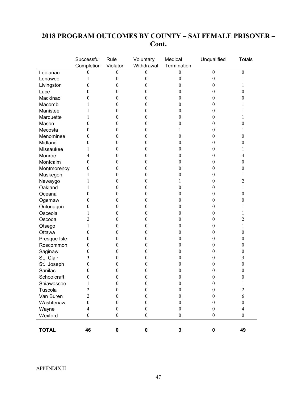### **2018 PROGRAM OUTCOMES BY COUNTY – SAI FEMALE PRISONER – Cont.**

|              | Successful<br>Completion | Rule<br>Violator | Voluntary<br>Withdrawal | Medical<br>Termination | Unqualified      | <b>Totals</b>           |
|--------------|--------------------------|------------------|-------------------------|------------------------|------------------|-------------------------|
| Leelanau     | $\boldsymbol{0}$         | $\boldsymbol{0}$ | $\boldsymbol{0}$        | $\boldsymbol{0}$       | $\boldsymbol{0}$ | $\boldsymbol{0}$        |
| Lenawee      | 1                        | $\boldsymbol{0}$ | $\boldsymbol{0}$        | $\boldsymbol{0}$       | $\boldsymbol{0}$ | 1                       |
| Livingston   | $\boldsymbol{0}$         | $\boldsymbol{0}$ | $\boldsymbol{0}$        | $\theta$               | $\boldsymbol{0}$ | 1                       |
| Luce         | $\theta$                 | $\theta$         | $\theta$                | $\theta$               | $\boldsymbol{0}$ | 0                       |
| Mackinac     | $\theta$                 | $\theta$         | 0                       | $\theta$               | $\boldsymbol{0}$ | 0                       |
| Macomb       | 1                        | $\theta$         | 0                       | $\theta$               | $\boldsymbol{0}$ | 1                       |
| Manistee     | 1                        | $\boldsymbol{0}$ | 0                       | $\bf{0}$               | $\boldsymbol{0}$ |                         |
| Marquette    | 1                        | $\boldsymbol{0}$ | 0                       | $\theta$               | $\boldsymbol{0}$ |                         |
| Mason        | $\theta$                 | $\boldsymbol{0}$ | 0                       | $\theta$               | $\boldsymbol{0}$ | 0                       |
| Mecosta      | $\theta$                 | $\boldsymbol{0}$ | 0                       |                        | $\boldsymbol{0}$ | 1                       |
| Menominee    | $\theta$                 | $\boldsymbol{0}$ | 0                       | $\theta$               | $\boldsymbol{0}$ | $\boldsymbol{0}$        |
| Midland      | $\theta$                 | $\theta$         | 0                       | $\theta$               | $\boldsymbol{0}$ | 0                       |
| Missaukee    | 1                        | $\theta$         | 0                       | $\theta$               | $\boldsymbol{0}$ | 1                       |
| Monroe       | 4                        | $\theta$         | 0                       | $\bf{0}$               | $\boldsymbol{0}$ | 4                       |
| Montcalm     | $\theta$                 | $\theta$         | 0                       | $\theta$               | $\boldsymbol{0}$ | 0                       |
| Montmorency  | $\theta$                 | $\theta$         | 0                       | $\theta$               | $\boldsymbol{0}$ | 0                       |
| Muskegon     | 1                        | $\boldsymbol{0}$ | 0                       | $\theta$               | $\boldsymbol{0}$ | 1                       |
| Newaygo      | 1                        | $\boldsymbol{0}$ | 0                       | 1                      | $\boldsymbol{0}$ | $\overline{c}$          |
| Oakland      | 1                        | $\boldsymbol{0}$ | 0                       | $\theta$               | $\boldsymbol{0}$ | $\mathbf{1}$            |
| Oceana       | $\theta$                 | $\theta$         | 0                       | $\bf{0}$               | $\boldsymbol{0}$ | 0                       |
| Ogemaw       | $\theta$                 | $\theta$         | 0                       | 0                      | $\boldsymbol{0}$ | 0                       |
| Ontonagon    | $\theta$                 | $\theta$         | 0                       | $\theta$               | $\boldsymbol{0}$ | 1                       |
| Osceola      | 1                        | $\theta$         | 0                       | 0                      | $\boldsymbol{0}$ | 1                       |
| Oscoda       | 2                        | $\theta$         | 0                       | $\bf{0}$               | $\boldsymbol{0}$ | $\overline{c}$          |
| Otsego       | 1                        | $\boldsymbol{0}$ | 0                       | 0                      | $\boldsymbol{0}$ | $\mathbf{1}$            |
| Ottawa       | $\theta$                 | $\boldsymbol{0}$ | 0                       | $\theta$               | $\boldsymbol{0}$ | 0                       |
| Presque Isle | $\boldsymbol{0}$         | $\boldsymbol{0}$ | 0                       | 0                      | $\boldsymbol{0}$ | $\boldsymbol{0}$        |
| Roscommon    | $\theta$                 | $\boldsymbol{0}$ | 0                       | 0                      | $\boldsymbol{0}$ | $\boldsymbol{0}$        |
| Saginaw      | $\theta$                 | $\theta$         | 0                       | 0                      | $\boldsymbol{0}$ | 0                       |
| St. Clair    | 3                        | $\theta$         | 0                       | $\theta$               | $\boldsymbol{0}$ | 3                       |
| St. Joseph   | $\boldsymbol{0}$         | $\theta$         | 0                       | 0                      | $\boldsymbol{0}$ | $\boldsymbol{0}$        |
| Sanilac      | $\theta$                 | $\theta$         | 0                       | $\theta$               | $\boldsymbol{0}$ | 0                       |
| Schoolcraft  | $\boldsymbol{0}$         | $\mathbf{0}$     | 0                       | $\boldsymbol{0}$       | $\boldsymbol{0}$ | $\theta$                |
| Shiawassee   | $\mathbf{1}$             | $\boldsymbol{0}$ | $\boldsymbol{0}$        | $\boldsymbol{0}$       | $\boldsymbol{0}$ | $\,1$                   |
| Tuscola      | $\overline{c}$           | $\boldsymbol{0}$ | $\boldsymbol{0}$        | $\boldsymbol{0}$       | $\boldsymbol{0}$ | $\overline{c}$          |
| Van Buren    | $\overline{2}$           | $\boldsymbol{0}$ | $\boldsymbol{0}$        | $\boldsymbol{0}$       | $\boldsymbol{0}$ | 6                       |
| Washtenaw    | $\boldsymbol{0}$         | $\boldsymbol{0}$ | $\mathbf{0}$            | $\boldsymbol{0}$       | $\boldsymbol{0}$ | $\boldsymbol{0}$        |
| Wayne        | $\overline{\mathcal{A}}$ | $\boldsymbol{0}$ | $\boldsymbol{0}$        | $\boldsymbol{0}$       | $\boldsymbol{0}$ | $\overline{\mathbf{4}}$ |
| Wexford      | $\boldsymbol{0}$         | $\boldsymbol{0}$ | $\boldsymbol{0}$        | $\boldsymbol{0}$       | $\boldsymbol{0}$ | $\boldsymbol{0}$        |
| <b>TOTAL</b> | 46                       | 0                | $\pmb{0}$               | 3                      | $\pmb{0}$        | 49                      |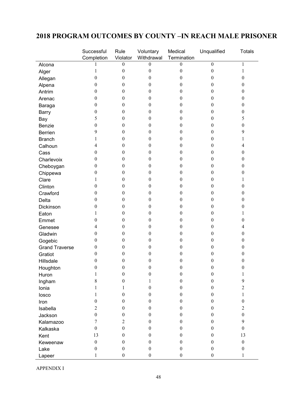### **2018 PROGRAM OUTCOMES BY COUNTY –IN REACH MALE PRISONER**

|                       | Successful               | Rule             | Voluntary        | Medical          | Unqualified      | <b>Totals</b>           |
|-----------------------|--------------------------|------------------|------------------|------------------|------------------|-------------------------|
|                       | Completion               | Violator         | Withdrawal       | Termination      |                  |                         |
| Alcona                |                          | $\boldsymbol{0}$ | $\mathbf{0}$     | 0                | $\boldsymbol{0}$ | $\mathbf{1}$            |
| Alger                 | 1                        | $\boldsymbol{0}$ | $\boldsymbol{0}$ | $\boldsymbol{0}$ | $\boldsymbol{0}$ | $\mathbf{1}$            |
| Allegan               | $\boldsymbol{0}$         | $\boldsymbol{0}$ | $\boldsymbol{0}$ | $\boldsymbol{0}$ | $\boldsymbol{0}$ | $\boldsymbol{0}$        |
| Alpena                | $\boldsymbol{0}$         | $\boldsymbol{0}$ | $\boldsymbol{0}$ | $\boldsymbol{0}$ | $\mathbf{0}$     | $\mathbf{0}$            |
| Antrim                | $\boldsymbol{0}$         | $\boldsymbol{0}$ | $\boldsymbol{0}$ | $\boldsymbol{0}$ | $\mathbf{0}$     | $\boldsymbol{0}$        |
| Arenac                | $\boldsymbol{0}$         | $\boldsymbol{0}$ | $\boldsymbol{0}$ | $\boldsymbol{0}$ | $\boldsymbol{0}$ | $\boldsymbol{0}$        |
| Baraga                | $\boldsymbol{0}$         | $\boldsymbol{0}$ | $\boldsymbol{0}$ | $\boldsymbol{0}$ | $\boldsymbol{0}$ | $\boldsymbol{0}$        |
| <b>Barry</b>          | $\boldsymbol{0}$         | $\boldsymbol{0}$ | $\boldsymbol{0}$ | $\boldsymbol{0}$ | $\mathbf{0}$     | $\mathbf{0}$            |
| Bay                   | 5                        | $\boldsymbol{0}$ | $\boldsymbol{0}$ | $\boldsymbol{0}$ | $\mathbf{0}$     | 5                       |
| Benzie                | $\boldsymbol{0}$         | $\boldsymbol{0}$ | $\boldsymbol{0}$ | $\boldsymbol{0}$ | $\boldsymbol{0}$ | $\boldsymbol{0}$        |
| Berrien               | 9                        | $\boldsymbol{0}$ | $\boldsymbol{0}$ | $\boldsymbol{0}$ | $\boldsymbol{0}$ | 9                       |
| <b>Branch</b>         | 1                        | $\boldsymbol{0}$ | $\boldsymbol{0}$ | $\boldsymbol{0}$ | $\mathbf{0}$     | 1                       |
| Calhoun               | $\overline{\mathcal{A}}$ | $\boldsymbol{0}$ | $\boldsymbol{0}$ | $\boldsymbol{0}$ | $\mathbf{0}$     | $\overline{\mathbf{4}}$ |
| Cass                  | $\boldsymbol{0}$         | $\boldsymbol{0}$ | $\boldsymbol{0}$ | $\boldsymbol{0}$ | $\boldsymbol{0}$ | $\boldsymbol{0}$        |
| Charlevoix            | $\boldsymbol{0}$         | $\boldsymbol{0}$ | $\boldsymbol{0}$ | $\boldsymbol{0}$ | $\boldsymbol{0}$ | $\boldsymbol{0}$        |
| Cheboygan             | $\boldsymbol{0}$         | $\boldsymbol{0}$ | $\boldsymbol{0}$ | $\boldsymbol{0}$ | $\mathbf{0}$     | $\mathbf{0}$            |
| Chippewa              | $\boldsymbol{0}$         | $\boldsymbol{0}$ | $\boldsymbol{0}$ | $\boldsymbol{0}$ | $\mathbf{0}$     | $\boldsymbol{0}$        |
| Clare                 | 1                        | $\boldsymbol{0}$ | $\boldsymbol{0}$ | $\boldsymbol{0}$ | $\theta$         | 1                       |
| Clinton               | 0                        | $\boldsymbol{0}$ | $\boldsymbol{0}$ | $\boldsymbol{0}$ | $\boldsymbol{0}$ | $\boldsymbol{0}$        |
| Crawford              | $\boldsymbol{0}$         | $\boldsymbol{0}$ | $\boldsymbol{0}$ | $\boldsymbol{0}$ | $\mathbf{0}$     | $\boldsymbol{0}$        |
| Delta                 | 0                        | $\boldsymbol{0}$ | $\boldsymbol{0}$ | $\boldsymbol{0}$ | $\mathbf{0}$     | $\boldsymbol{0}$        |
| Dickinson             | $\boldsymbol{0}$         | $\boldsymbol{0}$ | $\boldsymbol{0}$ | $\boldsymbol{0}$ | $\boldsymbol{0}$ | $\boldsymbol{0}$        |
| Eaton                 | 1                        | $\boldsymbol{0}$ | $\boldsymbol{0}$ | $\boldsymbol{0}$ | $\boldsymbol{0}$ | 1                       |
| Emmet                 | $\boldsymbol{0}$         | $\boldsymbol{0}$ | $\boldsymbol{0}$ | $\boldsymbol{0}$ | $\mathbf{0}$     | $\boldsymbol{0}$        |
| Genesee               | 4                        | $\boldsymbol{0}$ | $\boldsymbol{0}$ | $\boldsymbol{0}$ | $\mathbf{0}$     | 4                       |
| Gladwin               | $\boldsymbol{0}$         | $\boldsymbol{0}$ | $\boldsymbol{0}$ | $\boldsymbol{0}$ | $\mathbf{0}$     | $\boldsymbol{0}$        |
| Gogebic               | 0                        | $\boldsymbol{0}$ | $\boldsymbol{0}$ | $\boldsymbol{0}$ | $\boldsymbol{0}$ | $\boldsymbol{0}$        |
| <b>Grand Traverse</b> | $\boldsymbol{0}$         | $\boldsymbol{0}$ | $\boldsymbol{0}$ | 0                | $\mathbf{0}$     | $\boldsymbol{0}$        |
| Gratiot               | $\boldsymbol{0}$         | $\boldsymbol{0}$ | $\boldsymbol{0}$ | $\boldsymbol{0}$ | $\theta$         | $\boldsymbol{0}$        |
| Hillsdale             | $\boldsymbol{0}$         | $\boldsymbol{0}$ | $\boldsymbol{0}$ | $\boldsymbol{0}$ | 0                | 0                       |
| Houghton              | $\boldsymbol{0}$         | $\boldsymbol{0}$ | $\boldsymbol{0}$ | $\boldsymbol{0}$ | $\boldsymbol{0}$ | $\boldsymbol{0}$        |
| Huron                 | $\mathbf{I}$             | $\boldsymbol{0}$ | $\boldsymbol{0}$ | 0                | $\boldsymbol{0}$ | 1                       |
| Ingham                | $\,8\,$                  | $\boldsymbol{0}$ | 1                | $\boldsymbol{0}$ | $\boldsymbol{0}$ | 9                       |
| Ionia                 | 1                        | 1                | $\boldsymbol{0}$ | $\boldsymbol{0}$ | $\boldsymbol{0}$ | $\overline{2}$          |
| losco                 | $\mathbf{1}$             | $\boldsymbol{0}$ | $\boldsymbol{0}$ | $\boldsymbol{0}$ | $\boldsymbol{0}$ | 1                       |
| Iron                  | $\boldsymbol{0}$         | $\boldsymbol{0}$ | $\boldsymbol{0}$ | $\boldsymbol{0}$ | $\mathbf{0}$     | $\boldsymbol{0}$        |
| Isabella              | $\overline{2}$           | $\boldsymbol{0}$ | $\boldsymbol{0}$ | $\boldsymbol{0}$ | $\mathbf{0}$     | $\overline{2}$          |
| Jackson               | $\boldsymbol{0}$         | $\boldsymbol{0}$ | $\boldsymbol{0}$ | $\boldsymbol{0}$ | $\boldsymbol{0}$ | $\boldsymbol{0}$        |
| Kalamazoo             | 7                        | $\overline{2}$   | $\boldsymbol{0}$ | $\boldsymbol{0}$ | $\boldsymbol{0}$ | 9                       |
| Kalkaska              | $\boldsymbol{0}$         | $\boldsymbol{0}$ | $\boldsymbol{0}$ | $\boldsymbol{0}$ | $\mathbf{0}$     | $\boldsymbol{0}$        |
| Kent                  | 13                       | $\boldsymbol{0}$ | $\boldsymbol{0}$ | $\boldsymbol{0}$ | $\mathbf{0}$     | 13                      |
| Keweenaw              | $\boldsymbol{0}$         | $\boldsymbol{0}$ | $\boldsymbol{0}$ | $\boldsymbol{0}$ | $\boldsymbol{0}$ | $\boldsymbol{0}$        |
| Lake                  | $\boldsymbol{0}$         | $\boldsymbol{0}$ | $\boldsymbol{0}$ | $\boldsymbol{0}$ | $\boldsymbol{0}$ | $\boldsymbol{0}$        |
| Lapeer                | 1                        | $\boldsymbol{0}$ | $\boldsymbol{0}$ | $\boldsymbol{0}$ | $\boldsymbol{0}$ | 1                       |

APPENDIX I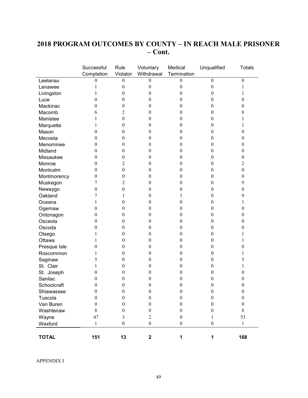### **2018 PROGRAM OUTCOMES BY COUNTY – IN REACH MALE PRISONER – Cont.**

|                           | Successful<br>Completion | Rule<br>Violator | Voluntary<br>Withdrawal | Medical<br>Termination | Unqualified                      | <b>Totals</b>                        |
|---------------------------|--------------------------|------------------|-------------------------|------------------------|----------------------------------|--------------------------------------|
| Leelanau                  | 0                        | 0                | $\boldsymbol{0}$        | 0                      | $\boldsymbol{0}$                 | $\boldsymbol{0}$                     |
| Lenawee                   | 1                        | $\boldsymbol{0}$ | $\boldsymbol{0}$        | 0                      | $\boldsymbol{0}$                 | 1                                    |
| Livingston                | 1                        | $\boldsymbol{0}$ | $\boldsymbol{0}$        | $\boldsymbol{0}$       | $\boldsymbol{0}$                 | 1                                    |
| Luce                      | 0                        | 0                | $\boldsymbol{0}$        | 0                      | $\boldsymbol{0}$                 | $\boldsymbol{0}$                     |
| Mackinac                  | 0                        | 0                | $\boldsymbol{0}$        | 0                      | $\boldsymbol{0}$                 | $\boldsymbol{0}$                     |
| Macomb                    | 6                        | 2                | $\boldsymbol{0}$        | 0                      | $\boldsymbol{0}$                 | $\,8\,$                              |
| Manistee                  | 1                        | $\boldsymbol{0}$ | $\boldsymbol{0}$        | 0                      | $\mathbf{0}$                     | 1                                    |
| Marquette                 | 1                        | 0                | $\boldsymbol{0}$        | 0                      | $\boldsymbol{0}$                 | 1                                    |
| Mason                     | 0                        | 0                | $\boldsymbol{0}$        | 0                      | $\boldsymbol{0}$                 | $\boldsymbol{0}$                     |
| Mecosta                   | 0                        | 0                | $\boldsymbol{0}$        | 0                      | $\boldsymbol{0}$                 | $\boldsymbol{0}$                     |
| Menominee                 | $\boldsymbol{0}$         | 0                | $\boldsymbol{0}$        | $\boldsymbol{0}$       | $\boldsymbol{0}$                 | $\boldsymbol{0}$                     |
| Midland                   | 0                        | 0                | $\boldsymbol{0}$        | 0                      | $\boldsymbol{0}$                 | $\boldsymbol{0}$                     |
| Missaukee                 | 0                        | 0                | $\boldsymbol{0}$        | 0                      | $\boldsymbol{0}$                 | $\boldsymbol{0}$                     |
| Monroe                    | 0                        | 2                | $\boldsymbol{0}$        | 0                      | $\boldsymbol{0}$                 | $\overline{2}$                       |
| Montcalm                  | 0                        | $\boldsymbol{0}$ | $\boldsymbol{0}$        | 0                      | $\boldsymbol{0}$                 | $\boldsymbol{0}$                     |
| Montmorency               | 0                        | 0                | $\boldsymbol{0}$        | 0                      | $\theta$                         | $\boldsymbol{0}$                     |
|                           | 7                        | 2                | $\boldsymbol{0}$        | 0                      | $\boldsymbol{0}$                 | 9                                    |
| Muskegon                  | $\boldsymbol{0}$         | $\boldsymbol{0}$ | $\boldsymbol{0}$        | 0                      | $\boldsymbol{0}$                 | $\boldsymbol{0}$                     |
| Newaygo<br>Oakland        | 7                        | 1                | $\boldsymbol{0}$        |                        | $\boldsymbol{0}$                 | 9                                    |
| Oceana                    | 1                        | 0                | $\boldsymbol{0}$        | 0                      | $\boldsymbol{0}$                 | 1                                    |
|                           | 0                        | $\boldsymbol{0}$ | $\boldsymbol{0}$        | 0                      | $\boldsymbol{0}$                 | $\boldsymbol{0}$                     |
| Ogemaw                    | 0                        | 0                | $\boldsymbol{0}$        | 0                      | $\boldsymbol{0}$                 | $\boldsymbol{0}$                     |
| Ontonagon<br>Osceola      | 0                        | 0                | $\boldsymbol{0}$        | 0                      | $\mathbf{0}$                     | $\mathbf{0}$                         |
| Oscoda                    | 0                        | 0                | $\boldsymbol{0}$        | 0                      | $\theta$                         | $\boldsymbol{0}$                     |
|                           | 1                        | 0                | $\boldsymbol{0}$        | 0                      | $\boldsymbol{0}$                 | 1                                    |
| Otsego<br>Ottawa          | 1                        | 0                | $\boldsymbol{0}$        | 0                      | $\boldsymbol{0}$                 | 1                                    |
|                           | $\boldsymbol{0}$         | 0                | $\boldsymbol{0}$        | 0                      | $\boldsymbol{0}$                 | $\boldsymbol{0}$                     |
| Presque Isle<br>Roscommon | 1                        | 0                | $\boldsymbol{0}$        | 0                      | $\boldsymbol{0}$                 | 1                                    |
|                           | 5                        | 0                | $\boldsymbol{0}$        | 0                      | $\boldsymbol{0}$                 | 5                                    |
| Saginaw<br>St. Clair      |                          | 0                | $\boldsymbol{0}$        |                        |                                  |                                      |
|                           | 1<br>0                   | 0                | $\boldsymbol{0}$        | 0<br>0                 | $\boldsymbol{0}$<br>$\mathbf{0}$ | 1<br>$\boldsymbol{0}$                |
| St. Joseph<br>Sanilac     | 0                        | 0                | $\boldsymbol{0}$        | 0                      | $\theta$                         | $\mathbf{0}$                         |
| Schoolcraft               | 0                        | 0                | $\boldsymbol{0}$        | 0                      | $\theta$                         | $\mathbf{0}$                         |
| Shiawassee                | $\boldsymbol{0}$         | $\boldsymbol{0}$ | $\boldsymbol{0}$        | $\boldsymbol{0}$       | $\boldsymbol{0}$                 |                                      |
| Tuscola                   | $\boldsymbol{0}$         |                  | $\boldsymbol{0}$        | $\boldsymbol{0}$       | $\boldsymbol{0}$                 | $\boldsymbol{0}$<br>$\boldsymbol{0}$ |
|                           |                          | $\boldsymbol{0}$ | $\boldsymbol{0}$        | $\mathbf{0}$           |                                  | $\boldsymbol{0}$                     |
| Van Buren                 | $\boldsymbol{0}$         | $\boldsymbol{0}$ |                         |                        | $\boldsymbol{0}$                 |                                      |
| Washtenaw                 | 8                        | $\boldsymbol{0}$ | $\boldsymbol{0}$        | $\boldsymbol{0}$       | $\boldsymbol{0}$                 | $8\,$                                |
| Wayne                     | 47                       | 3                | $\mathfrak{2}$          | $\boldsymbol{0}$       | 1                                | 53                                   |
| Wexford                   | $\mathbf{1}$             | $\boldsymbol{0}$ | $\boldsymbol{0}$        | $\boldsymbol{0}$       | $\boldsymbol{0}$                 | $\mathbf{1}$                         |
| <b>TOTAL</b>              | 151                      | 13               | $\mathbf 2$             | 1                      | 1                                | 168                                  |

APPENDIX I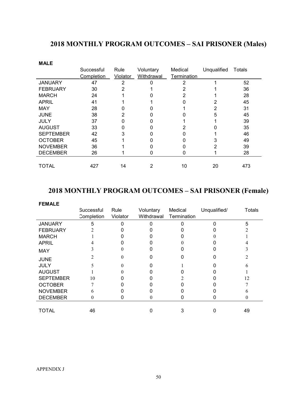## **2018 MONTHLY PROGRAM OUTCOMES – SAI PRISONER (Males)**

| <b>MALE</b>      |            |          |            |             |             |        |
|------------------|------------|----------|------------|-------------|-------------|--------|
|                  | Successful | Rule     | Voluntary  | Medical     | Unqualified | Totals |
|                  | Completion | Violator | Withdrawal | Termination |             |        |
| <b>JANUARY</b>   | 47         | 2        | 0          | 2           |             | 52     |
| <b>FEBRUARY</b>  | 30         | 2        |            |             |             | 36     |
| <b>MARCH</b>     | 24         |          |            | 2           |             | 28     |
| <b>APRIL</b>     | 41         |          |            |             |             | 45     |
| <b>MAY</b>       | 28         |          |            |             | 2           | 31     |
| <b>JUNE</b>      | 38         | 2        |            |             | 5           | 45     |
| JULY             | 37         | 0        |            |             |             | 39     |
| <b>AUGUST</b>    | 33         | 0        |            |             |             | 35     |
| <b>SEPTEMBER</b> | 42         | 3        |            |             |             | 46     |
| <b>OCTOBER</b>   | 45         |          |            |             | 3           | 49     |
| <b>NOVEMBER</b>  | 36         |          |            |             |             | 39     |
| <b>DECEMBER</b>  | 26         |          | U          | U           |             | 28     |
|                  |            |          |            |             |             |        |
| TOTAL            | 427        | 14       | 2          | 10          | 20          | 473    |

### **2018 MONTHLY PROGRAM OUTCOMES – SAI PRISONER (Female)**

| <b>FEMALE</b>    |            |          |            |             |              |        |
|------------------|------------|----------|------------|-------------|--------------|--------|
|                  | Successful | Rule     | Voluntary  | Medical     | Unqualified/ | Totals |
|                  | Completion | Violator | Withdrawal | Termination |              |        |
| <b>JANUARY</b>   | 5          |          |            |             |              | 5      |
| <b>FEBRUARY</b>  |            |          |            |             |              |        |
| <b>MARCH</b>     |            |          |            |             |              |        |
| <b>APRIL</b>     |            |          |            |             |              |        |
| <b>MAY</b>       |            |          |            |             |              |        |
| <b>JUNE</b>      |            |          |            |             |              |        |
| <b>JULY</b>      |            |          |            |             |              |        |
| <b>AUGUST</b>    |            |          |            |             |              |        |
| <b>SEPTEMBER</b> | 10         |          |            |             |              | 12     |
| <b>OCTOBER</b>   |            |          |            |             |              |        |
| <b>NOVEMBER</b>  | 6          |          |            |             |              |        |
| <b>DECEMBER</b>  | 0          |          |            |             |              |        |
|                  |            |          |            |             |              |        |
| TOTAL            | 46         |          |            |             |              | 49     |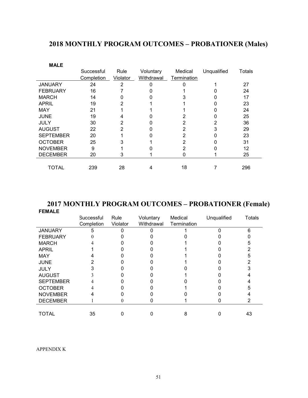## **2018 MONTHLY PROGRAM OUTCOMES – PROBATIONER (Males)**

| <b>MALE</b>      |            |                |            |             |             |        |
|------------------|------------|----------------|------------|-------------|-------------|--------|
|                  | Successful | Rule           | Voluntary  | Medical     | Unqualified | Totals |
|                  | Completion | Violator       | Withdrawal | Termination |             |        |
| <b>JANUARY</b>   | 24         | 2              | 0          |             |             | 27     |
| <b>FEBRUARY</b>  | 16         |                |            |             |             | 24     |
| <b>MARCH</b>     | 14         |                |            |             |             | 17     |
| <b>APRIL</b>     | 19         | 2              |            |             |             | 23     |
| <b>MAY</b>       | 21         |                |            |             |             | 24     |
| <b>JUNE</b>      | 19         | 4              |            | 2           |             | 25     |
| <b>JULY</b>      | 30         | 2              |            | 2           |             | 36     |
| <b>AUGUST</b>    | 22         | $\overline{2}$ | 0          | 2           | 3           | 29     |
| <b>SEPTEMBER</b> | 20         |                | ი          | 2           | 0           | 23     |
| <b>OCTOBER</b>   | 25         | 3              |            | 2           |             | 31     |
| <b>NOVEMBER</b>  | 9          |                |            | 2           |             | 12     |
| <b>DECEMBER</b>  | 20         | 3              |            |             |             | 25     |
|                  |            |                |            |             |             |        |
| TOTAL            | 239        | 28             | 4          | 18          |             | 296    |

#### **2017 MONTHLY PROGRAM OUTCOMES – PROBATIONER (Female) FEMALE**

|                  | Successful<br>Completion | Rule<br>Violator | Voluntary<br>Withdrawal | Medical<br>Termination | Unqualified | <b>Totals</b> |
|------------------|--------------------------|------------------|-------------------------|------------------------|-------------|---------------|
| <b>JANUARY</b>   | 5                        |                  |                         |                        |             | 6             |
| <b>FEBRUARY</b>  |                          |                  |                         |                        |             |               |
| <b>MARCH</b>     |                          |                  |                         |                        |             |               |
| <b>APRIL</b>     |                          |                  |                         |                        |             |               |
| <b>MAY</b>       |                          |                  |                         |                        |             |               |
| <b>JUNE</b>      |                          |                  |                         |                        |             |               |
| <b>JULY</b>      |                          |                  |                         |                        |             |               |
| <b>AUGUST</b>    |                          |                  |                         |                        |             |               |
| <b>SEPTEMBER</b> |                          |                  |                         |                        |             |               |
| <b>OCTOBER</b>   |                          |                  |                         |                        |             |               |
| <b>NOVEMBER</b>  |                          |                  |                         |                        |             |               |
| <b>DECEMBER</b>  |                          |                  |                         |                        |             |               |
|                  |                          |                  |                         |                        |             |               |
| TOTAL            | 35                       |                  |                         |                        |             | 43            |

APPENDIX K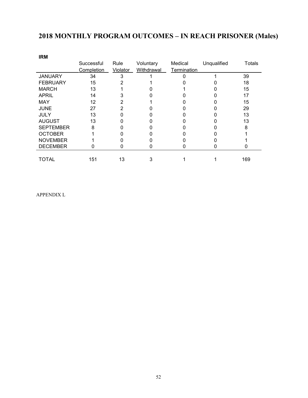## **2018 MONTHLY PROGRAM OUTCOMES – IN REACH PRISONER (Males)**

| <b>IRM</b>       |            |          |            |             |             |        |
|------------------|------------|----------|------------|-------------|-------------|--------|
|                  | Successful | Rule     | Voluntary  | Medical     | Unqualified | Totals |
|                  | Completion | Violator | Withdrawal | Termination |             |        |
| <b>JANUARY</b>   | 34         | 3        |            |             |             | 39     |
| <b>FEBRUARY</b>  | 15         |          |            |             |             | 18     |
| <b>MARCH</b>     | 13         |          |            |             |             | 15     |
| <b>APRIL</b>     | 14         |          |            |             |             | 17     |
| <b>MAY</b>       | 12         |          |            |             |             | 15     |
| <b>JUNE</b>      | 27         |          |            |             |             | 29     |
| <b>JULY</b>      | 13         |          |            |             |             | 13     |
| <b>AUGUST</b>    | 13         |          |            |             |             | 13     |
| <b>SEPTEMBER</b> | 8          |          |            |             |             | 8      |
| <b>OCTOBER</b>   |            |          |            |             |             |        |
| <b>NOVEMBER</b>  |            |          |            |             |             |        |
| <b>DECEMBER</b>  | 0          | 0        |            |             |             |        |
|                  |            |          |            |             |             |        |
| TOTAL            | 151        | 13       |            |             |             | 169    |

APPENDIX L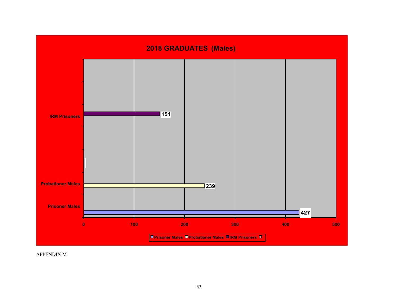

APPENDIX M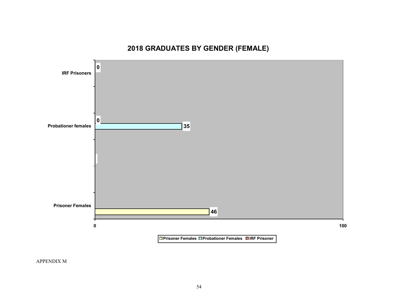## **2018 GRADUATES BY GENDER (FEMALE)**



APPENDIX M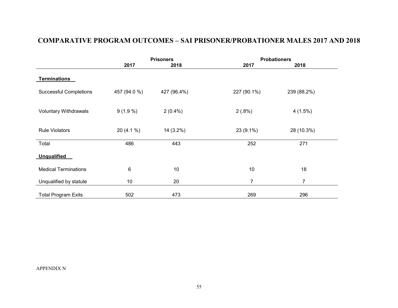## **COMPARATIVE PROGRAM OUTCOMES – SAI PRISONER/PROBATIONER MALES 2017 AND 2018**

|                               |              | <b>Prisoners</b> | <b>Probationers</b> |             |  |
|-------------------------------|--------------|------------------|---------------------|-------------|--|
|                               | 2017         | 2018             | 2017                | 2018        |  |
| <b>Terminations</b>           |              |                  |                     |             |  |
| <b>Successful Completions</b> | 457 (94.0 %) | 427 (96.4%)      | 227 (90.1%)         | 239 (88.2%) |  |
| <b>Voluntary Withdrawals</b>  | $9(1.9\%)$   | $2(0.4\%)$       | 2(.8%)              | 4(1.5%)     |  |
| <b>Rule Violators</b>         | $20(4.1\%)$  | 14 (3.2%)        | 23 (9.1%)           | 28 (10.3%)  |  |
| Total                         | 486          | 443              | 252                 | 271         |  |
| <b>Unqualified</b>            |              |                  |                     |             |  |
| <b>Medical Terminations</b>   | $\,6$        | 10               | 10                  | 18          |  |
| Unqualified by statute        | 10           | 20               | $\overline{7}$      | 7           |  |
| <b>Total Program Exits</b>    | 502          | 473              | 269                 | 296         |  |

APPENDIX N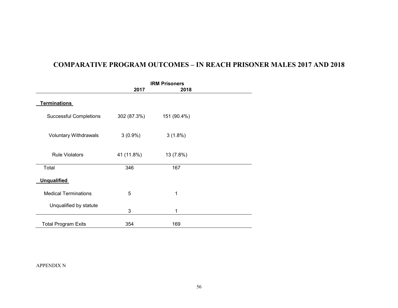### **COMPARATIVE PROGRAM OUTCOMES – IN REACH PRISONER MALES 2017 AND 2018**

|                               |             | <b>IRM Prisoners</b> |  |
|-------------------------------|-------------|----------------------|--|
|                               | 2017        | 2018                 |  |
| <b>Terminations</b>           |             |                      |  |
| <b>Successful Completions</b> | 302 (87.3%) | 151 (90.4%)          |  |
| Voluntary Withdrawals         | $3(0.9\%)$  | $3(1.8\%)$           |  |
| <b>Rule Violators</b>         | 41 (11.8%)  | 13 (7.8%)            |  |
| Total                         | 346         | 167                  |  |
| <b>Unqualified</b>            |             |                      |  |
| <b>Medical Terminations</b>   | 5           | 1                    |  |
| Unqualified by statute        | 3           | 1                    |  |
| <b>Total Program Exits</b>    | 354         | 169                  |  |

APPENDIX N